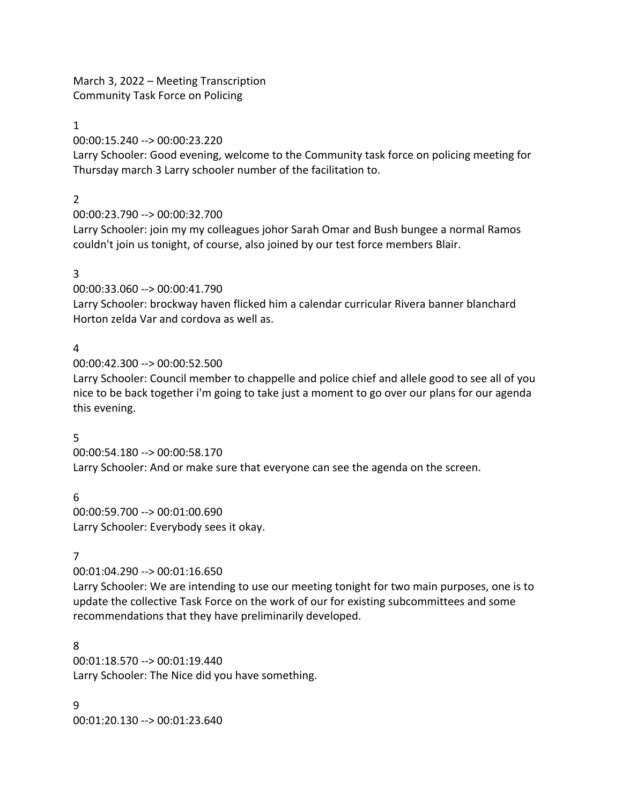March 3, 2022 – Meeting Transcription Community Task Force on Policing

### 1

00:00:15.240 --> 00:00:23.220

Larry Schooler: Good evening, welcome to the Community task force on policing meeting for Thursday march 3 Larry schooler number of the facilitation to.

### 2

00:00:23.790 --> 00:00:32.700

Larry Schooler: join my my colleagues johor Sarah Omar and Bush bungee a normal Ramos couldn't join us tonight, of course, also joined by our test force members Blair.

### 3

00:00:33.060 --> 00:00:41.790

Larry Schooler: brockway haven flicked him a calendar curricular Rivera banner blanchard Horton zelda Var and cordova as well as.

## 4

00:00:42.300 --> 00:00:52.500

Larry Schooler: Council member to chappelle and police chief and allele good to see all of you nice to be back together i'm going to take just a moment to go over our plans for our agenda this evening.

## 5

00:00:54.180 --> 00:00:58.170 Larry Schooler: And or make sure that everyone can see the agenda on the screen.

## 6

00:00:59.700 --> 00:01:00.690 Larry Schooler: Everybody sees it okay.

## 7

00:01:04.290 --> 00:01:16.650

Larry Schooler: We are intending to use our meeting tonight for two main purposes, one is to update the collective Task Force on the work of our for existing subcommittees and some recommendations that they have preliminarily developed.

## 8

00:01:18.570 --> 00:01:19.440 Larry Schooler: The Nice did you have something.

9 00:01:20.130 --> 00:01:23.640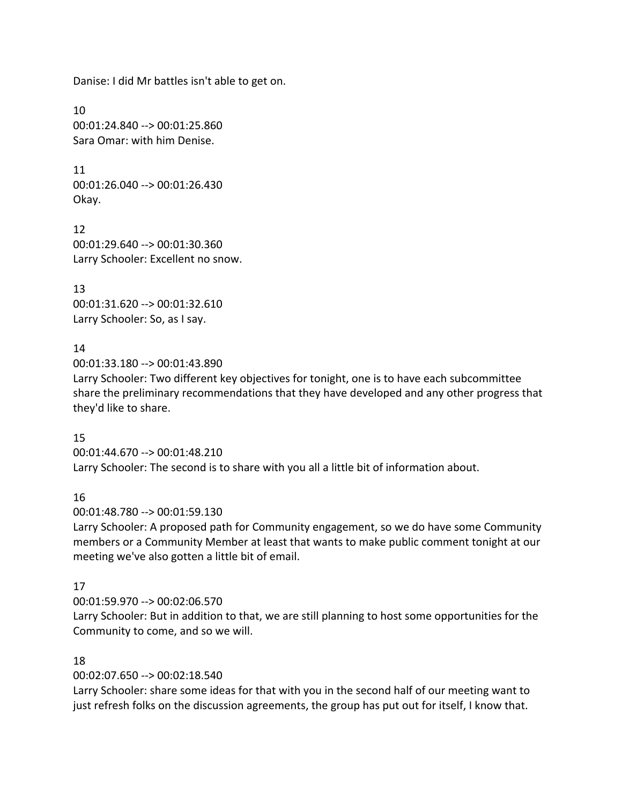Danise: I did Mr battles isn't able to get on.

10 00:01:24.840 --> 00:01:25.860 Sara Omar: with him Denise.

11 00:01:26.040 --> 00:01:26.430 Okay.

12 00:01:29.640 --> 00:01:30.360 Larry Schooler: Excellent no snow.

13 00:01:31.620 --> 00:01:32.610 Larry Schooler: So, as I say.

## 14

00:01:33.180 --> 00:01:43.890

Larry Schooler: Two different key objectives for tonight, one is to have each subcommittee share the preliminary recommendations that they have developed and any other progress that they'd like to share.

## 15

00:01:44.670 --> 00:01:48.210 Larry Schooler: The second is to share with you all a little bit of information about.

## 16

00:01:48.780 --> 00:01:59.130

Larry Schooler: A proposed path for Community engagement, so we do have some Community members or a Community Member at least that wants to make public comment tonight at our meeting we've also gotten a little bit of email.

## 17

00:01:59.970 --> 00:02:06.570

Larry Schooler: But in addition to that, we are still planning to host some opportunities for the Community to come, and so we will.

## 18

00:02:07.650 --> 00:02:18.540

Larry Schooler: share some ideas for that with you in the second half of our meeting want to just refresh folks on the discussion agreements, the group has put out for itself, I know that.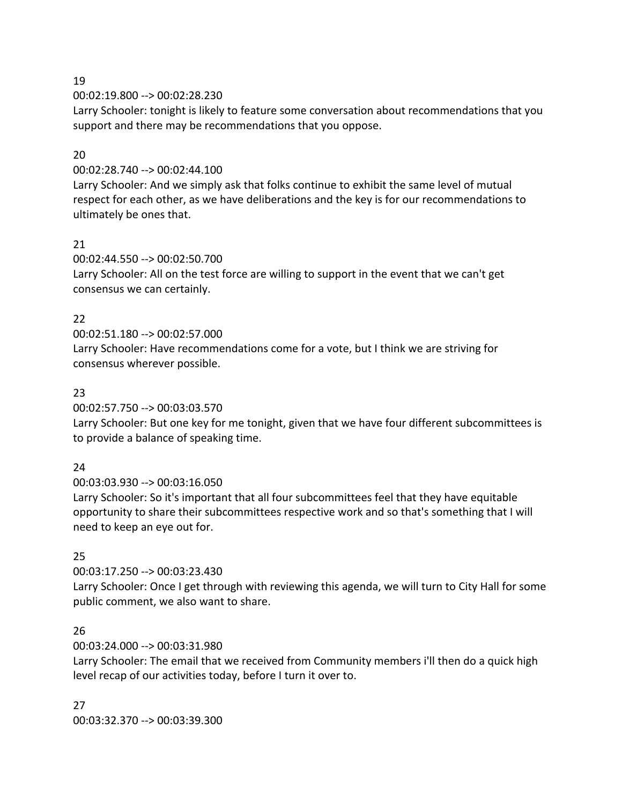00:02:19.800 --> 00:02:28.230

Larry Schooler: tonight is likely to feature some conversation about recommendations that you support and there may be recommendations that you oppose.

## 20

00:02:28.740 --> 00:02:44.100

Larry Schooler: And we simply ask that folks continue to exhibit the same level of mutual respect for each other, as we have deliberations and the key is for our recommendations to ultimately be ones that.

## 21

00:02:44.550 --> 00:02:50.700

Larry Schooler: All on the test force are willing to support in the event that we can't get consensus we can certainly.

## 22

00:02:51.180 --> 00:02:57.000

Larry Schooler: Have recommendations come for a vote, but I think we are striving for consensus wherever possible.

## 23

00:02:57.750 --> 00:03:03.570

Larry Schooler: But one key for me tonight, given that we have four different subcommittees is to provide a balance of speaking time.

## $24$

00:03:03.930 --> 00:03:16.050 Larry Schooler: So it's important that all four subcommittees feel that they have equitable opportunity to share their subcommittees respective work and so that's something that I will need to keep an eye out for.

## 25

00:03:17.250 --> 00:03:23.430 Larry Schooler: Once I get through with reviewing this agenda, we will turn to City Hall for some public comment, we also want to share.

## 26

00:03:24.000 --> 00:03:31.980

Larry Schooler: The email that we received from Community members i'll then do a quick high level recap of our activities today, before I turn it over to.

27 00:03:32.370 --> 00:03:39.300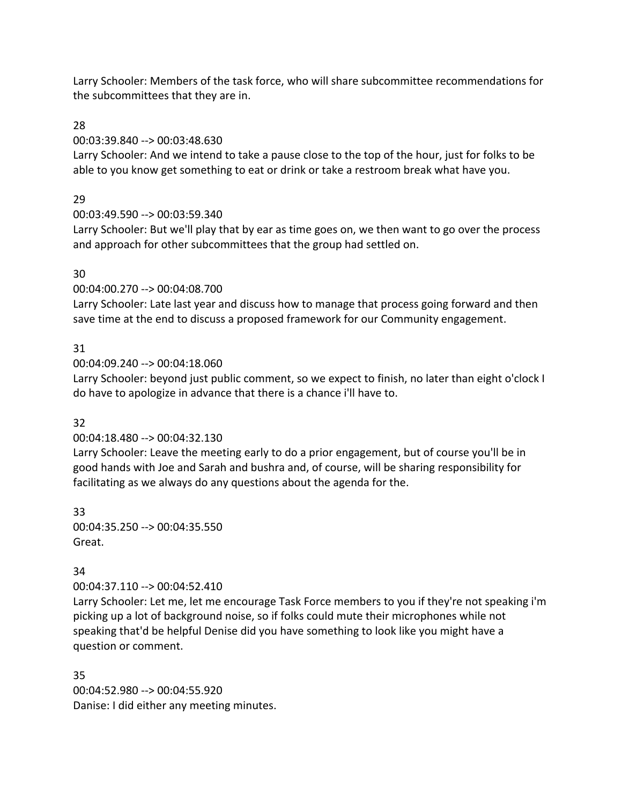Larry Schooler: Members of the task force, who will share subcommittee recommendations for the subcommittees that they are in.

## 28

## 00:03:39.840 --> 00:03:48.630

Larry Schooler: And we intend to take a pause close to the top of the hour, just for folks to be able to you know get something to eat or drink or take a restroom break what have you.

## 29

## 00:03:49.590 --> 00:03:59.340

Larry Schooler: But we'll play that by ear as time goes on, we then want to go over the process and approach for other subcommittees that the group had settled on.

## 30

## 00:04:00.270 --> 00:04:08.700

Larry Schooler: Late last year and discuss how to manage that process going forward and then save time at the end to discuss a proposed framework for our Community engagement.

## 31

00:04:09.240 --> 00:04:18.060

Larry Schooler: beyond just public comment, so we expect to finish, no later than eight o'clock I do have to apologize in advance that there is a chance i'll have to.

## 32

## 00:04:18.480 --> 00:04:32.130

Larry Schooler: Leave the meeting early to do a prior engagement, but of course you'll be in good hands with Joe and Sarah and bushra and, of course, will be sharing responsibility for facilitating as we always do any questions about the agenda for the.

33 00:04:35.250 --> 00:04:35.550 Great.

## 34

## 00:04:37.110 --> 00:04:52.410

Larry Schooler: Let me, let me encourage Task Force members to you if they're not speaking i'm picking up a lot of background noise, so if folks could mute their microphones while not speaking that'd be helpful Denise did you have something to look like you might have a question or comment.

35 00:04:52.980 --> 00:04:55.920 Danise: I did either any meeting minutes.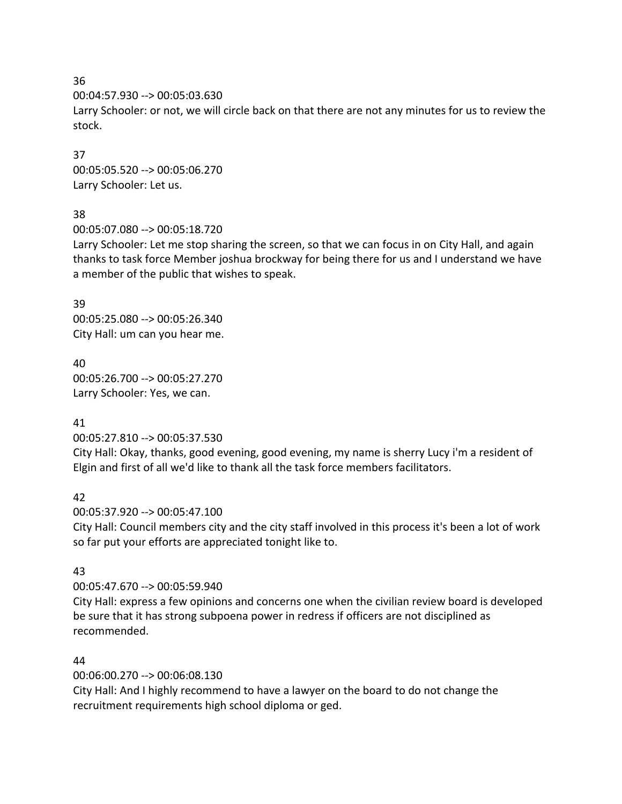00:04:57.930 --> 00:05:03.630

Larry Schooler: or not, we will circle back on that there are not any minutes for us to review the stock.

37 00:05:05.520 --> 00:05:06.270 Larry Schooler: Let us.

## 38

00:05:07.080 --> 00:05:18.720

Larry Schooler: Let me stop sharing the screen, so that we can focus in on City Hall, and again thanks to task force Member joshua brockway for being there for us and I understand we have a member of the public that wishes to speak.

39 00:05:25.080 --> 00:05:26.340 City Hall: um can you hear me.

40 00:05:26.700 --> 00:05:27.270 Larry Schooler: Yes, we can.

### 41

00:05:27.810 --> 00:05:37.530

City Hall: Okay, thanks, good evening, good evening, my name is sherry Lucy i'm a resident of Elgin and first of all we'd like to thank all the task force members facilitators.

## 42

00:05:37.920 --> 00:05:47.100 City Hall: Council members city and the city staff involved in this process it's been a lot of work so far put your efforts are appreciated tonight like to.

## 43

00:05:47.670 --> 00:05:59.940

City Hall: express a few opinions and concerns one when the civilian review board is developed be sure that it has strong subpoena power in redress if officers are not disciplined as recommended.

## 44

00:06:00.270 --> 00:06:08.130

City Hall: And I highly recommend to have a lawyer on the board to do not change the recruitment requirements high school diploma or ged.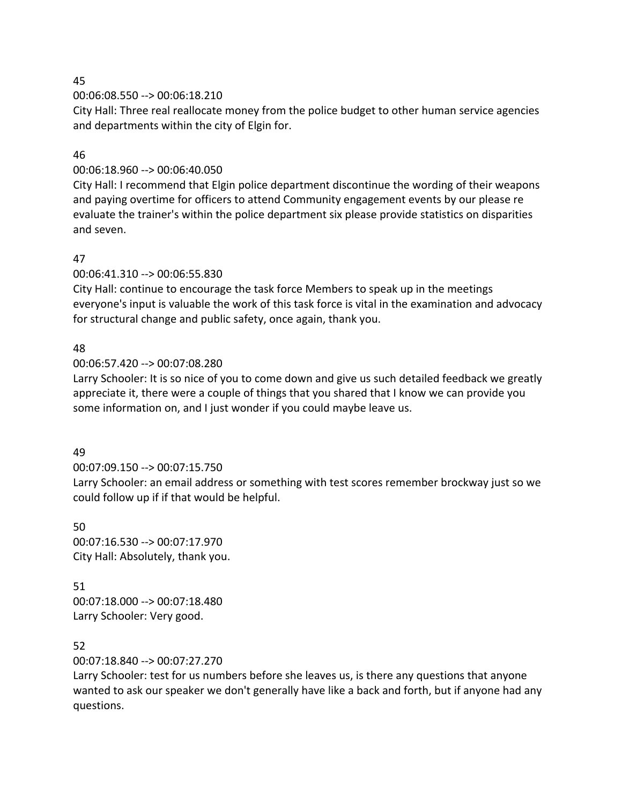00:06:08.550 --> 00:06:18.210

City Hall: Three real reallocate money from the police budget to other human service agencies and departments within the city of Elgin for.

## 46

## 00:06:18.960 --> 00:06:40.050

City Hall: I recommend that Elgin police department discontinue the wording of their weapons and paying overtime for officers to attend Community engagement events by our please re evaluate the trainer's within the police department six please provide statistics on disparities and seven.

## 47

00:06:41.310 --> 00:06:55.830

City Hall: continue to encourage the task force Members to speak up in the meetings everyone's input is valuable the work of this task force is vital in the examination and advocacy for structural change and public safety, once again, thank you.

## 48

00:06:57.420 --> 00:07:08.280

Larry Schooler: It is so nice of you to come down and give us such detailed feedback we greatly appreciate it, there were a couple of things that you shared that I know we can provide you some information on, and I just wonder if you could maybe leave us.

## 49

## 00:07:09.150 --> 00:07:15.750

Larry Schooler: an email address or something with test scores remember brockway just so we could follow up if if that would be helpful.

## 50

00:07:16.530 --> 00:07:17.970 City Hall: Absolutely, thank you.

# 51

00:07:18.000 --> 00:07:18.480 Larry Schooler: Very good.

## 52

00:07:18.840 --> 00:07:27.270

Larry Schooler: test for us numbers before she leaves us, is there any questions that anyone wanted to ask our speaker we don't generally have like a back and forth, but if anyone had any questions.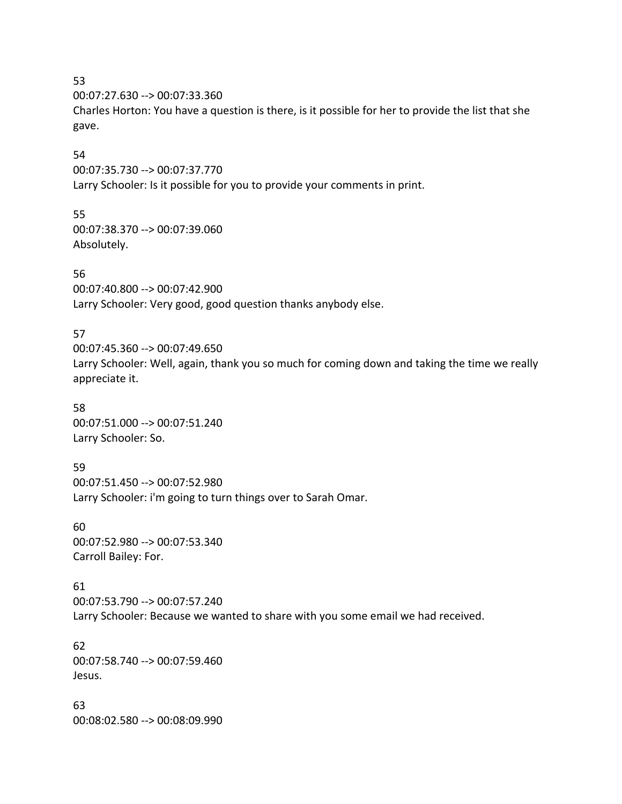00:07:27.630 --> 00:07:33.360

Charles Horton: You have a question is there, is it possible for her to provide the list that she gave.

### 54

00:07:35.730 --> 00:07:37.770 Larry Schooler: Is it possible for you to provide your comments in print.

## 55

00:07:38.370 --> 00:07:39.060 Absolutely.

## 56

00:07:40.800 --> 00:07:42.900 Larry Schooler: Very good, good question thanks anybody else.

## 57

00:07:45.360 --> 00:07:49.650 Larry Schooler: Well, again, thank you so much for coming down and taking the time we really appreciate it.

### 58

00:07:51.000 --> 00:07:51.240 Larry Schooler: So.

### 59

00:07:51.450 --> 00:07:52.980 Larry Schooler: i'm going to turn things over to Sarah Omar.

### 60

00:07:52.980 --> 00:07:53.340 Carroll Bailey: For.

## 61

00:07:53.790 --> 00:07:57.240 Larry Schooler: Because we wanted to share with you some email we had received.

### 62 00:07:58.740 --> 00:07:59.460 Jesus.

63 00:08:02.580 --> 00:08:09.990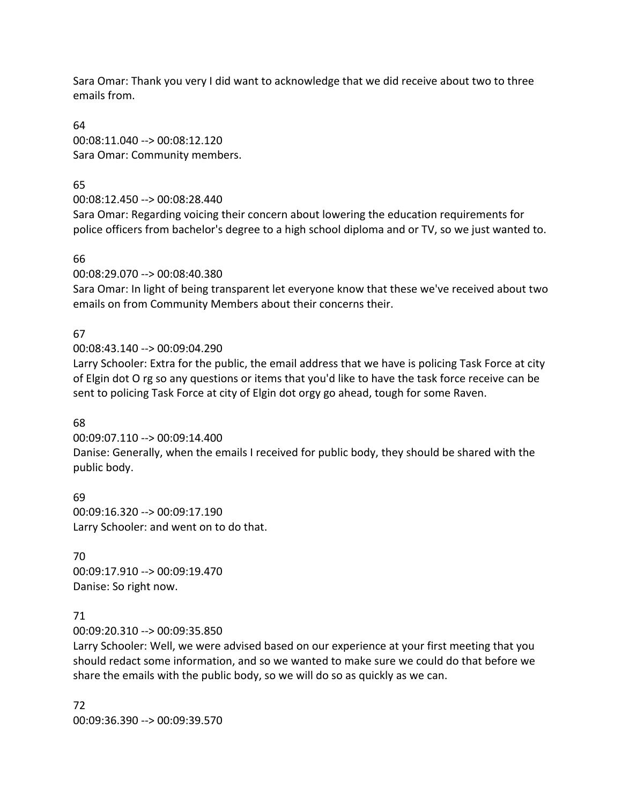Sara Omar: Thank you very I did want to acknowledge that we did receive about two to three emails from.

64 00:08:11.040 --> 00:08:12.120 Sara Omar: Community members.

65

00:08:12.450 --> 00:08:28.440

Sara Omar: Regarding voicing their concern about lowering the education requirements for police officers from bachelor's degree to a high school diploma and or TV, so we just wanted to.

66

00:08:29.070 --> 00:08:40.380

Sara Omar: In light of being transparent let everyone know that these we've received about two emails on from Community Members about their concerns their.

## 67

00:08:43.140 --> 00:09:04.290

Larry Schooler: Extra for the public, the email address that we have is policing Task Force at city of Elgin dot O rg so any questions or items that you'd like to have the task force receive can be sent to policing Task Force at city of Elgin dot orgy go ahead, tough for some Raven.

## 68

00:09:07.110 --> 00:09:14.400

Danise: Generally, when the emails I received for public body, they should be shared with the public body.

69 00:09:16.320 --> 00:09:17.190 Larry Schooler: and went on to do that.

## 70

00:09:17.910 --> 00:09:19.470 Danise: So right now.

## 71

00:09:20.310 --> 00:09:35.850

Larry Schooler: Well, we were advised based on our experience at your first meeting that you should redact some information, and so we wanted to make sure we could do that before we share the emails with the public body, so we will do so as quickly as we can.

72 00:09:36.390 --> 00:09:39.570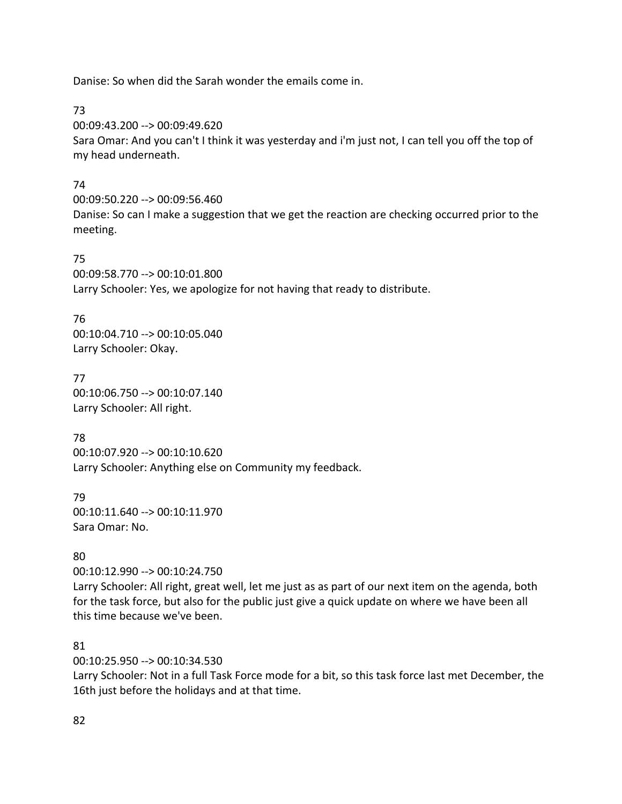Danise: So when did the Sarah wonder the emails come in.

73

00:09:43.200 --> 00:09:49.620

Sara Omar: And you can't I think it was yesterday and i'm just not, I can tell you off the top of my head underneath.

## 74

00:09:50.220 --> 00:09:56.460 Danise: So can I make a suggestion that we get the reaction are checking occurred prior to the meeting.

## 75

00:09:58.770 --> 00:10:01.800 Larry Schooler: Yes, we apologize for not having that ready to distribute.

## 76

00:10:04.710 --> 00:10:05.040 Larry Schooler: Okay.

77 00:10:06.750 --> 00:10:07.140 Larry Schooler: All right.

## 78

00:10:07.920 --> 00:10:10.620 Larry Schooler: Anything else on Community my feedback.

79 00:10:11.640 --> 00:10:11.970 Sara Omar: No.

## 80

00:10:12.990 --> 00:10:24.750 Larry Schooler: All right, great well, let me just as as part of our next item on the agenda, both for the task force, but also for the public just give a quick update on where we have been all this time because we've been.

## 81

00:10:25.950 --> 00:10:34.530

Larry Schooler: Not in a full Task Force mode for a bit, so this task force last met December, the 16th just before the holidays and at that time.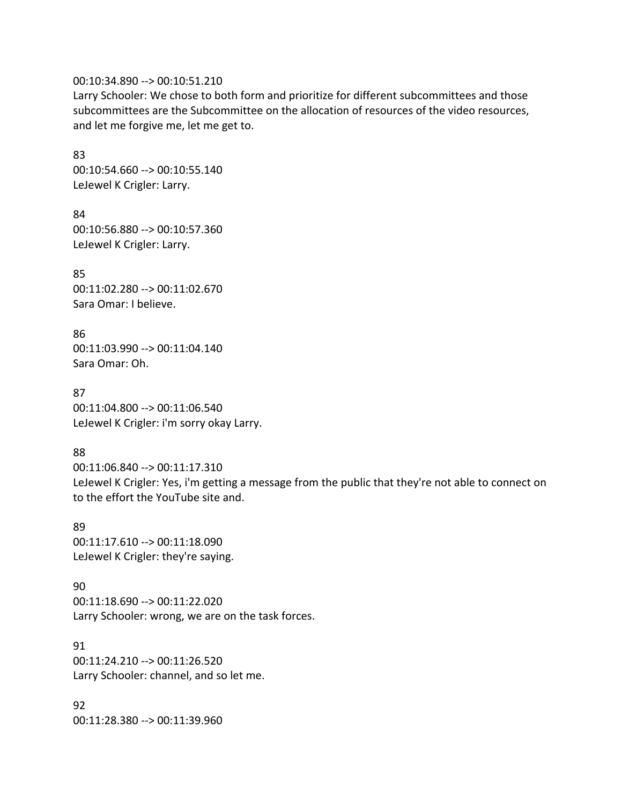#### 00:10:34.890 --> 00:10:51.210

Larry Schooler: We chose to both form and prioritize for different subcommittees and those subcommittees are the Subcommittee on the allocation of resources of the video resources, and let me forgive me, let me get to.

83 00:10:54.660 --> 00:10:55.140 LeJewel K Crigler: Larry.

84 00:10:56.880 --> 00:10:57.360 LeJewel K Crigler: Larry.

85 00:11:02.280 --> 00:11:02.670 Sara Omar: I believe.

86 00:11:03.990 --> 00:11:04.140 Sara Omar: Oh.

87 00:11:04.800 --> 00:11:06.540 LeJewel K Crigler: i'm sorry okay Larry.

88

00:11:06.840 --> 00:11:17.310 LeJewel K Crigler: Yes, i'm getting a message from the public that they're not able to connect on to the effort the YouTube site and.

89 00:11:17.610 --> 00:11:18.090 LeJewel K Crigler: they're saying.

90 00:11:18.690 --> 00:11:22.020 Larry Schooler: wrong, we are on the task forces.

91 00:11:24.210 --> 00:11:26.520 Larry Schooler: channel, and so let me.

92 00:11:28.380 --> 00:11:39.960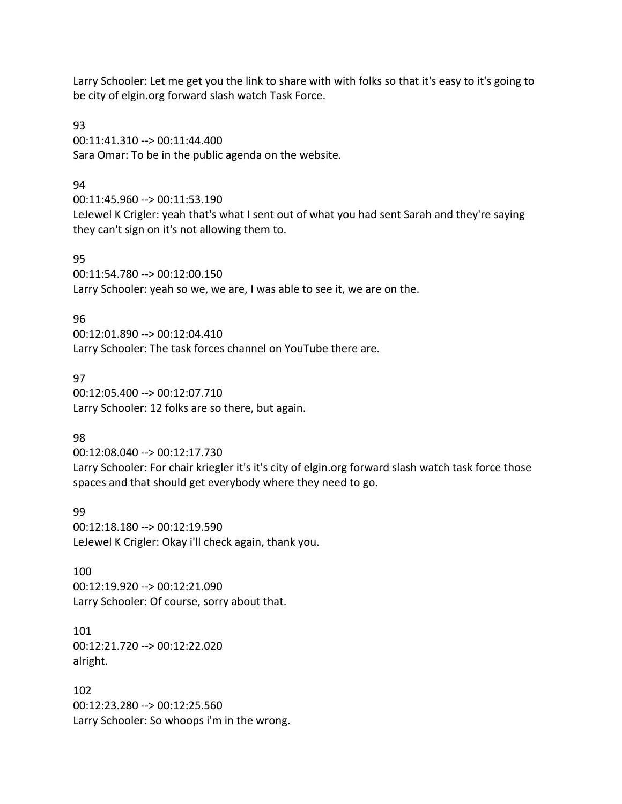Larry Schooler: Let me get you the link to share with with folks so that it's easy to it's going to be city of elgin.org forward slash watch Task Force.

93 00:11:41.310 --> 00:11:44.400 Sara Omar: To be in the public agenda on the website.

### 94

00:11:45.960 --> 00:11:53.190 LeJewel K Crigler: yeah that's what I sent out of what you had sent Sarah and they're saying they can't sign on it's not allowing them to.

### 95

00:11:54.780 --> 00:12:00.150 Larry Schooler: yeah so we, we are, I was able to see it, we are on the.

### 96

00:12:01.890 --> 00:12:04.410 Larry Schooler: The task forces channel on YouTube there are.

### 97

00:12:05.400 --> 00:12:07.710 Larry Schooler: 12 folks are so there, but again.

## 98

00:12:08.040 --> 00:12:17.730 Larry Schooler: For chair kriegler it's it's city of elgin.org forward slash watch task force those spaces and that should get everybody where they need to go.

99 00:12:18.180 --> 00:12:19.590 LeJewel K Crigler: Okay i'll check again, thank you.

100 00:12:19.920 --> 00:12:21.090 Larry Schooler: Of course, sorry about that.

101 00:12:21.720 --> 00:12:22.020 alright.

102 00:12:23.280 --> 00:12:25.560 Larry Schooler: So whoops i'm in the wrong.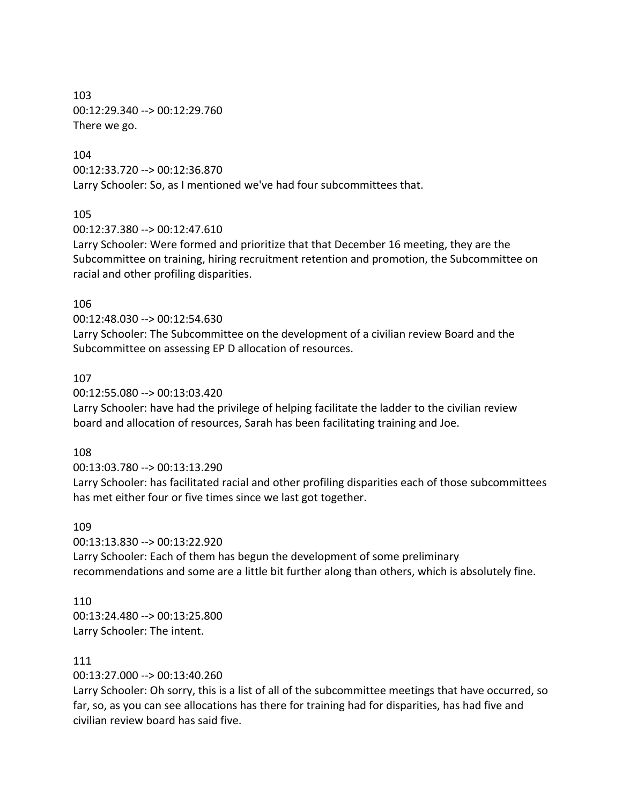103 00:12:29.340 --> 00:12:29.760 There we go.

#### 104

00:12:33.720 --> 00:12:36.870 Larry Schooler: So, as I mentioned we've had four subcommittees that.

#### 105

00:12:37.380 --> 00:12:47.610

Larry Schooler: Were formed and prioritize that that December 16 meeting, they are the Subcommittee on training, hiring recruitment retention and promotion, the Subcommittee on racial and other profiling disparities.

#### 106

00:12:48.030 --> 00:12:54.630

Larry Schooler: The Subcommittee on the development of a civilian review Board and the Subcommittee on assessing EP D allocation of resources.

#### 107

00:12:55.080 --> 00:13:03.420

Larry Schooler: have had the privilege of helping facilitate the ladder to the civilian review board and allocation of resources, Sarah has been facilitating training and Joe.

#### 108

00:13:03.780 --> 00:13:13.290

Larry Schooler: has facilitated racial and other profiling disparities each of those subcommittees has met either four or five times since we last got together.

#### 109

00:13:13.830 --> 00:13:22.920 Larry Schooler: Each of them has begun the development of some preliminary recommendations and some are a little bit further along than others, which is absolutely fine.

#### 110

00:13:24.480 --> 00:13:25.800 Larry Schooler: The intent.

#### 111

00:13:27.000 --> 00:13:40.260

Larry Schooler: Oh sorry, this is a list of all of the subcommittee meetings that have occurred, so far, so, as you can see allocations has there for training had for disparities, has had five and civilian review board has said five.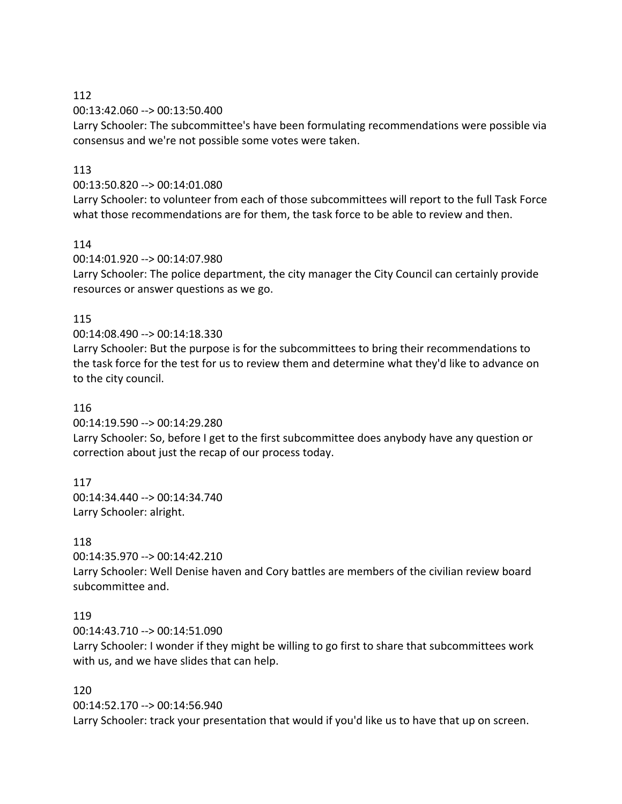00:13:42.060 --> 00:13:50.400

Larry Schooler: The subcommittee's have been formulating recommendations were possible via consensus and we're not possible some votes were taken.

### 113

### 00:13:50.820 --> 00:14:01.080

Larry Schooler: to volunteer from each of those subcommittees will report to the full Task Force what those recommendations are for them, the task force to be able to review and then.

### 114

00:14:01.920 --> 00:14:07.980

Larry Schooler: The police department, the city manager the City Council can certainly provide resources or answer questions as we go.

### 115

### 00:14:08.490 --> 00:14:18.330

Larry Schooler: But the purpose is for the subcommittees to bring their recommendations to the task force for the test for us to review them and determine what they'd like to advance on to the city council.

### 116

00:14:19.590 --> 00:14:29.280

Larry Schooler: So, before I get to the first subcommittee does anybody have any question or correction about just the recap of our process today.

### 117

00:14:34.440 --> 00:14:34.740 Larry Schooler: alright.

## 118

00:14:35.970 --> 00:14:42.210

Larry Schooler: Well Denise haven and Cory battles are members of the civilian review board subcommittee and.

### 119

00:14:43.710 --> 00:14:51.090

Larry Schooler: I wonder if they might be willing to go first to share that subcommittees work with us, and we have slides that can help.

### 120

00:14:52.170 --> 00:14:56.940 Larry Schooler: track your presentation that would if you'd like us to have that up on screen.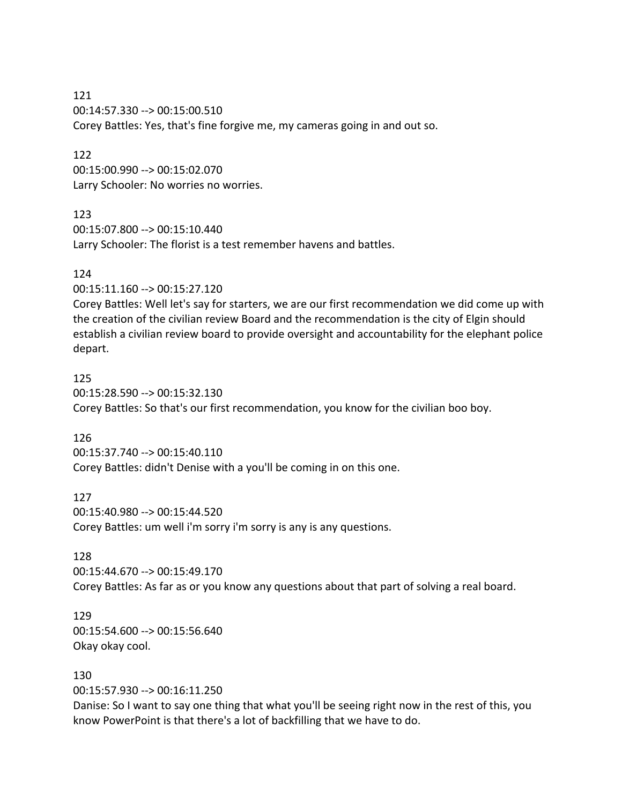121 00:14:57.330 --> 00:15:00.510 Corey Battles: Yes, that's fine forgive me, my cameras going in and out so.

122 00:15:00.990 --> 00:15:02.070 Larry Schooler: No worries no worries.

### 123

00:15:07.800 --> 00:15:10.440 Larry Schooler: The florist is a test remember havens and battles.

### 124

00:15:11.160 --> 00:15:27.120

Corey Battles: Well let's say for starters, we are our first recommendation we did come up with the creation of the civilian review Board and the recommendation is the city of Elgin should establish a civilian review board to provide oversight and accountability for the elephant police depart.

### 125

00:15:28.590 --> 00:15:32.130 Corey Battles: So that's our first recommendation, you know for the civilian boo boy.

### 126

00:15:37.740 --> 00:15:40.110 Corey Battles: didn't Denise with a you'll be coming in on this one.

#### 127

00:15:40.980 --> 00:15:44.520 Corey Battles: um well i'm sorry i'm sorry is any is any questions.

### 128

00:15:44.670 --> 00:15:49.170 Corey Battles: As far as or you know any questions about that part of solving a real board.

## 129

00:15:54.600 --> 00:15:56.640 Okay okay cool.

### 130

00:15:57.930 --> 00:16:11.250

Danise: So I want to say one thing that what you'll be seeing right now in the rest of this, you know PowerPoint is that there's a lot of backfilling that we have to do.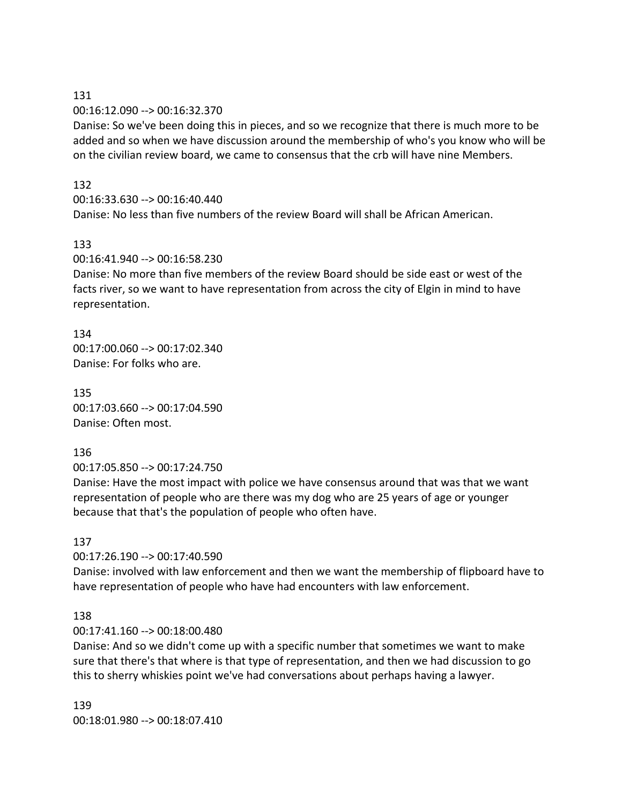#### 131 00:16:12.090 --> 00:16:32.370

Danise: So we've been doing this in pieces, and so we recognize that there is much more to be added and so when we have discussion around the membership of who's you know who will be on the civilian review board, we came to consensus that the crb will have nine Members.

## 132

## 00:16:33.630 --> 00:16:40.440

Danise: No less than five numbers of the review Board will shall be African American.

## 133

## 00:16:41.940 --> 00:16:58.230

Danise: No more than five members of the review Board should be side east or west of the facts river, so we want to have representation from across the city of Elgin in mind to have representation.

134 00:17:00.060 --> 00:17:02.340 Danise: For folks who are.

135 00:17:03.660 --> 00:17:04.590 Danise: Often most.

## 136

00:17:05.850 --> 00:17:24.750

Danise: Have the most impact with police we have consensus around that was that we want representation of people who are there was my dog who are 25 years of age or younger because that that's the population of people who often have.

## 137

00:17:26.190 --> 00:17:40.590

Danise: involved with law enforcement and then we want the membership of flipboard have to have representation of people who have had encounters with law enforcement.

## 138

## 00:17:41.160 --> 00:18:00.480

Danise: And so we didn't come up with a specific number that sometimes we want to make sure that there's that where is that type of representation, and then we had discussion to go this to sherry whiskies point we've had conversations about perhaps having a lawyer.

139 00:18:01.980 --> 00:18:07.410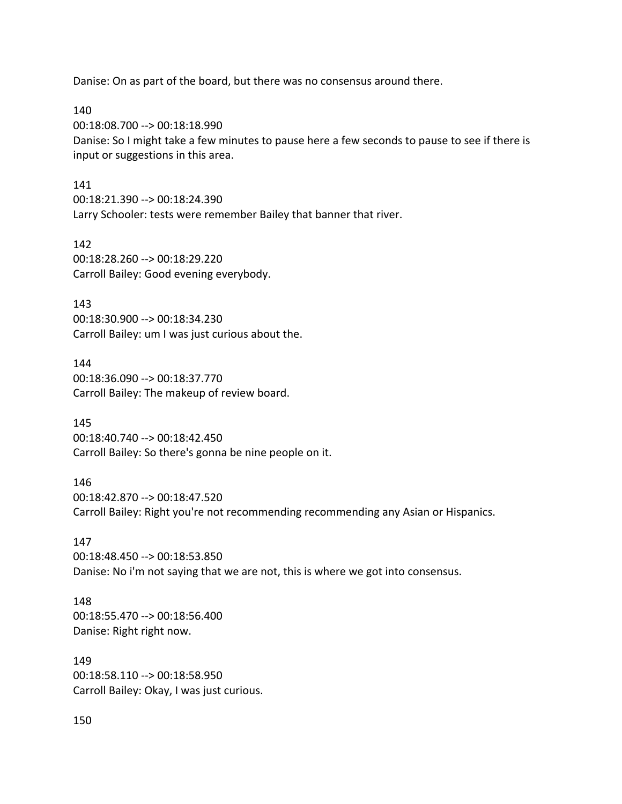Danise: On as part of the board, but there was no consensus around there.

140 00:18:08.700 --> 00:18:18.990 Danise: So I might take a few minutes to pause here a few seconds to pause to see if there is input or suggestions in this area.

#### 141

00:18:21.390 --> 00:18:24.390 Larry Schooler: tests were remember Bailey that banner that river.

142 00:18:28.260 --> 00:18:29.220 Carroll Bailey: Good evening everybody.

143 00:18:30.900 --> 00:18:34.230 Carroll Bailey: um I was just curious about the.

144 00:18:36.090 --> 00:18:37.770 Carroll Bailey: The makeup of review board.

145 00:18:40.740 --> 00:18:42.450 Carroll Bailey: So there's gonna be nine people on it.

146 00:18:42.870 --> 00:18:47.520 Carroll Bailey: Right you're not recommending recommending any Asian or Hispanics.

147 00:18:48.450 --> 00:18:53.850 Danise: No i'm not saying that we are not, this is where we got into consensus.

148 00:18:55.470 --> 00:18:56.400 Danise: Right right now.

149 00:18:58.110 --> 00:18:58.950 Carroll Bailey: Okay, I was just curious.

150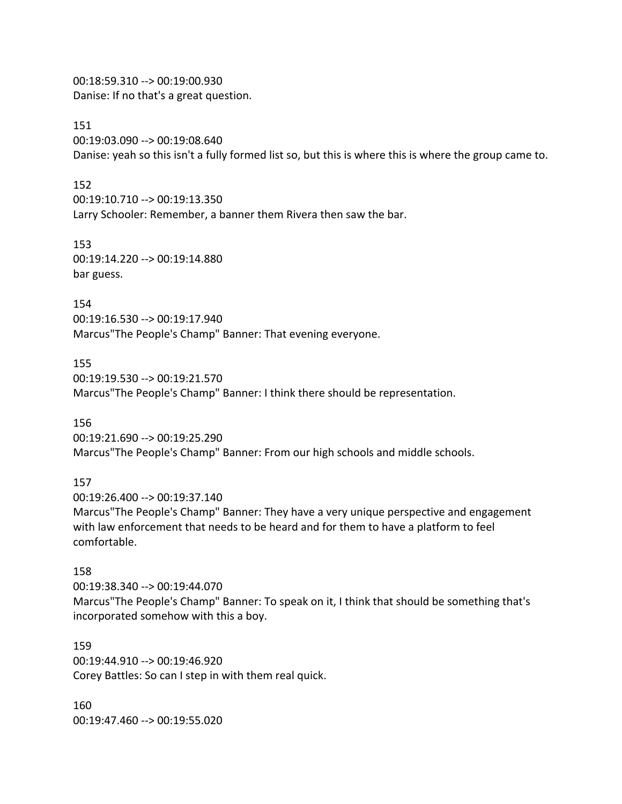00:18:59.310 --> 00:19:00.930 Danise: If no that's a great question.

151

00:19:03.090 --> 00:19:08.640

Danise: yeah so this isn't a fully formed list so, but this is where this is where the group came to.

152

00:19:10.710 --> 00:19:13.350

Larry Schooler: Remember, a banner them Rivera then saw the bar.

153 00:19:14.220 --> 00:19:14.880 bar guess.

154 00:19:16.530 --> 00:19:17.940 Marcus"The People's Champ" Banner: That evening everyone.

155 00:19:19.530 --> 00:19:21.570 Marcus"The People's Champ" Banner: I think there should be representation.

156 00:19:21.690 --> 00:19:25.290 Marcus"The People's Champ" Banner: From our high schools and middle schools.

157

00:19:26.400 --> 00:19:37.140

Marcus"The People's Champ" Banner: They have a very unique perspective and engagement with law enforcement that needs to be heard and for them to have a platform to feel comfortable.

### 158

00:19:38.340 --> 00:19:44.070 Marcus"The People's Champ" Banner: To speak on it, I think that should be something that's incorporated somehow with this a boy.

159 00:19:44.910 --> 00:19:46.920 Corey Battles: So can I step in with them real quick.

160 00:19:47.460 --> 00:19:55.020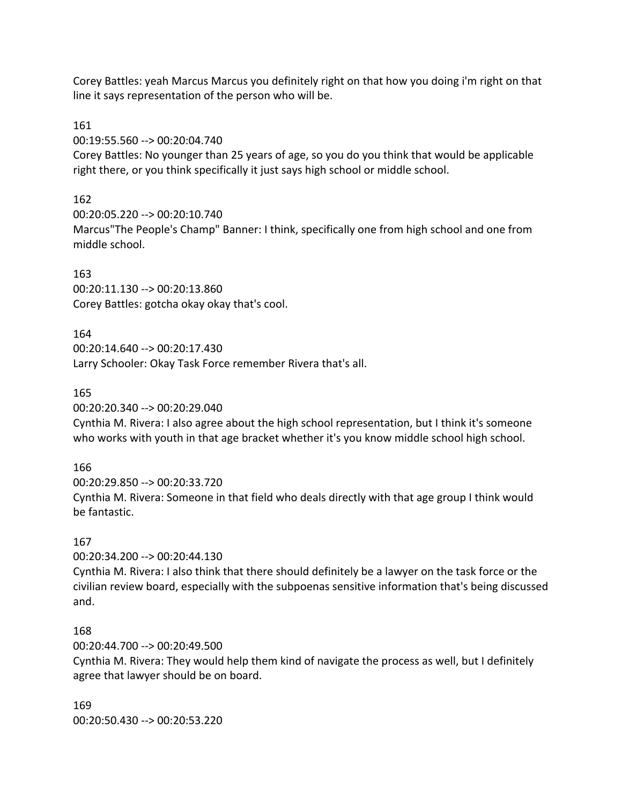Corey Battles: yeah Marcus Marcus you definitely right on that how you doing i'm right on that line it says representation of the person who will be.

## 161

00:19:55.560 --> 00:20:04.740

Corey Battles: No younger than 25 years of age, so you do you think that would be applicable right there, or you think specifically it just says high school or middle school.

## 162

00:20:05.220 --> 00:20:10.740 Marcus"The People's Champ" Banner: I think, specifically one from high school and one from middle school.

## 163

00:20:11.130 --> 00:20:13.860 Corey Battles: gotcha okay okay that's cool.

## 164

00:20:14.640 --> 00:20:17.430 Larry Schooler: Okay Task Force remember Rivera that's all.

## 165

00:20:20.340 --> 00:20:29.040

Cynthia M. Rivera: I also agree about the high school representation, but I think it's someone who works with youth in that age bracket whether it's you know middle school high school.

## 166

00:20:29.850 --> 00:20:33.720 Cynthia M. Rivera: Someone in that field who deals directly with that age group I think would be fantastic.

## 167

00:20:34.200 --> 00:20:44.130

Cynthia M. Rivera: I also think that there should definitely be a lawyer on the task force or the civilian review board, especially with the subpoenas sensitive information that's being discussed and.

## 168

00:20:44.700 --> 00:20:49.500

Cynthia M. Rivera: They would help them kind of navigate the process as well, but I definitely agree that lawyer should be on board.

169 00:20:50.430 --> 00:20:53.220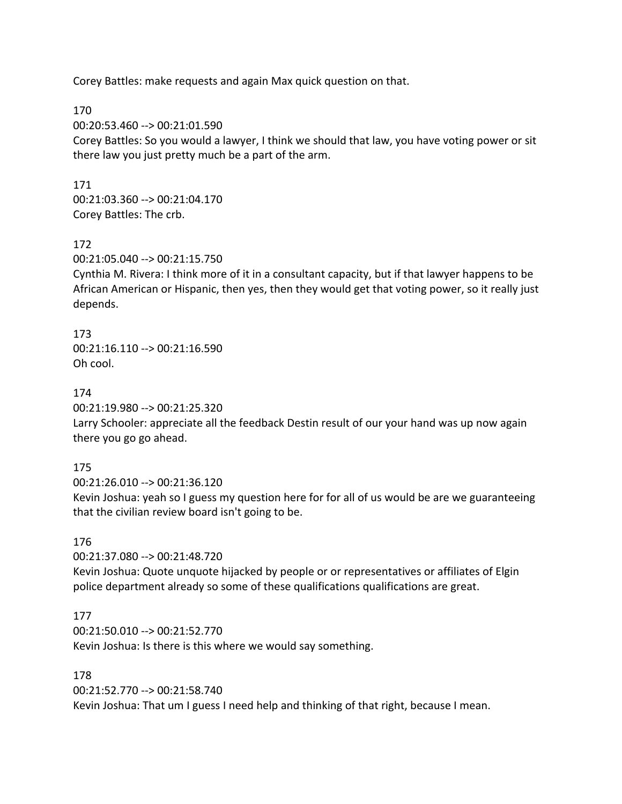Corey Battles: make requests and again Max quick question on that.

170

00:20:53.460 --> 00:21:01.590

Corey Battles: So you would a lawyer, I think we should that law, you have voting power or sit there law you just pretty much be a part of the arm.

171

00:21:03.360 --> 00:21:04.170 Corey Battles: The crb.

### 172

00:21:05.040 --> 00:21:15.750

Cynthia M. Rivera: I think more of it in a consultant capacity, but if that lawyer happens to be African American or Hispanic, then yes, then they would get that voting power, so it really just depends.

173 00:21:16.110 --> 00:21:16.590 Oh cool.

174

00:21:19.980 --> 00:21:25.320

Larry Schooler: appreciate all the feedback Destin result of our your hand was up now again there you go go ahead.

175

00:21:26.010 --> 00:21:36.120

Kevin Joshua: yeah so I guess my question here for for all of us would be are we guaranteeing that the civilian review board isn't going to be.

## 176

00:21:37.080 --> 00:21:48.720

Kevin Joshua: Quote unquote hijacked by people or or representatives or affiliates of Elgin police department already so some of these qualifications qualifications are great.

## 177

00:21:50.010 --> 00:21:52.770 Kevin Joshua: Is there is this where we would say something.

178

00:21:52.770 --> 00:21:58.740 Kevin Joshua: That um I guess I need help and thinking of that right, because I mean.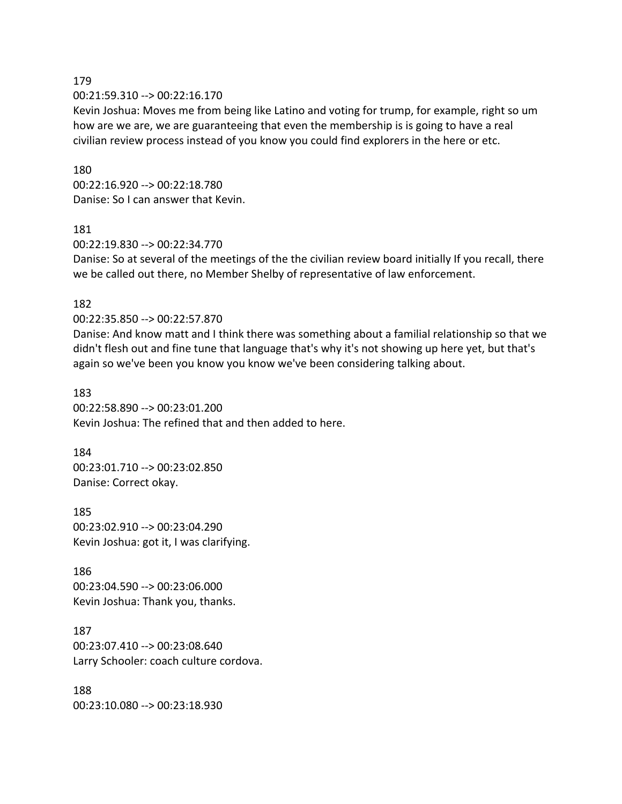00:21:59.310 --> 00:22:16.170

Kevin Joshua: Moves me from being like Latino and voting for trump, for example, right so um how are we are, we are guaranteeing that even the membership is is going to have a real civilian review process instead of you know you could find explorers in the here or etc.

#### 180

00:22:16.920 --> 00:22:18.780 Danise: So I can answer that Kevin.

#### 181

00:22:19.830 --> 00:22:34.770

Danise: So at several of the meetings of the the civilian review board initially If you recall, there we be called out there, no Member Shelby of representative of law enforcement.

### 182

00:22:35.850 --> 00:22:57.870

Danise: And know matt and I think there was something about a familial relationship so that we didn't flesh out and fine tune that language that's why it's not showing up here yet, but that's again so we've been you know you know we've been considering talking about.

183 00:22:58.890 --> 00:23:01.200 Kevin Joshua: The refined that and then added to here.

## 184 00:23:01.710 --> 00:23:02.850 Danise: Correct okay.

185 00:23:02.910 --> 00:23:04.290 Kevin Joshua: got it, I was clarifying.

186 00:23:04.590 --> 00:23:06.000 Kevin Joshua: Thank you, thanks.

187 00:23:07.410 --> 00:23:08.640 Larry Schooler: coach culture cordova.

188 00:23:10.080 --> 00:23:18.930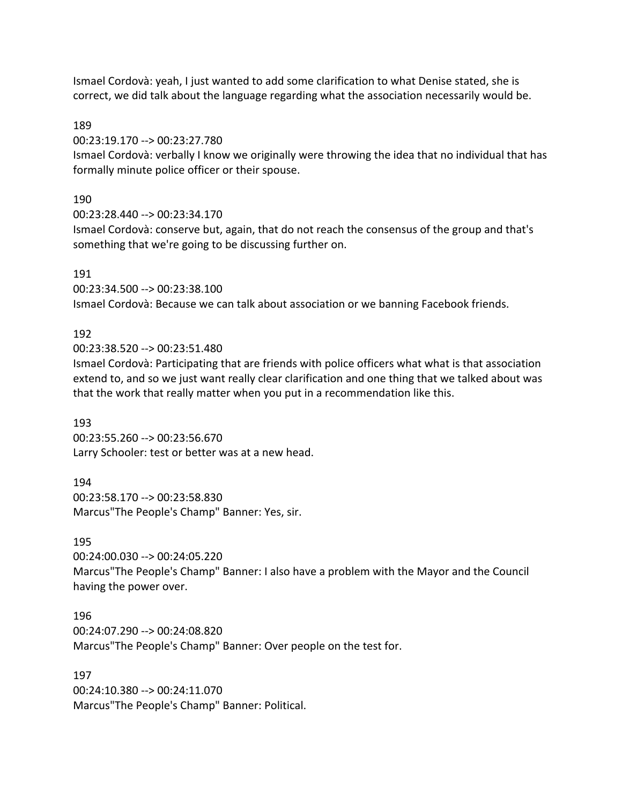Ismael Cordovà: yeah, I just wanted to add some clarification to what Denise stated, she is correct, we did talk about the language regarding what the association necessarily would be.

189

00:23:19.170 --> 00:23:27.780

Ismael Cordovà: verbally I know we originally were throwing the idea that no individual that has formally minute police officer or their spouse.

190

00:23:28.440 --> 00:23:34.170

Ismael Cordovà: conserve but, again, that do not reach the consensus of the group and that's something that we're going to be discussing further on.

191

00:23:34.500 --> 00:23:38.100 Ismael Cordovà: Because we can talk about association or we banning Facebook friends.

### 192

00:23:38.520 --> 00:23:51.480

Ismael Cordovà: Participating that are friends with police officers what what is that association extend to, and so we just want really clear clarification and one thing that we talked about was that the work that really matter when you put in a recommendation like this.

193

00:23:55.260 --> 00:23:56.670 Larry Schooler: test or better was at a new head.

194 00:23:58.170 --> 00:23:58.830 Marcus"The People's Champ" Banner: Yes, sir.

195

00:24:00.030 --> 00:24:05.220

Marcus"The People's Champ" Banner: I also have a problem with the Mayor and the Council having the power over.

196

00:24:07.290 --> 00:24:08.820 Marcus"The People's Champ" Banner: Over people on the test for.

197

00:24:10.380 --> 00:24:11.070 Marcus"The People's Champ" Banner: Political.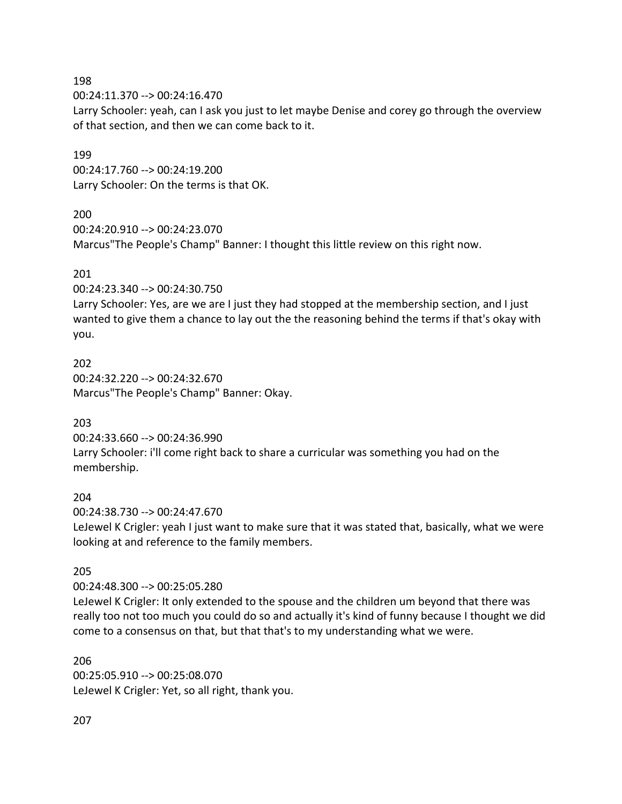00:24:11.370 --> 00:24:16.470

Larry Schooler: yeah, can I ask you just to let maybe Denise and corey go through the overview of that section, and then we can come back to it.

#### 199

00:24:17.760 --> 00:24:19.200 Larry Schooler: On the terms is that OK.

### 200

00:24:20.910 --> 00:24:23.070 Marcus"The People's Champ" Banner: I thought this little review on this right now.

### 201

00:24:23.340 --> 00:24:30.750

Larry Schooler: Yes, are we are I just they had stopped at the membership section, and I just wanted to give them a chance to lay out the the reasoning behind the terms if that's okay with you.

202 00:24:32.220 --> 00:24:32.670 Marcus"The People's Champ" Banner: Okay.

203

00:24:33.660 --> 00:24:36.990 Larry Schooler: i'll come right back to share a curricular was something you had on the membership.

### 204

00:24:38.730 --> 00:24:47.670 LeJewel K Crigler: yeah I just want to make sure that it was stated that, basically, what we were looking at and reference to the family members.

### 205

00:24:48.300 --> 00:25:05.280

LeJewel K Crigler: It only extended to the spouse and the children um beyond that there was really too not too much you could do so and actually it's kind of funny because I thought we did come to a consensus on that, but that that's to my understanding what we were.

206 00:25:05.910 --> 00:25:08.070 LeJewel K Crigler: Yet, so all right, thank you.

207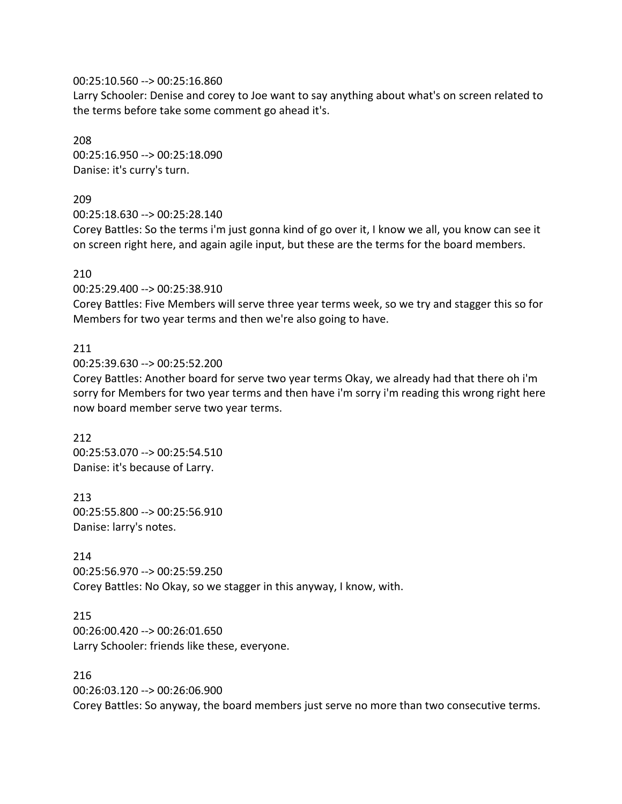#### 00:25:10.560 --> 00:25:16.860

Larry Schooler: Denise and corey to Joe want to say anything about what's on screen related to the terms before take some comment go ahead it's.

208 00:25:16.950 --> 00:25:18.090 Danise: it's curry's turn.

### 209

00:25:18.630 --> 00:25:28.140

Corey Battles: So the terms i'm just gonna kind of go over it, I know we all, you know can see it on screen right here, and again agile input, but these are the terms for the board members.

#### 210

00:25:29.400 --> 00:25:38.910

Corey Battles: Five Members will serve three year terms week, so we try and stagger this so for Members for two year terms and then we're also going to have.

### 211

00:25:39.630 --> 00:25:52.200

Corey Battles: Another board for serve two year terms Okay, we already had that there oh i'm sorry for Members for two year terms and then have i'm sorry i'm reading this wrong right here now board member serve two year terms.

212 00:25:53.070 --> 00:25:54.510 Danise: it's because of Larry.

213 00:25:55.800 --> 00:25:56.910 Danise: larry's notes.

214 00:25:56.970 --> 00:25:59.250 Corey Battles: No Okay, so we stagger in this anyway, I know, with.

215 00:26:00.420 --> 00:26:01.650 Larry Schooler: friends like these, everyone.

216

00:26:03.120 --> 00:26:06.900 Corey Battles: So anyway, the board members just serve no more than two consecutive terms.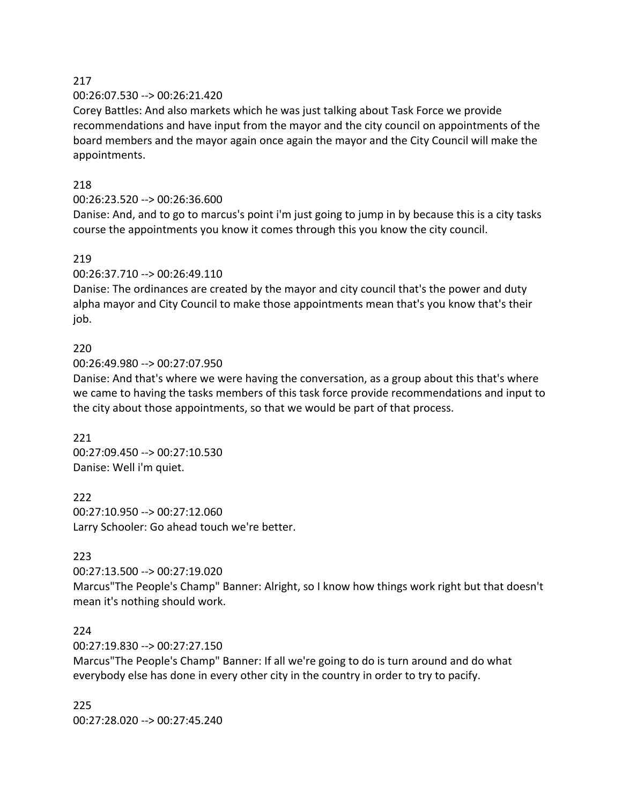### 00:26:07.530 --> 00:26:21.420

Corey Battles: And also markets which he was just talking about Task Force we provide recommendations and have input from the mayor and the city council on appointments of the board members and the mayor again once again the mayor and the City Council will make the appointments.

### 218

## 00:26:23.520 --> 00:26:36.600

Danise: And, and to go to marcus's point i'm just going to jump in by because this is a city tasks course the appointments you know it comes through this you know the city council.

### 219

00:26:37.710 --> 00:26:49.110

Danise: The ordinances are created by the mayor and city council that's the power and duty alpha mayor and City Council to make those appointments mean that's you know that's their job.

## 220

00:26:49.980 --> 00:27:07.950

Danise: And that's where we were having the conversation, as a group about this that's where we came to having the tasks members of this task force provide recommendations and input to the city about those appointments, so that we would be part of that process.

### 221 00:27:09.450 --> 00:27:10.530 Danise: Well i'm quiet.

222 00:27:10.950 --> 00:27:12.060 Larry Schooler: Go ahead touch we're better.

## 223

00:27:13.500 --> 00:27:19.020 Marcus"The People's Champ" Banner: Alright, so I know how things work right but that doesn't mean it's nothing should work.

## 224

00:27:19.830 --> 00:27:27.150

Marcus"The People's Champ" Banner: If all we're going to do is turn around and do what everybody else has done in every other city in the country in order to try to pacify.

225 00:27:28.020 --> 00:27:45.240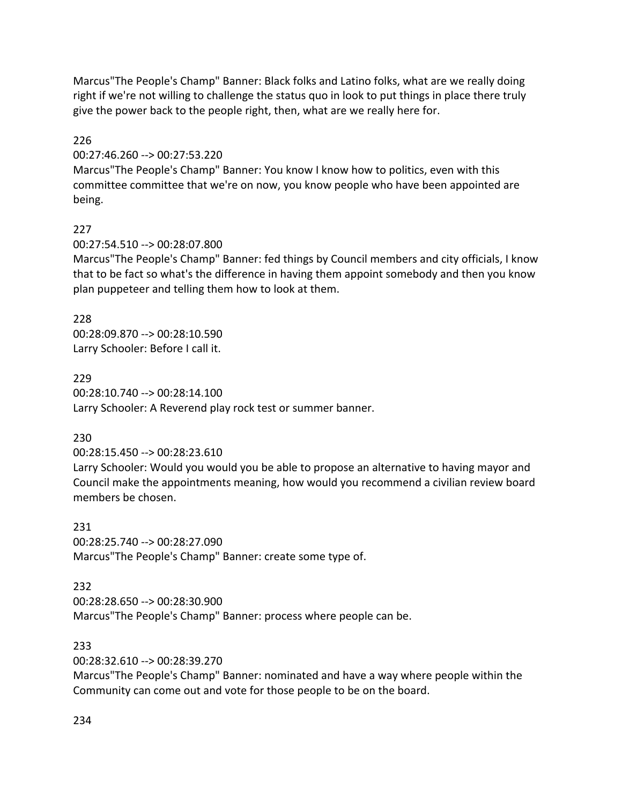Marcus"The People's Champ" Banner: Black folks and Latino folks, what are we really doing right if we're not willing to challenge the status quo in look to put things in place there truly give the power back to the people right, then, what are we really here for.

226

00:27:46.260 --> 00:27:53.220

Marcus"The People's Champ" Banner: You know I know how to politics, even with this committee committee that we're on now, you know people who have been appointed are being.

## 227

00:27:54.510 --> 00:28:07.800

Marcus"The People's Champ" Banner: fed things by Council members and city officials, I know that to be fact so what's the difference in having them appoint somebody and then you know plan puppeteer and telling them how to look at them.

228

00:28:09.870 --> 00:28:10.590 Larry Schooler: Before I call it.

229

00:28:10.740 --> 00:28:14.100 Larry Schooler: A Reverend play rock test or summer banner.

## 230

00:28:15.450 --> 00:28:23.610

Larry Schooler: Would you would you be able to propose an alternative to having mayor and Council make the appointments meaning, how would you recommend a civilian review board members be chosen.

231 00:28:25.740 --> 00:28:27.090 Marcus"The People's Champ" Banner: create some type of.

## 232

00:28:28.650 --> 00:28:30.900 Marcus"The People's Champ" Banner: process where people can be.

233

00:28:32.610 --> 00:28:39.270

Marcus"The People's Champ" Banner: nominated and have a way where people within the Community can come out and vote for those people to be on the board.

234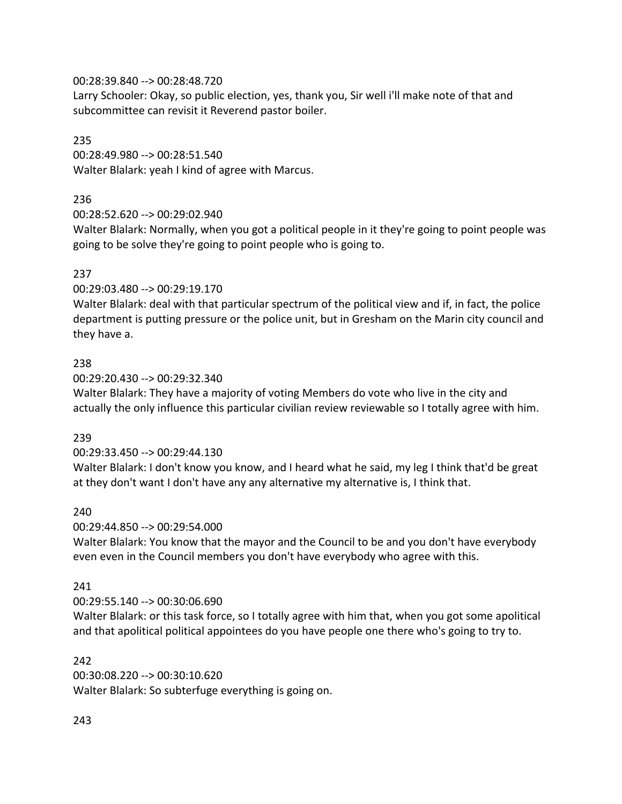### 00:28:39.840 --> 00:28:48.720

Larry Schooler: Okay, so public election, yes, thank you, Sir well i'll make note of that and subcommittee can revisit it Reverend pastor boiler.

### 235

00:28:49.980 --> 00:28:51.540 Walter Blalark: yeah I kind of agree with Marcus.

## 236

00:28:52.620 --> 00:29:02.940

Walter Blalark: Normally, when you got a political people in it they're going to point people was going to be solve they're going to point people who is going to.

## 237

00:29:03.480 --> 00:29:19.170

Walter Blalark: deal with that particular spectrum of the political view and if, in fact, the police department is putting pressure or the police unit, but in Gresham on the Marin city council and they have a.

### 238

00:29:20.430 --> 00:29:32.340

Walter Blalark: They have a majority of voting Members do vote who live in the city and actually the only influence this particular civilian review reviewable so I totally agree with him.

## 239

00:29:33.450 --> 00:29:44.130

Walter Blalark: I don't know you know, and I heard what he said, my leg I think that'd be great at they don't want I don't have any any alternative my alternative is, I think that.

## 240

00:29:44.850 --> 00:29:54.000

Walter Blalark: You know that the mayor and the Council to be and you don't have everybody even even in the Council members you don't have everybody who agree with this.

## 241

### 00:29:55.140 --> 00:30:06.690

Walter Blalark: or this task force, so I totally agree with him that, when you got some apolitical and that apolitical political appointees do you have people one there who's going to try to.

### 242

00:30:08.220 --> 00:30:10.620 Walter Blalark: So subterfuge everything is going on.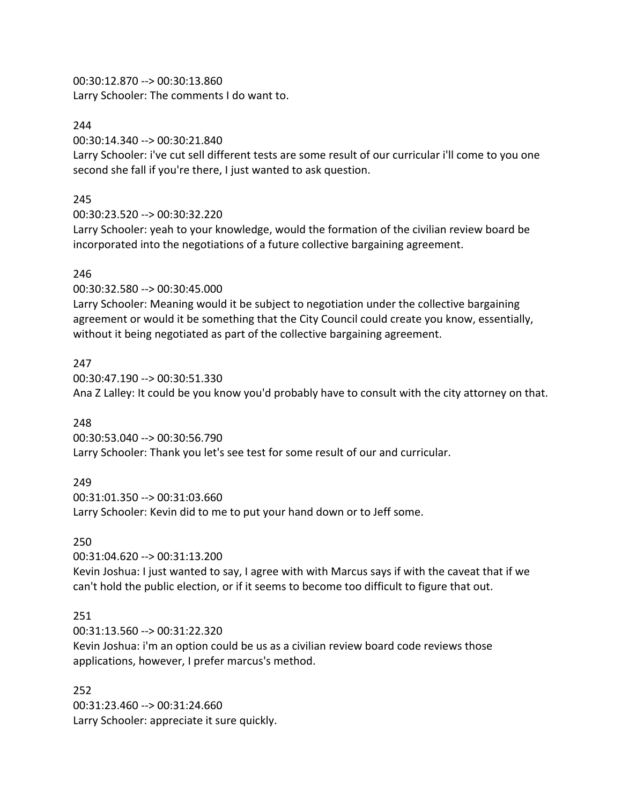00:30:12.870 --> 00:30:13.860

Larry Schooler: The comments I do want to.

## 244

00:30:14.340 --> 00:30:21.840

Larry Schooler: i've cut sell different tests are some result of our curricular i'll come to you one second she fall if you're there, I just wanted to ask question.

## 245

00:30:23.520 --> 00:30:32.220

Larry Schooler: yeah to your knowledge, would the formation of the civilian review board be incorporated into the negotiations of a future collective bargaining agreement.

## 246

00:30:32.580 --> 00:30:45.000

Larry Schooler: Meaning would it be subject to negotiation under the collective bargaining agreement or would it be something that the City Council could create you know, essentially, without it being negotiated as part of the collective bargaining agreement.

## 247

00:30:47.190 --> 00:30:51.330 Ana Z Lalley: It could be you know you'd probably have to consult with the city attorney on that.

## 248

00:30:53.040 --> 00:30:56.790 Larry Schooler: Thank you let's see test for some result of our and curricular.

## 249

00:31:01.350 --> 00:31:03.660 Larry Schooler: Kevin did to me to put your hand down or to Jeff some.

## 250

00:31:04.620 --> 00:31:13.200

Kevin Joshua: I just wanted to say, I agree with with Marcus says if with the caveat that if we can't hold the public election, or if it seems to become too difficult to figure that out.

## 251

00:31:13.560 --> 00:31:22.320

Kevin Joshua: i'm an option could be us as a civilian review board code reviews those applications, however, I prefer marcus's method.

## 252

00:31:23.460 --> 00:31:24.660 Larry Schooler: appreciate it sure quickly.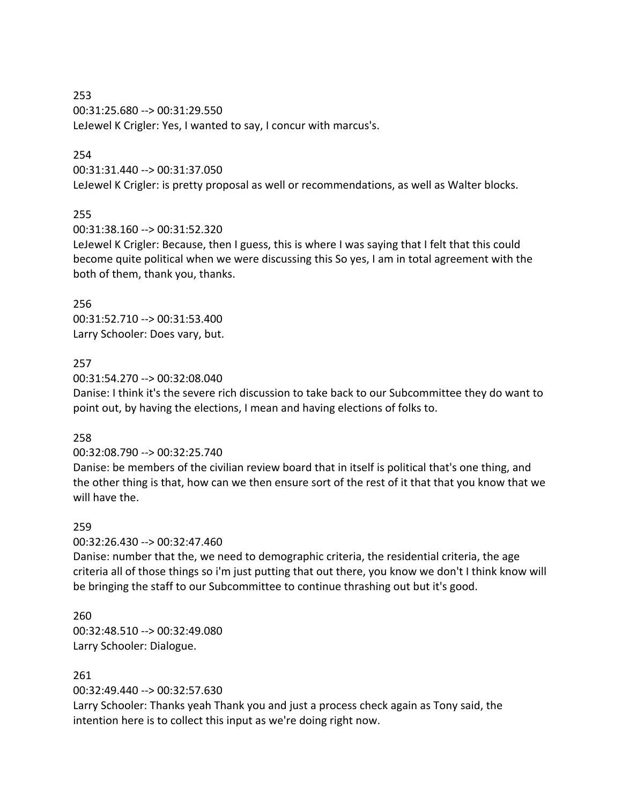253 00:31:25.680 --> 00:31:29.550 LeJewel K Crigler: Yes, I wanted to say, I concur with marcus's.

#### 254

00:31:31.440 --> 00:31:37.050

LeJewel K Crigler: is pretty proposal as well or recommendations, as well as Walter blocks.

#### 255

00:31:38.160 --> 00:31:52.320

LeJewel K Crigler: Because, then I guess, this is where I was saying that I felt that this could become quite political when we were discussing this So yes, I am in total agreement with the both of them, thank you, thanks.

256 00:31:52.710 --> 00:31:53.400 Larry Schooler: Does vary, but.

#### 257

00:31:54.270 --> 00:32:08.040

Danise: I think it's the severe rich discussion to take back to our Subcommittee they do want to point out, by having the elections, I mean and having elections of folks to.

#### 258

00:32:08.790 --> 00:32:25.740

Danise: be members of the civilian review board that in itself is political that's one thing, and the other thing is that, how can we then ensure sort of the rest of it that that you know that we will have the.

#### 259

00:32:26.430 --> 00:32:47.460

Danise: number that the, we need to demographic criteria, the residential criteria, the age criteria all of those things so i'm just putting that out there, you know we don't I think know will be bringing the staff to our Subcommittee to continue thrashing out but it's good.

#### 260

00:32:48.510 --> 00:32:49.080 Larry Schooler: Dialogue.

### 261

00:32:49.440 --> 00:32:57.630

Larry Schooler: Thanks yeah Thank you and just a process check again as Tony said, the intention here is to collect this input as we're doing right now.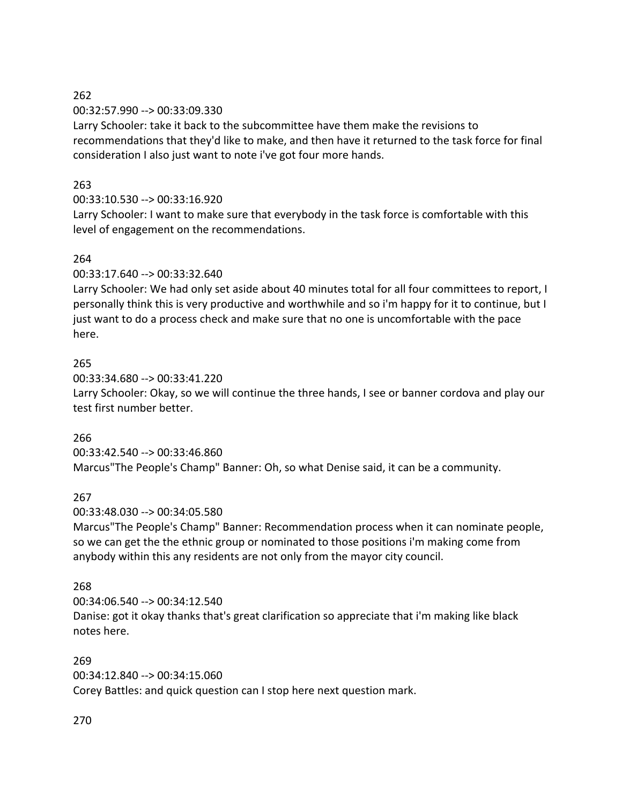00:32:57.990 --> 00:33:09.330

Larry Schooler: take it back to the subcommittee have them make the revisions to recommendations that they'd like to make, and then have it returned to the task force for final consideration I also just want to note i've got four more hands.

## 263

## 00:33:10.530 --> 00:33:16.920

Larry Schooler: I want to make sure that everybody in the task force is comfortable with this level of engagement on the recommendations.

## 264

00:33:17.640 --> 00:33:32.640

Larry Schooler: We had only set aside about 40 minutes total for all four committees to report, I personally think this is very productive and worthwhile and so i'm happy for it to continue, but I just want to do a process check and make sure that no one is uncomfortable with the pace here.

## 265

00:33:34.680 --> 00:33:41.220

Larry Schooler: Okay, so we will continue the three hands, I see or banner cordova and play our test first number better.

## 266

00:33:42.540 --> 00:33:46.860 Marcus"The People's Champ" Banner: Oh, so what Denise said, it can be a community.

## 267

00:33:48.030 --> 00:34:05.580

Marcus"The People's Champ" Banner: Recommendation process when it can nominate people, so we can get the the ethnic group or nominated to those positions i'm making come from anybody within this any residents are not only from the mayor city council.

## 268

00:34:06.540 --> 00:34:12.540 Danise: got it okay thanks that's great clarification so appreciate that i'm making like black notes here.

### 269

00:34:12.840 --> 00:34:15.060

Corey Battles: and quick question can I stop here next question mark.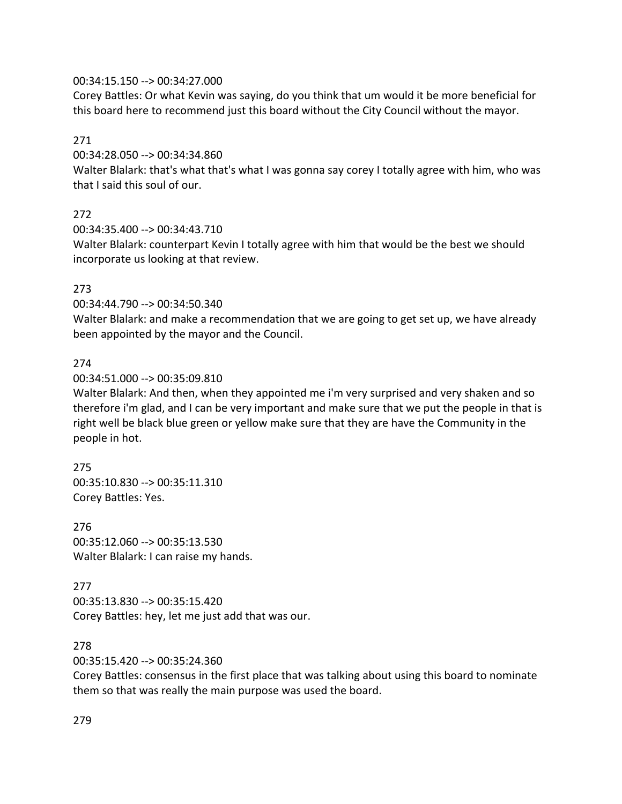### 00:34:15.150 --> 00:34:27.000

Corey Battles: Or what Kevin was saying, do you think that um would it be more beneficial for this board here to recommend just this board without the City Council without the mayor.

### 271

00:34:28.050 --> 00:34:34.860

Walter Blalark: that's what that's what I was gonna say corey I totally agree with him, who was that I said this soul of our.

## 272

00:34:35.400 --> 00:34:43.710

Walter Blalark: counterpart Kevin I totally agree with him that would be the best we should incorporate us looking at that review.

### 273

00:34:44.790 --> 00:34:50.340

Walter Blalark: and make a recommendation that we are going to get set up, we have already been appointed by the mayor and the Council.

### 274

00:34:51.000 --> 00:35:09.810

Walter Blalark: And then, when they appointed me i'm very surprised and very shaken and so therefore i'm glad, and I can be very important and make sure that we put the people in that is right well be black blue green or yellow make sure that they are have the Community in the people in hot.

## 275 00:35:10.830 --> 00:35:11.310 Corey Battles: Yes.

276 00:35:12.060 --> 00:35:13.530 Walter Blalark: I can raise my hands.

### 277

00:35:13.830 --> 00:35:15.420 Corey Battles: hey, let me just add that was our.

### 278

00:35:15.420 --> 00:35:24.360

Corey Battles: consensus in the first place that was talking about using this board to nominate them so that was really the main purpose was used the board.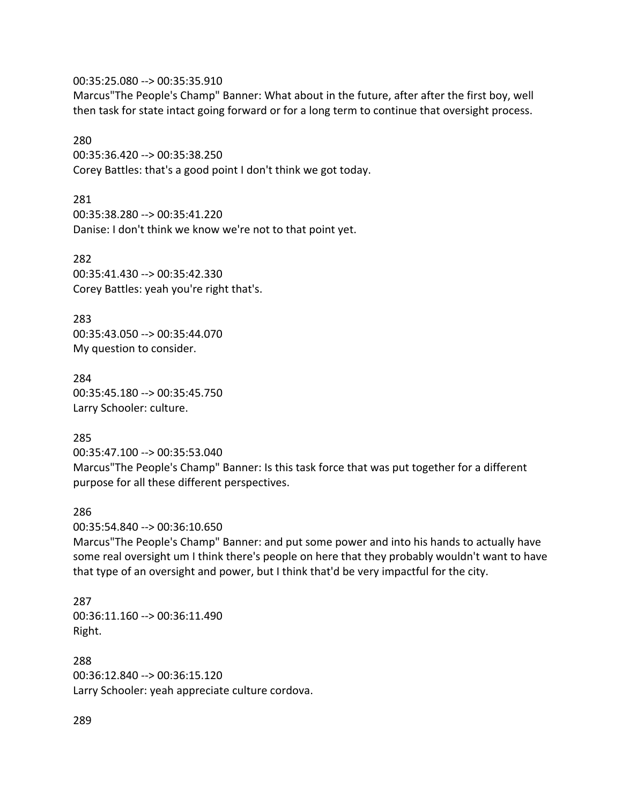00:35:25.080 --> 00:35:35.910

Marcus"The People's Champ" Banner: What about in the future, after after the first boy, well then task for state intact going forward or for a long term to continue that oversight process.

#### 280

00:35:36.420 --> 00:35:38.250 Corey Battles: that's a good point I don't think we got today.

281

00:35:38.280 --> 00:35:41.220 Danise: I don't think we know we're not to that point yet.

282 00:35:41.430 --> 00:35:42.330 Corey Battles: yeah you're right that's.

283 00:35:43.050 --> 00:35:44.070 My question to consider.

284 00:35:45.180 --> 00:35:45.750 Larry Schooler: culture.

## 285

00:35:47.100 --> 00:35:53.040 Marcus"The People's Champ" Banner: Is this task force that was put together for a different purpose for all these different perspectives.

### 286

00:35:54.840 --> 00:36:10.650

Marcus"The People's Champ" Banner: and put some power and into his hands to actually have some real oversight um I think there's people on here that they probably wouldn't want to have that type of an oversight and power, but I think that'd be very impactful for the city.

287 00:36:11.160 --> 00:36:11.490 Right.

288 00:36:12.840 --> 00:36:15.120 Larry Schooler: yeah appreciate culture cordova.

289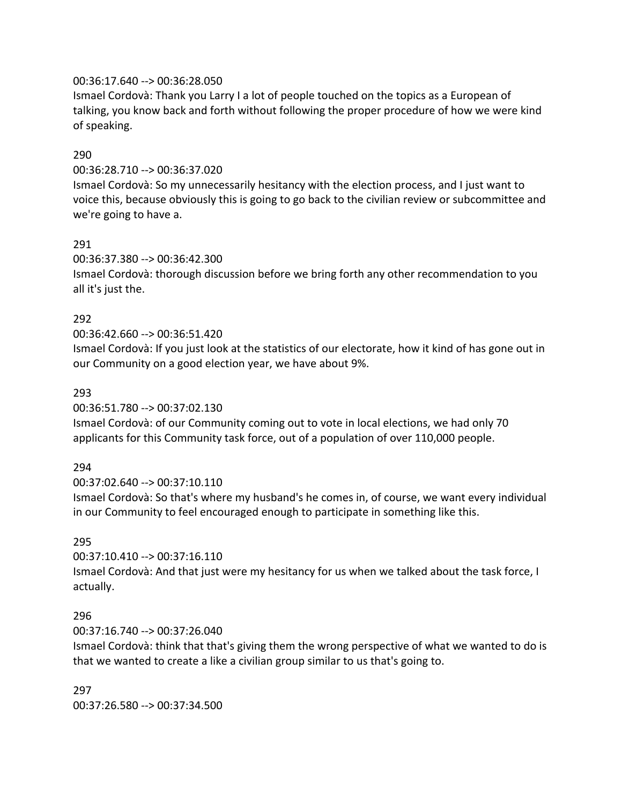### 00:36:17.640 --> 00:36:28.050

Ismael Cordovà: Thank you Larry I a lot of people touched on the topics as a European of talking, you know back and forth without following the proper procedure of how we were kind of speaking.

### 290

00:36:28.710 --> 00:36:37.020

Ismael Cordovà: So my unnecessarily hesitancy with the election process, and I just want to voice this, because obviously this is going to go back to the civilian review or subcommittee and we're going to have a.

### 291

00:36:37.380 --> 00:36:42.300

Ismael Cordovà: thorough discussion before we bring forth any other recommendation to you all it's just the.

### 292

#### 00:36:42.660 --> 00:36:51.420

Ismael Cordovà: If you just look at the statistics of our electorate, how it kind of has gone out in our Community on a good election year, we have about 9%.

#### 293

00:36:51.780 --> 00:37:02.130

Ismael Cordovà: of our Community coming out to vote in local elections, we had only 70 applicants for this Community task force, out of a population of over 110,000 people.

### 294

00:37:02.640 --> 00:37:10.110 Ismael Cordovà: So that's where my husband's he comes in, of course, we want every individual in our Community to feel encouraged enough to participate in something like this.

### 295

00:37:10.410 --> 00:37:16.110

Ismael Cordovà: And that just were my hesitancy for us when we talked about the task force, I actually.

#### 296

00:37:16.740 --> 00:37:26.040

Ismael Cordovà: think that that's giving them the wrong perspective of what we wanted to do is that we wanted to create a like a civilian group similar to us that's going to.

297 00:37:26.580 --> 00:37:34.500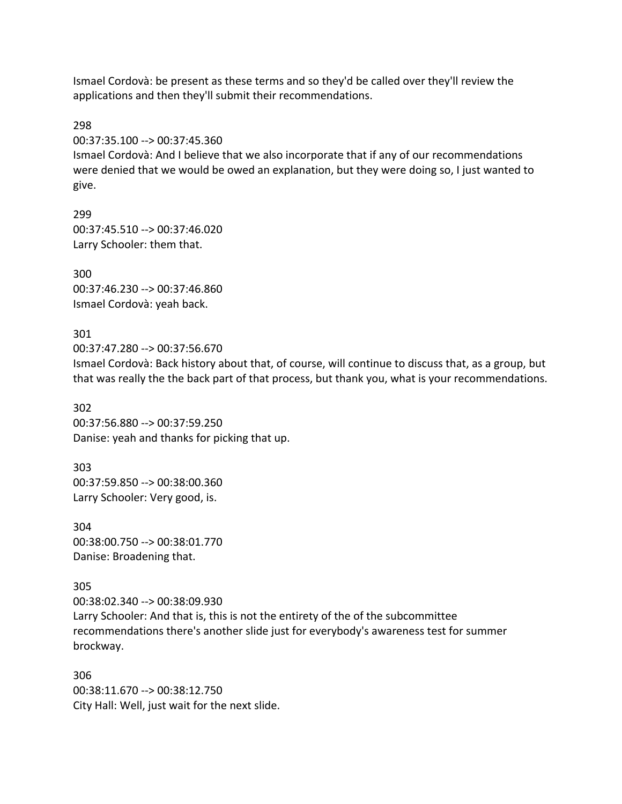Ismael Cordovà: be present as these terms and so they'd be called over they'll review the applications and then they'll submit their recommendations.

298

00:37:35.100 --> 00:37:45.360

Ismael Cordovà: And I believe that we also incorporate that if any of our recommendations were denied that we would be owed an explanation, but they were doing so, I just wanted to give.

299 00:37:45.510 --> 00:37:46.020 Larry Schooler: them that.

300 00:37:46.230 --> 00:37:46.860 Ismael Cordovà: yeah back.

301 00:37:47.280 --> 00:37:56.670 Ismael Cordovà: Back history about that, of course, will continue to discuss that, as a group, but that was really the the back part of that process, but thank you, what is your recommendations.

302 00:37:56.880 --> 00:37:59.250 Danise: yeah and thanks for picking that up.

303 00:37:59.850 --> 00:38:00.360 Larry Schooler: Very good, is.

304 00:38:00.750 --> 00:38:01.770 Danise: Broadening that.

305

00:38:02.340 --> 00:38:09.930 Larry Schooler: And that is, this is not the entirety of the of the subcommittee recommendations there's another slide just for everybody's awareness test for summer brockway.

306 00:38:11.670 --> 00:38:12.750 City Hall: Well, just wait for the next slide.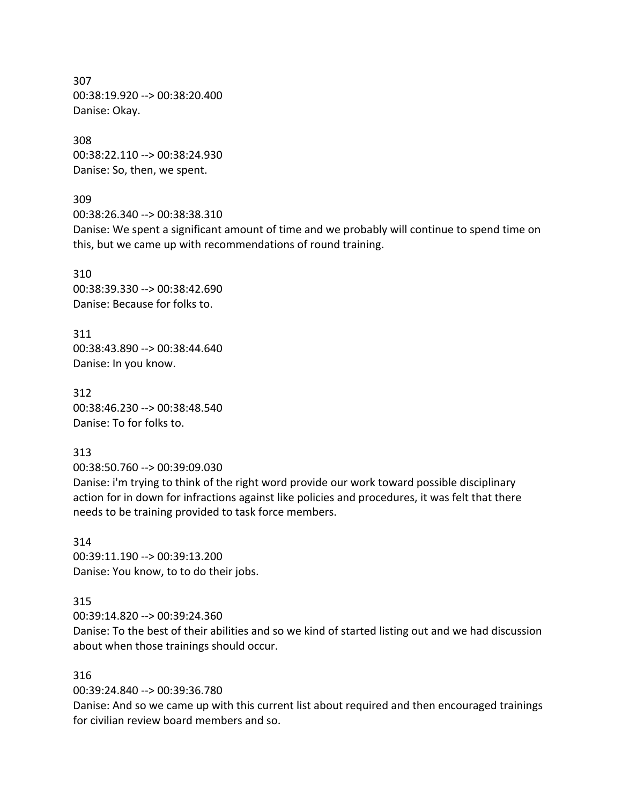307 00:38:19.920 --> 00:38:20.400 Danise: Okay.

308 00:38:22.110 --> 00:38:24.930 Danise: So, then, we spent.

309 00:38:26.340 --> 00:38:38.310

Danise: We spent a significant amount of time and we probably will continue to spend time on this, but we came up with recommendations of round training.

310 00:38:39.330 --> 00:38:42.690 Danise: Because for folks to.

311 00:38:43.890 --> 00:38:44.640 Danise: In you know.

312 00:38:46.230 --> 00:38:48.540 Danise: To for folks to.

313

00:38:50.760 --> 00:39:09.030

Danise: i'm trying to think of the right word provide our work toward possible disciplinary action for in down for infractions against like policies and procedures, it was felt that there needs to be training provided to task force members.

314 00:39:11.190 --> 00:39:13.200 Danise: You know, to to do their jobs.

315

00:39:14.820 --> 00:39:24.360

Danise: To the best of their abilities and so we kind of started listing out and we had discussion about when those trainings should occur.

316

00:39:24.840 --> 00:39:36.780

Danise: And so we came up with this current list about required and then encouraged trainings for civilian review board members and so.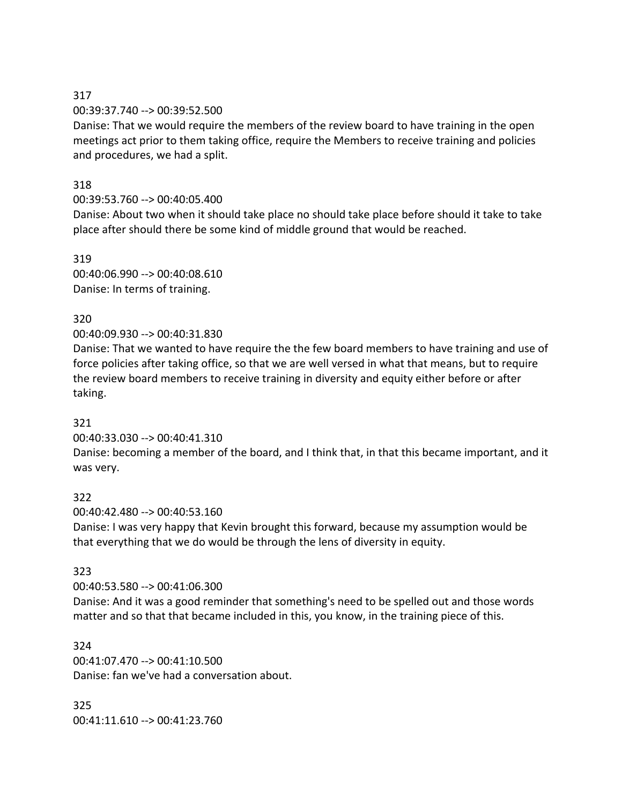### 317 00:39:37.740 --> 00:39:52.500

Danise: That we would require the members of the review board to have training in the open meetings act prior to them taking office, require the Members to receive training and policies and procedures, we had a split.

## 318

## 00:39:53.760 --> 00:40:05.400

Danise: About two when it should take place no should take place before should it take to take place after should there be some kind of middle ground that would be reached.

319 00:40:06.990 --> 00:40:08.610 Danise: In terms of training.

## 320

00:40:09.930 --> 00:40:31.830

Danise: That we wanted to have require the the few board members to have training and use of force policies after taking office, so that we are well versed in what that means, but to require the review board members to receive training in diversity and equity either before or after taking.

## 321

00:40:33.030 --> 00:40:41.310

Danise: becoming a member of the board, and I think that, in that this became important, and it was very.

## 322

00:40:42.480 --> 00:40:53.160 Danise: I was very happy that Kevin brought this forward, because my assumption would be that everything that we do would be through the lens of diversity in equity.

## 323

00:40:53.580 --> 00:41:06.300

Danise: And it was a good reminder that something's need to be spelled out and those words matter and so that that became included in this, you know, in the training piece of this.

324 00:41:07.470 --> 00:41:10.500 Danise: fan we've had a conversation about.

325 00:41:11.610 --> 00:41:23.760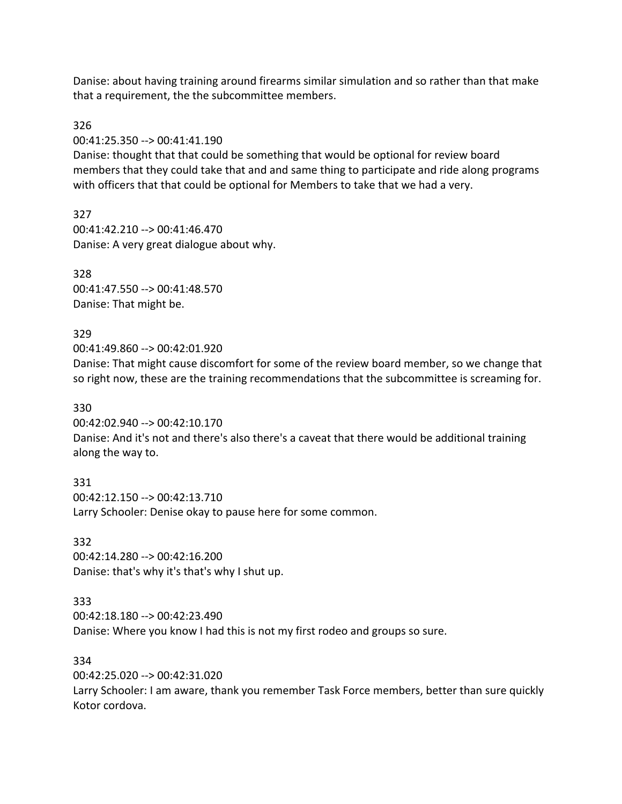Danise: about having training around firearms similar simulation and so rather than that make that a requirement, the the subcommittee members.

326

00:41:25.350 --> 00:41:41.190

Danise: thought that that could be something that would be optional for review board members that they could take that and and same thing to participate and ride along programs with officers that that could be optional for Members to take that we had a very.

327 00:41:42.210 --> 00:41:46.470 Danise: A very great dialogue about why.

328 00:41:47.550 --> 00:41:48.570 Danise: That might be.

## 329

00:41:49.860 --> 00:42:01.920

Danise: That might cause discomfort for some of the review board member, so we change that so right now, these are the training recommendations that the subcommittee is screaming for.

## 330

00:42:02.940 --> 00:42:10.170 Danise: And it's not and there's also there's a caveat that there would be additional training along the way to.

331 00:42:12.150 --> 00:42:13.710 Larry Schooler: Denise okay to pause here for some common.

332 00:42:14.280 --> 00:42:16.200 Danise: that's why it's that's why I shut up.

## 333

00:42:18.180 --> 00:42:23.490 Danise: Where you know I had this is not my first rodeo and groups so sure.

### 334

00:42:25.020 --> 00:42:31.020

Larry Schooler: I am aware, thank you remember Task Force members, better than sure quickly Kotor cordova.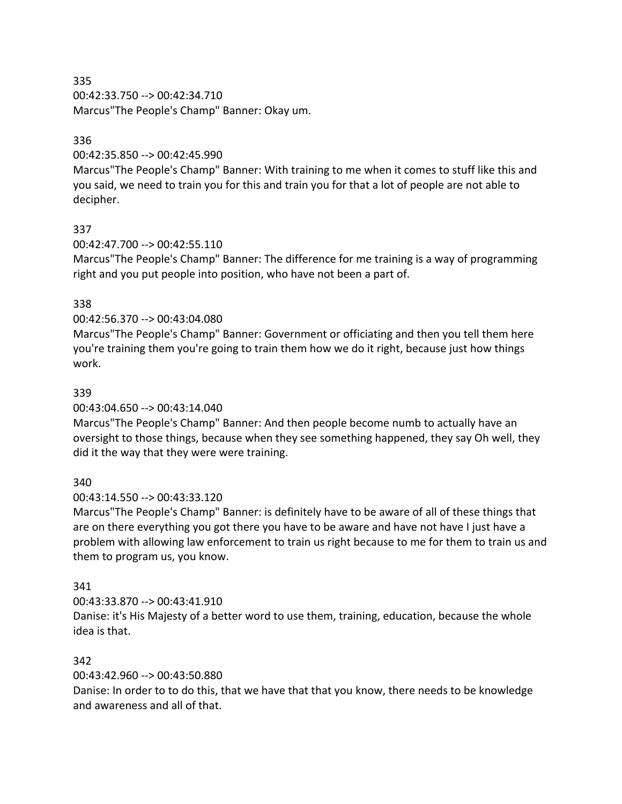335 00:42:33.750 --> 00:42:34.710 Marcus"The People's Champ" Banner: Okay um.

## 336

00:42:35.850 --> 00:42:45.990

Marcus"The People's Champ" Banner: With training to me when it comes to stuff like this and you said, we need to train you for this and train you for that a lot of people are not able to decipher.

# 337

00:42:47.700 --> 00:42:55.110

Marcus"The People's Champ" Banner: The difference for me training is a way of programming right and you put people into position, who have not been a part of.

# 338

# 00:42:56.370 --> 00:43:04.080

Marcus"The People's Champ" Banner: Government or officiating and then you tell them here you're training them you're going to train them how we do it right, because just how things work.

## 339

00:43:04.650 --> 00:43:14.040

Marcus"The People's Champ" Banner: And then people become numb to actually have an oversight to those things, because when they see something happened, they say Oh well, they did it the way that they were were training.

# 340

00:43:14.550 --> 00:43:33.120

Marcus"The People's Champ" Banner: is definitely have to be aware of all of these things that are on there everything you got there you have to be aware and have not have I just have a problem with allowing law enforcement to train us right because to me for them to train us and them to program us, you know.

## 341

00:43:33.870 --> 00:43:41.910

Danise: it's His Majesty of a better word to use them, training, education, because the whole idea is that.

## 342

00:43:42.960 --> 00:43:50.880

Danise: In order to to do this, that we have that that you know, there needs to be knowledge and awareness and all of that.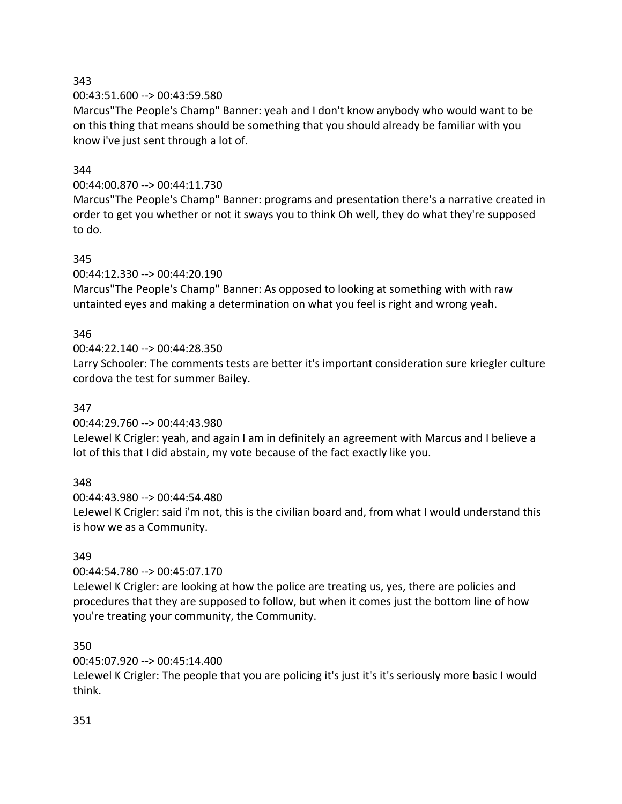## 343

00:43:51.600 --> 00:43:59.580

Marcus"The People's Champ" Banner: yeah and I don't know anybody who would want to be on this thing that means should be something that you should already be familiar with you know i've just sent through a lot of.

## 344

## 00:44:00.870 --> 00:44:11.730

Marcus"The People's Champ" Banner: programs and presentation there's a narrative created in order to get you whether or not it sways you to think Oh well, they do what they're supposed to do.

## 345

00:44:12.330 --> 00:44:20.190

Marcus"The People's Champ" Banner: As opposed to looking at something with with raw untainted eyes and making a determination on what you feel is right and wrong yeah.

# 346

00:44:22.140 --> 00:44:28.350

Larry Schooler: The comments tests are better it's important consideration sure kriegler culture cordova the test for summer Bailey.

## 347

00:44:29.760 --> 00:44:43.980

LeJewel K Crigler: yeah, and again I am in definitely an agreement with Marcus and I believe a lot of this that I did abstain, my vote because of the fact exactly like you.

## 348

00:44:43.980 --> 00:44:54.480

LeJewel K Crigler: said i'm not, this is the civilian board and, from what I would understand this is how we as a Community.

## 349

00:44:54.780 --> 00:45:07.170

LeJewel K Crigler: are looking at how the police are treating us, yes, there are policies and procedures that they are supposed to follow, but when it comes just the bottom line of how you're treating your community, the Community.

## 350

00:45:07.920 --> 00:45:14.400

LeJewel K Crigler: The people that you are policing it's just it's it's seriously more basic I would think.

#### 351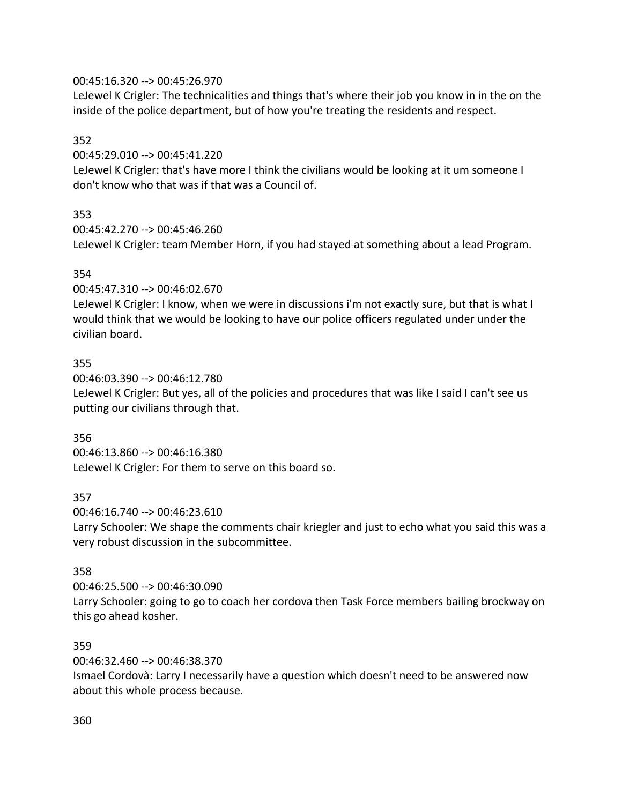## 00:45:16.320 --> 00:45:26.970

LeJewel K Crigler: The technicalities and things that's where their job you know in in the on the inside of the police department, but of how you're treating the residents and respect.

## 352

00:45:29.010 --> 00:45:41.220

LeJewel K Crigler: that's have more I think the civilians would be looking at it um someone I don't know who that was if that was a Council of.

## 353

00:45:42.270 --> 00:45:46.260 LeJewel K Crigler: team Member Horn, if you had stayed at something about a lead Program.

## 354

00:45:47.310 --> 00:46:02.670

LeJewel K Crigler: I know, when we were in discussions i'm not exactly sure, but that is what I would think that we would be looking to have our police officers regulated under under the civilian board.

## 355

00:46:03.390 --> 00:46:12.780 LeJewel K Crigler: But yes, all of the policies and procedures that was like I said I can't see us putting our civilians through that.

#### 356

00:46:13.860 --> 00:46:16.380 LeJewel K Crigler: For them to serve on this board so.

## 357

00:46:16.740 --> 00:46:23.610

Larry Schooler: We shape the comments chair kriegler and just to echo what you said this was a very robust discussion in the subcommittee.

#### 358

00:46:25.500 --> 00:46:30.090

Larry Schooler: going to go to coach her cordova then Task Force members bailing brockway on this go ahead kosher.

#### 359

00:46:32.460 --> 00:46:38.370

Ismael Cordovà: Larry I necessarily have a question which doesn't need to be answered now about this whole process because.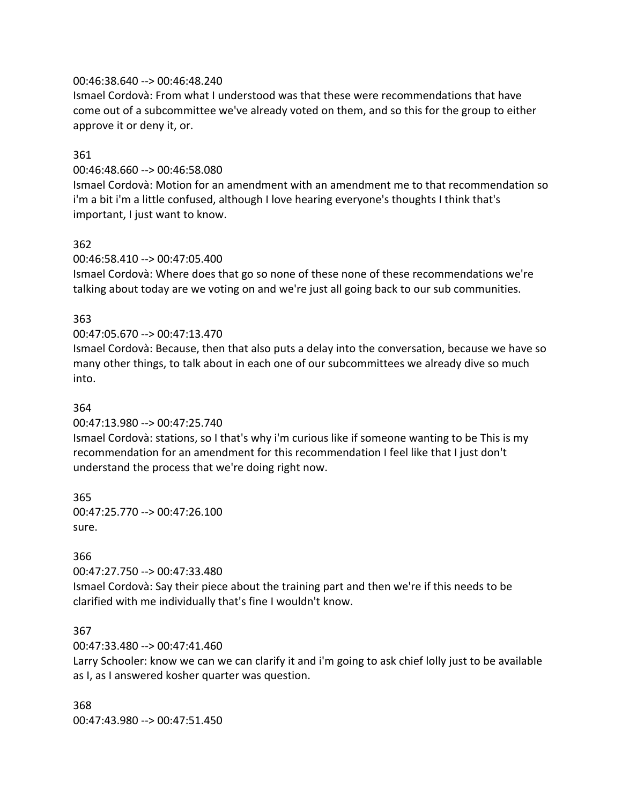#### 00:46:38.640 --> 00:46:48.240

Ismael Cordovà: From what I understood was that these were recommendations that have come out of a subcommittee we've already voted on them, and so this for the group to either approve it or deny it, or.

#### 361

#### 00:46:48.660 --> 00:46:58.080

Ismael Cordovà: Motion for an amendment with an amendment me to that recommendation so i'm a bit i'm a little confused, although I love hearing everyone's thoughts I think that's important, I just want to know.

## 362

## 00:46:58.410 --> 00:47:05.400

Ismael Cordovà: Where does that go so none of these none of these recommendations we're talking about today are we voting on and we're just all going back to our sub communities.

## 363

## 00:47:05.670 --> 00:47:13.470

Ismael Cordovà: Because, then that also puts a delay into the conversation, because we have so many other things, to talk about in each one of our subcommittees we already dive so much into.

#### 364

00:47:13.980 --> 00:47:25.740

Ismael Cordovà: stations, so I that's why i'm curious like if someone wanting to be This is my recommendation for an amendment for this recommendation I feel like that I just don't understand the process that we're doing right now.

365 00:47:25.770 --> 00:47:26.100 sure.

#### 366

00:47:27.750 --> 00:47:33.480

Ismael Cordovà: Say their piece about the training part and then we're if this needs to be clarified with me individually that's fine I wouldn't know.

#### 367

00:47:33.480 --> 00:47:41.460

Larry Schooler: know we can we can clarify it and i'm going to ask chief lolly just to be available as I, as I answered kosher quarter was question.

368 00:47:43.980 --> 00:47:51.450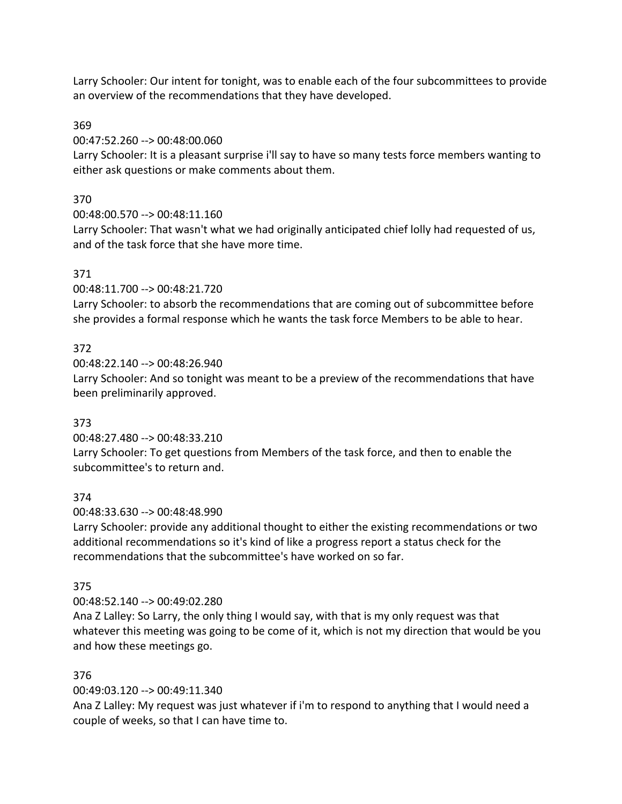Larry Schooler: Our intent for tonight, was to enable each of the four subcommittees to provide an overview of the recommendations that they have developed.

## 369

00:47:52.260 --> 00:48:00.060

Larry Schooler: It is a pleasant surprise i'll say to have so many tests force members wanting to either ask questions or make comments about them.

# 370

00:48:00.570 --> 00:48:11.160

Larry Schooler: That wasn't what we had originally anticipated chief lolly had requested of us, and of the task force that she have more time.

# 371

00:48:11.700 --> 00:48:21.720

Larry Schooler: to absorb the recommendations that are coming out of subcommittee before she provides a formal response which he wants the task force Members to be able to hear.

# 372

00:48:22.140 --> 00:48:26.940

Larry Schooler: And so tonight was meant to be a preview of the recommendations that have been preliminarily approved.

# 373

00:48:27.480 --> 00:48:33.210

Larry Schooler: To get questions from Members of the task force, and then to enable the subcommittee's to return and.

# 374

00:48:33.630 --> 00:48:48.990

Larry Schooler: provide any additional thought to either the existing recommendations or two additional recommendations so it's kind of like a progress report a status check for the recommendations that the subcommittee's have worked on so far.

## 375

00:48:52.140 --> 00:49:02.280

Ana Z Lalley: So Larry, the only thing I would say, with that is my only request was that whatever this meeting was going to be come of it, which is not my direction that would be you and how these meetings go.

# 376

00:49:03.120 --> 00:49:11.340

Ana Z Lalley: My request was just whatever if i'm to respond to anything that I would need a couple of weeks, so that I can have time to.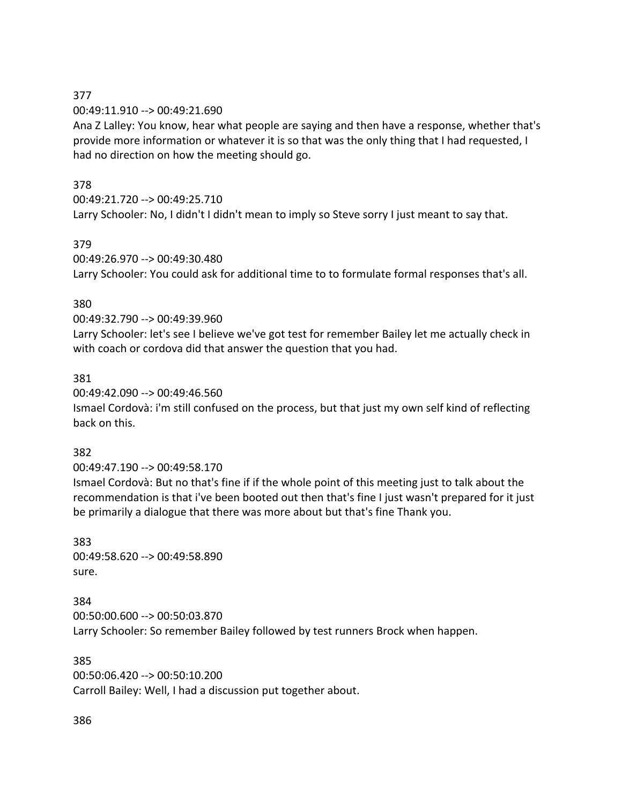## 377

00:49:11.910 --> 00:49:21.690

Ana Z Lalley: You know, hear what people are saying and then have a response, whether that's provide more information or whatever it is so that was the only thing that I had requested, I had no direction on how the meeting should go.

## 378

00:49:21.720 --> 00:49:25.710

Larry Schooler: No, I didn't I didn't mean to imply so Steve sorry I just meant to say that.

# 379

00:49:26.970 --> 00:49:30.480 Larry Schooler: You could ask for additional time to to formulate formal responses that's all.

# 380

00:49:32.790 --> 00:49:39.960

Larry Schooler: let's see I believe we've got test for remember Bailey let me actually check in with coach or cordova did that answer the question that you had.

## 381

00:49:42.090 --> 00:49:46.560

Ismael Cordovà: i'm still confused on the process, but that just my own self kind of reflecting back on this.

## 382

00:49:47.190 --> 00:49:58.170

Ismael Cordovà: But no that's fine if if the whole point of this meeting just to talk about the recommendation is that i've been booted out then that's fine I just wasn't prepared for it just be primarily a dialogue that there was more about but that's fine Thank you.

383 00:49:58.620 --> 00:49:58.890 sure.

384 00:50:00.600 --> 00:50:03.870 Larry Schooler: So remember Bailey followed by test runners Brock when happen.

385 00:50:06.420 --> 00:50:10.200 Carroll Bailey: Well, I had a discussion put together about.

386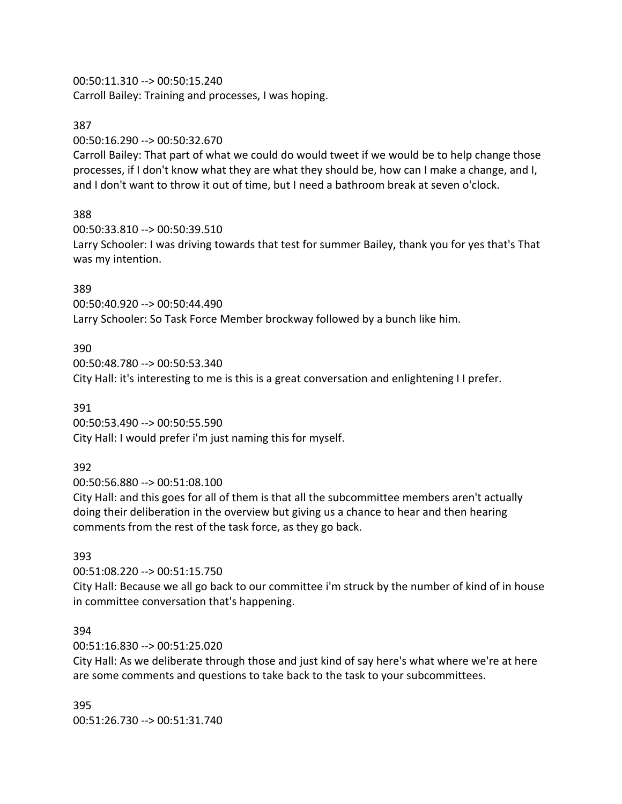## 00:50:11.310 --> 00:50:15.240

Carroll Bailey: Training and processes, I was hoping.

#### 387

00:50:16.290 --> 00:50:32.670

Carroll Bailey: That part of what we could do would tweet if we would be to help change those processes, if I don't know what they are what they should be, how can I make a change, and I, and I don't want to throw it out of time, but I need a bathroom break at seven o'clock.

## 388

00:50:33.810 --> 00:50:39.510 Larry Schooler: I was driving towards that test for summer Bailey, thank you for yes that's That was my intention.

## 389

00:50:40.920 --> 00:50:44.490 Larry Schooler: So Task Force Member brockway followed by a bunch like him.

## 390

00:50:48.780 --> 00:50:53.340 City Hall: it's interesting to me is this is a great conversation and enlightening I I prefer.

## 391

00:50:53.490 --> 00:50:55.590 City Hall: I would prefer i'm just naming this for myself.

## 392

00:50:56.880 --> 00:51:08.100

City Hall: and this goes for all of them is that all the subcommittee members aren't actually doing their deliberation in the overview but giving us a chance to hear and then hearing comments from the rest of the task force, as they go back.

## 393

00:51:08.220 --> 00:51:15.750 City Hall: Because we all go back to our committee i'm struck by the number of kind of in house in committee conversation that's happening.

#### 394

00:51:16.830 --> 00:51:25.020

City Hall: As we deliberate through those and just kind of say here's what where we're at here are some comments and questions to take back to the task to your subcommittees.

395 00:51:26.730 --> 00:51:31.740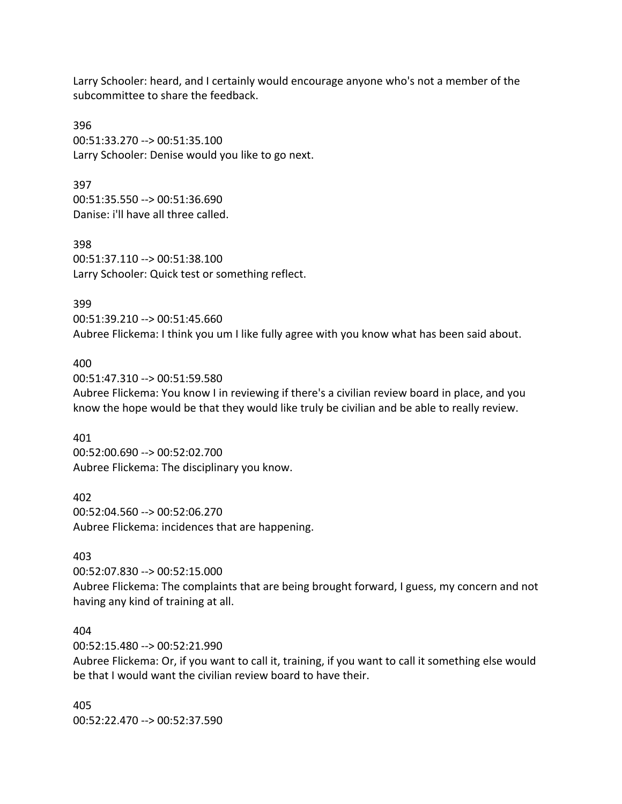Larry Schooler: heard, and I certainly would encourage anyone who's not a member of the subcommittee to share the feedback.

396 00:51:33.270 --> 00:51:35.100 Larry Schooler: Denise would you like to go next.

397 00:51:35.550 --> 00:51:36.690 Danise: i'll have all three called.

398 00:51:37.110 --> 00:51:38.100 Larry Schooler: Quick test or something reflect.

399

00:51:39.210 --> 00:51:45.660 Aubree Flickema: I think you um I like fully agree with you know what has been said about.

#### 400

00:51:47.310 --> 00:51:59.580 Aubree Flickema: You know I in reviewing if there's a civilian review board in place, and you know the hope would be that they would like truly be civilian and be able to really review.

401

00:52:00.690 --> 00:52:02.700 Aubree Flickema: The disciplinary you know.

402 00:52:04.560 --> 00:52:06.270 Aubree Flickema: incidences that are happening.

#### 403

00:52:07.830 --> 00:52:15.000 Aubree Flickema: The complaints that are being brought forward, I guess, my concern and not having any kind of training at all.

#### 404

00:52:15.480 --> 00:52:21.990

Aubree Flickema: Or, if you want to call it, training, if you want to call it something else would be that I would want the civilian review board to have their.

405 00:52:22.470 --> 00:52:37.590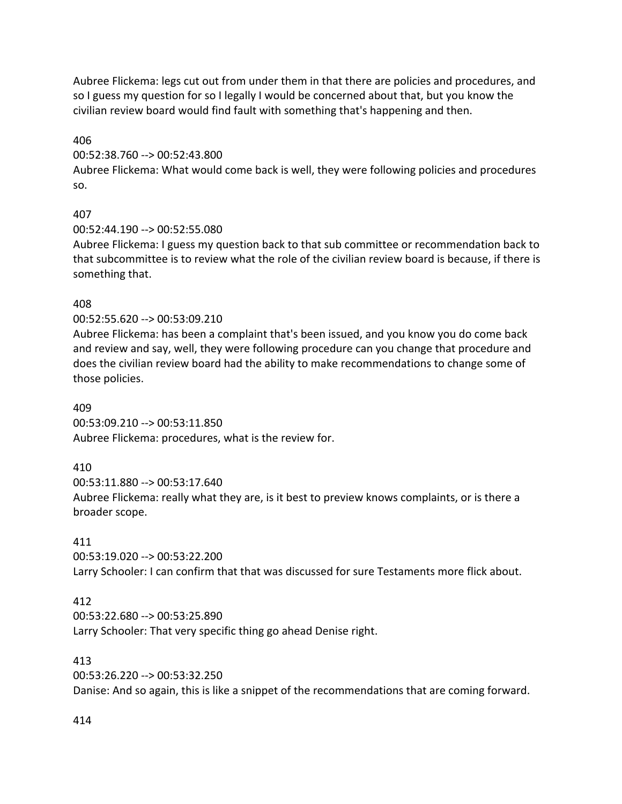Aubree Flickema: legs cut out from under them in that there are policies and procedures, and so I guess my question for so I legally I would be concerned about that, but you know the civilian review board would find fault with something that's happening and then.

406

00:52:38.760 --> 00:52:43.800

Aubree Flickema: What would come back is well, they were following policies and procedures so.

# 407

00:52:44.190 --> 00:52:55.080

Aubree Flickema: I guess my question back to that sub committee or recommendation back to that subcommittee is to review what the role of the civilian review board is because, if there is something that.

# 408

00:52:55.620 --> 00:53:09.210

Aubree Flickema: has been a complaint that's been issued, and you know you do come back and review and say, well, they were following procedure can you change that procedure and does the civilian review board had the ability to make recommendations to change some of those policies.

409 00:53:09.210 --> 00:53:11.850 Aubree Flickema: procedures, what is the review for.

# 410

00:53:11.880 --> 00:53:17.640 Aubree Flickema: really what they are, is it best to preview knows complaints, or is there a broader scope.

# 411

00:53:19.020 --> 00:53:22.200 Larry Schooler: I can confirm that that was discussed for sure Testaments more flick about.

# 412

00:53:22.680 --> 00:53:25.890 Larry Schooler: That very specific thing go ahead Denise right.

# 413

00:53:26.220 --> 00:53:32.250

Danise: And so again, this is like a snippet of the recommendations that are coming forward.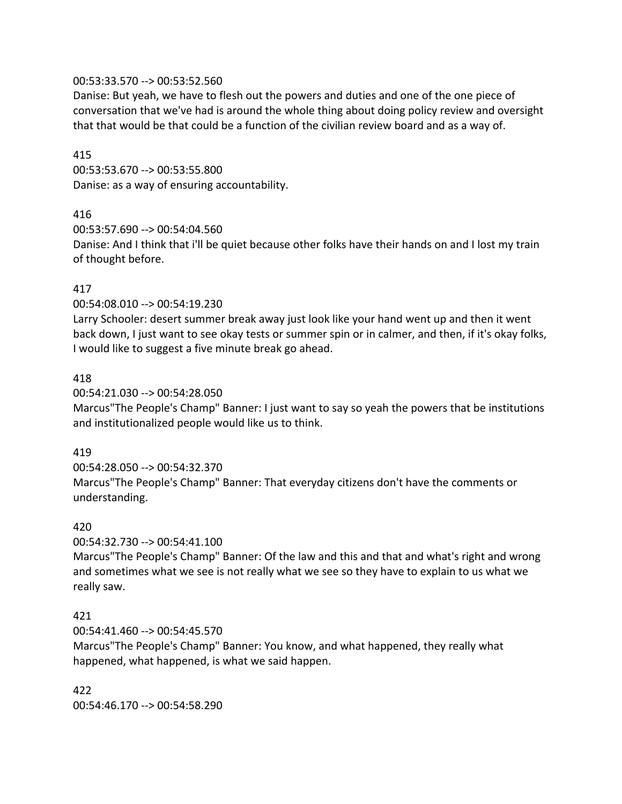## 00:53:33.570 --> 00:53:52.560

Danise: But yeah, we have to flesh out the powers and duties and one of the one piece of conversation that we've had is around the whole thing about doing policy review and oversight that that would be that could be a function of the civilian review board and as a way of.

#### 415

00:53:53.670 --> 00:53:55.800 Danise: as a way of ensuring accountability.

## 416

00:53:57.690 --> 00:54:04.560

Danise: And I think that i'll be quiet because other folks have their hands on and I lost my train of thought before.

## 417

00:54:08.010 --> 00:54:19.230

Larry Schooler: desert summer break away just look like your hand went up and then it went back down, I just want to see okay tests or summer spin or in calmer, and then, if it's okay folks, I would like to suggest a five minute break go ahead.

## 418

00:54:21.030 --> 00:54:28.050

Marcus"The People's Champ" Banner: I just want to say so yeah the powers that be institutions and institutionalized people would like us to think.

#### 419

00:54:28.050 --> 00:54:32.370 Marcus"The People's Champ" Banner: That everyday citizens don't have the comments or understanding.

#### 420

00:54:32.730 --> 00:54:41.100

Marcus"The People's Champ" Banner: Of the law and this and that and what's right and wrong and sometimes what we see is not really what we see so they have to explain to us what we really saw.

#### 421

00:54:41.460 --> 00:54:45.570

Marcus"The People's Champ" Banner: You know, and what happened, they really what happened, what happened, is what we said happen.

422 00:54:46.170 --> 00:54:58.290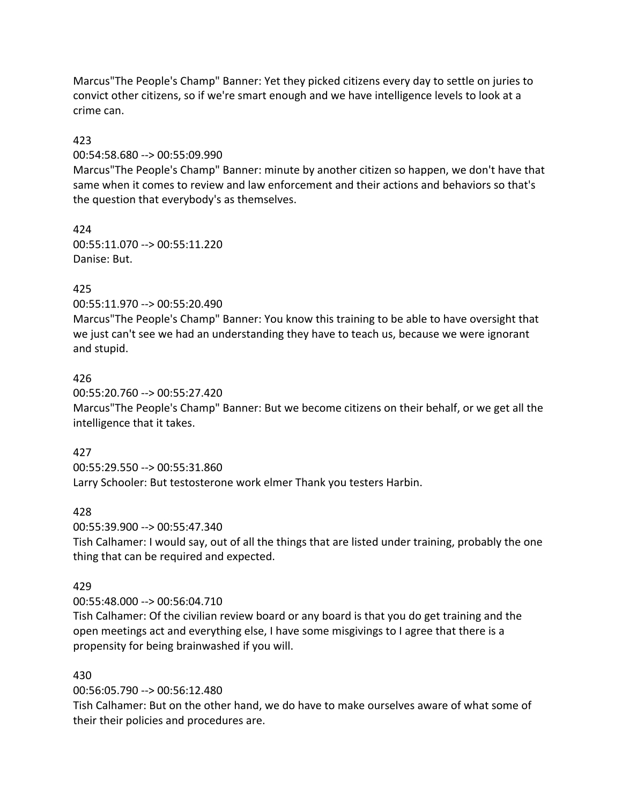Marcus"The People's Champ" Banner: Yet they picked citizens every day to settle on juries to convict other citizens, so if we're smart enough and we have intelligence levels to look at a crime can.

## 423

00:54:58.680 --> 00:55:09.990

Marcus"The People's Champ" Banner: minute by another citizen so happen, we don't have that same when it comes to review and law enforcement and their actions and behaviors so that's the question that everybody's as themselves.

424 00:55:11.070 --> 00:55:11.220 Danise: But.

# 425

00:55:11.970 --> 00:55:20.490

Marcus"The People's Champ" Banner: You know this training to be able to have oversight that we just can't see we had an understanding they have to teach us, because we were ignorant and stupid.

## 426

00:55:20.760 --> 00:55:27.420 Marcus"The People's Champ" Banner: But we become citizens on their behalf, or we get all the intelligence that it takes.

## 427

00:55:29.550 --> 00:55:31.860

Larry Schooler: But testosterone work elmer Thank you testers Harbin.

## 428

00:55:39.900 --> 00:55:47.340

Tish Calhamer: I would say, out of all the things that are listed under training, probably the one thing that can be required and expected.

## 429

00:55:48.000 --> 00:56:04.710

Tish Calhamer: Of the civilian review board or any board is that you do get training and the open meetings act and everything else, I have some misgivings to I agree that there is a propensity for being brainwashed if you will.

## 430

00:56:05.790 --> 00:56:12.480

Tish Calhamer: But on the other hand, we do have to make ourselves aware of what some of their their policies and procedures are.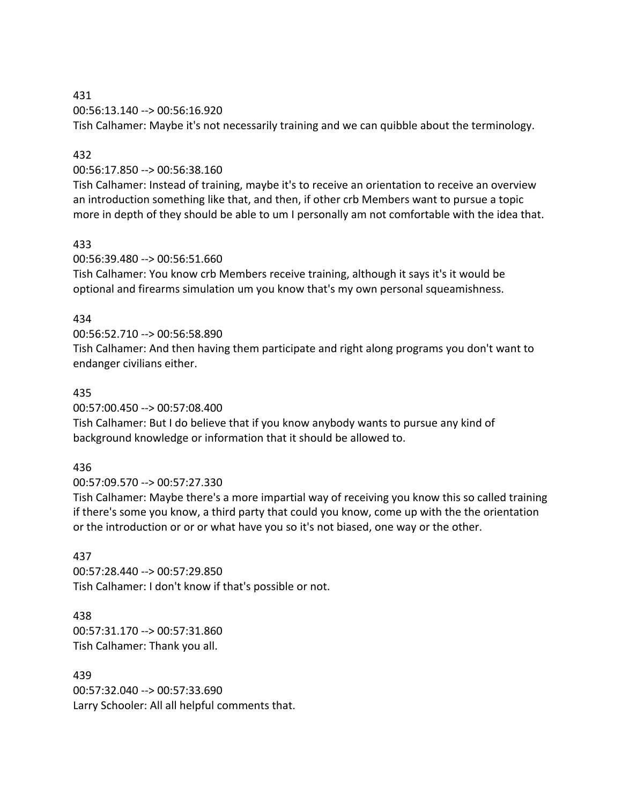# 431 00:56:13.140 --> 00:56:16.920

Tish Calhamer: Maybe it's not necessarily training and we can quibble about the terminology.

## 432

## 00:56:17.850 --> 00:56:38.160

Tish Calhamer: Instead of training, maybe it's to receive an orientation to receive an overview an introduction something like that, and then, if other crb Members want to pursue a topic more in depth of they should be able to um I personally am not comfortable with the idea that.

## 433

# 00:56:39.480 --> 00:56:51.660

Tish Calhamer: You know crb Members receive training, although it says it's it would be optional and firearms simulation um you know that's my own personal squeamishness.

# 434

## 00:56:52.710 --> 00:56:58.890 Tish Calhamer: And then having them participate and right along programs you don't want to endanger civilians either.

# 435

00:57:00.450 --> 00:57:08.400

Tish Calhamer: But I do believe that if you know anybody wants to pursue any kind of background knowledge or information that it should be allowed to.

# 436

00:57:09.570 --> 00:57:27.330

Tish Calhamer: Maybe there's a more impartial way of receiving you know this so called training if there's some you know, a third party that could you know, come up with the the orientation or the introduction or or or what have you so it's not biased, one way or the other.

# 437

00:57:28.440 --> 00:57:29.850 Tish Calhamer: I don't know if that's possible or not.

## 438

00:57:31.170 --> 00:57:31.860 Tish Calhamer: Thank you all.

## 439

00:57:32.040 --> 00:57:33.690 Larry Schooler: All all helpful comments that.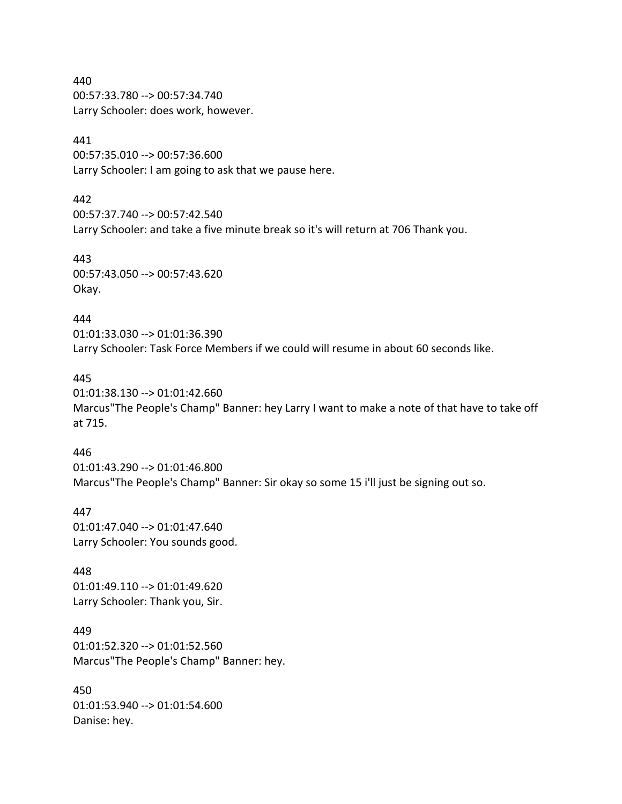440 00:57:33.780 --> 00:57:34.740 Larry Schooler: does work, however.

## 441

00:57:35.010 --> 00:57:36.600 Larry Schooler: I am going to ask that we pause here.

#### 442

00:57:37.740 --> 00:57:42.540 Larry Schooler: and take a five minute break so it's will return at 706 Thank you.

443 00:57:43.050 --> 00:57:43.620 Okay.

#### 444

01:01:33.030 --> 01:01:36.390 Larry Schooler: Task Force Members if we could will resume in about 60 seconds like.

## 445

01:01:38.130 --> 01:01:42.660 Marcus"The People's Champ" Banner: hey Larry I want to make a note of that have to take off at 715.

#### 446

01:01:43.290 --> 01:01:46.800 Marcus"The People's Champ" Banner: Sir okay so some 15 i'll just be signing out so.

#### 447

01:01:47.040 --> 01:01:47.640 Larry Schooler: You sounds good.

448 01:01:49.110 --> 01:01:49.620 Larry Schooler: Thank you, Sir.

449 01:01:52.320 --> 01:01:52.560 Marcus"The People's Champ" Banner: hey.

450 01:01:53.940 --> 01:01:54.600 Danise: hey.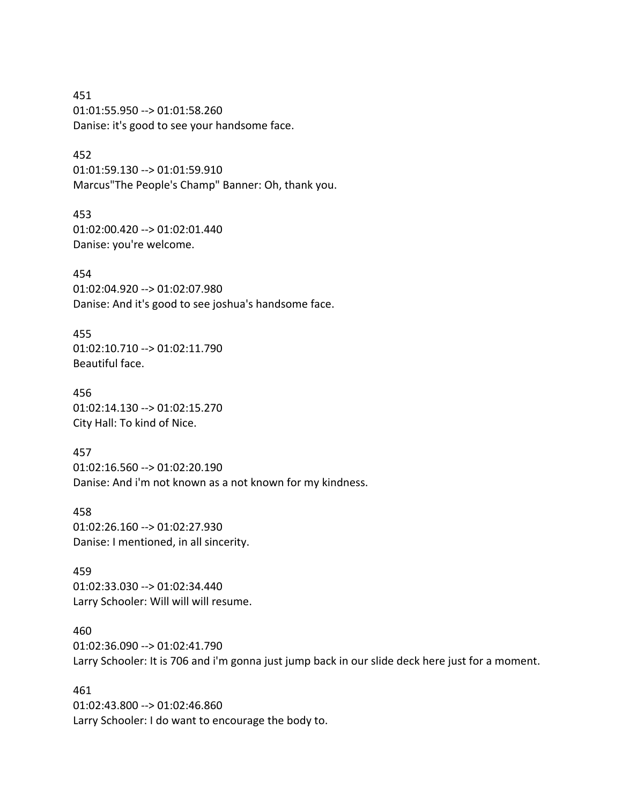451 01:01:55.950 --> 01:01:58.260 Danise: it's good to see your handsome face.

452 01:01:59.130 --> 01:01:59.910 Marcus"The People's Champ" Banner: Oh, thank you.

453 01:02:00.420 --> 01:02:01.440 Danise: you're welcome.

454 01:02:04.920 --> 01:02:07.980 Danise: And it's good to see joshua's handsome face.

455 01:02:10.710 --> 01:02:11.790 Beautiful face.

456 01:02:14.130 --> 01:02:15.270 City Hall: To kind of Nice.

457 01:02:16.560 --> 01:02:20.190 Danise: And i'm not known as a not known for my kindness.

458 01:02:26.160 --> 01:02:27.930 Danise: I mentioned, in all sincerity.

459 01:02:33.030 --> 01:02:34.440 Larry Schooler: Will will will resume.

460 01:02:36.090 --> 01:02:41.790 Larry Schooler: It is 706 and i'm gonna just jump back in our slide deck here just for a moment.

461 01:02:43.800 --> 01:02:46.860 Larry Schooler: I do want to encourage the body to.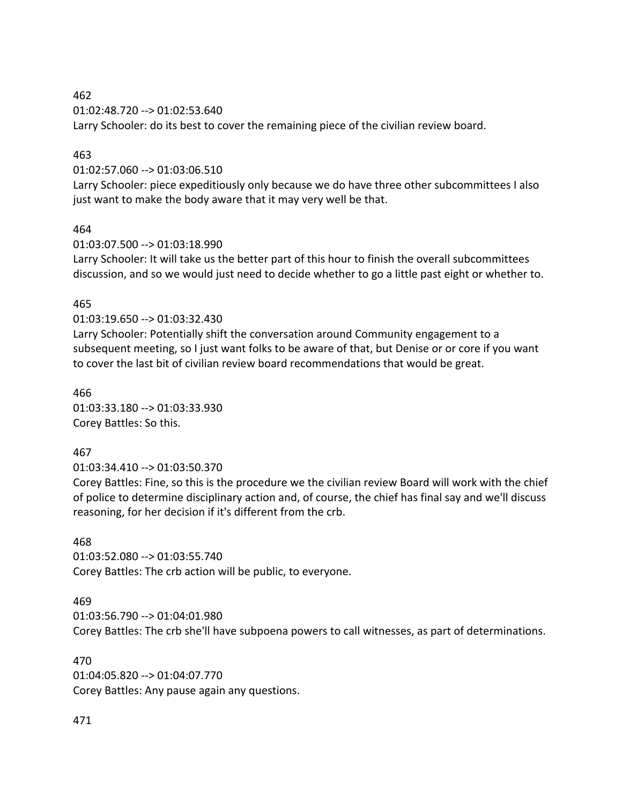462

01:02:48.720 --> 01:02:53.640

Larry Schooler: do its best to cover the remaining piece of the civilian review board.

#### 463

01:02:57.060 --> 01:03:06.510

Larry Schooler: piece expeditiously only because we do have three other subcommittees I also just want to make the body aware that it may very well be that.

#### 464

01:03:07.500 --> 01:03:18.990

Larry Schooler: It will take us the better part of this hour to finish the overall subcommittees discussion, and so we would just need to decide whether to go a little past eight or whether to.

#### 465

01:03:19.650 --> 01:03:32.430

Larry Schooler: Potentially shift the conversation around Community engagement to a subsequent meeting, so I just want folks to be aware of that, but Denise or or core if you want to cover the last bit of civilian review board recommendations that would be great.

466 01:03:33.180 --> 01:03:33.930 Corey Battles: So this.

#### 467

01:03:34.410 --> 01:03:50.370

Corey Battles: Fine, so this is the procedure we the civilian review Board will work with the chief of police to determine disciplinary action and, of course, the chief has final say and we'll discuss reasoning, for her decision if it's different from the crb.

#### 468

01:03:52.080 --> 01:03:55.740 Corey Battles: The crb action will be public, to everyone.

#### 469

01:03:56.790 --> 01:04:01.980 Corey Battles: The crb she'll have subpoena powers to call witnesses, as part of determinations.

470 01:04:05.820 --> 01:04:07.770 Corey Battles: Any pause again any questions.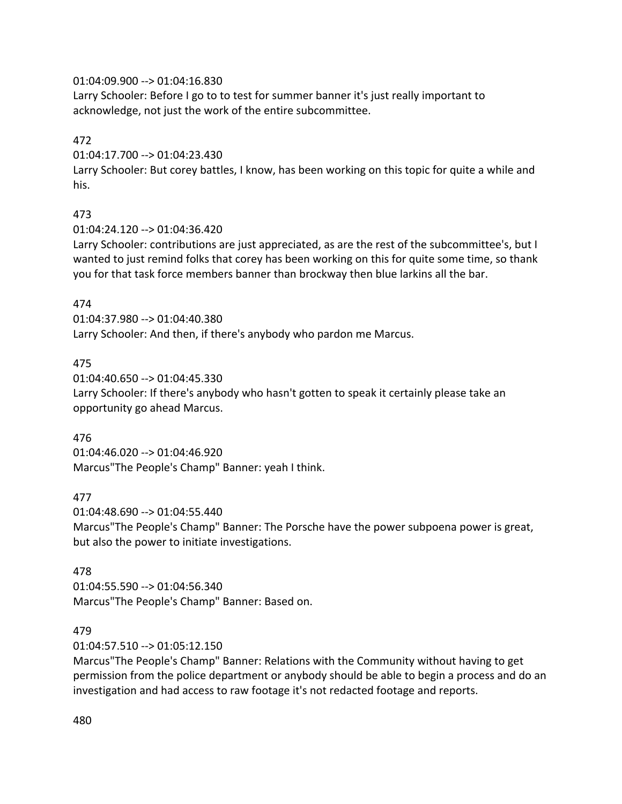## 01:04:09.900 --> 01:04:16.830

Larry Schooler: Before I go to to test for summer banner it's just really important to acknowledge, not just the work of the entire subcommittee.

## 472

01:04:17.700 --> 01:04:23.430

Larry Schooler: But corey battles, I know, has been working on this topic for quite a while and his.

## 473

01:04:24.120 --> 01:04:36.420

Larry Schooler: contributions are just appreciated, as are the rest of the subcommittee's, but I wanted to just remind folks that corey has been working on this for quite some time, so thank you for that task force members banner than brockway then blue larkins all the bar.

## 474

01:04:37.980 --> 01:04:40.380 Larry Schooler: And then, if there's anybody who pardon me Marcus.

## 475

01:04:40.650 --> 01:04:45.330 Larry Schooler: If there's anybody who hasn't gotten to speak it certainly please take an opportunity go ahead Marcus.

#### 476

01:04:46.020 --> 01:04:46.920 Marcus"The People's Champ" Banner: yeah I think.

## 477

01:04:48.690 --> 01:04:55.440 Marcus"The People's Champ" Banner: The Porsche have the power subpoena power is great, but also the power to initiate investigations.

#### 478

01:04:55.590 --> 01:04:56.340 Marcus"The People's Champ" Banner: Based on.

#### 479

01:04:57.510 --> 01:05:12.150

Marcus"The People's Champ" Banner: Relations with the Community without having to get permission from the police department or anybody should be able to begin a process and do an investigation and had access to raw footage it's not redacted footage and reports.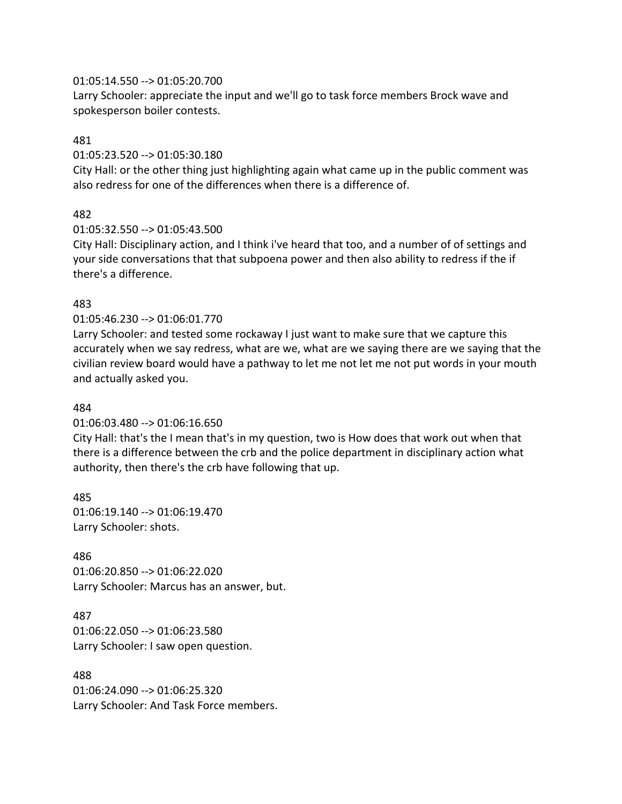#### 01:05:14.550 --> 01:05:20.700

Larry Schooler: appreciate the input and we'll go to task force members Brock wave and spokesperson boiler contests.

#### 481

#### 01:05:23.520 --> 01:05:30.180

City Hall: or the other thing just highlighting again what came up in the public comment was also redress for one of the differences when there is a difference of.

#### 482

#### 01:05:32.550 --> 01:05:43.500

City Hall: Disciplinary action, and I think i've heard that too, and a number of of settings and your side conversations that that subpoena power and then also ability to redress if the if there's a difference.

#### 483

#### 01:05:46.230 --> 01:06:01.770

Larry Schooler: and tested some rockaway I just want to make sure that we capture this accurately when we say redress, what are we, what are we saying there are we saying that the civilian review board would have a pathway to let me not let me not put words in your mouth and actually asked you.

#### 484

#### 01:06:03.480 --> 01:06:16.650

City Hall: that's the I mean that's in my question, two is How does that work out when that there is a difference between the crb and the police department in disciplinary action what authority, then there's the crb have following that up.

485 01:06:19.140 --> 01:06:19.470 Larry Schooler: shots.

#### 486

01:06:20.850 --> 01:06:22.020 Larry Schooler: Marcus has an answer, but.

#### 487

01:06:22.050 --> 01:06:23.580 Larry Schooler: I saw open question.

#### 488

01:06:24.090 --> 01:06:25.320 Larry Schooler: And Task Force members.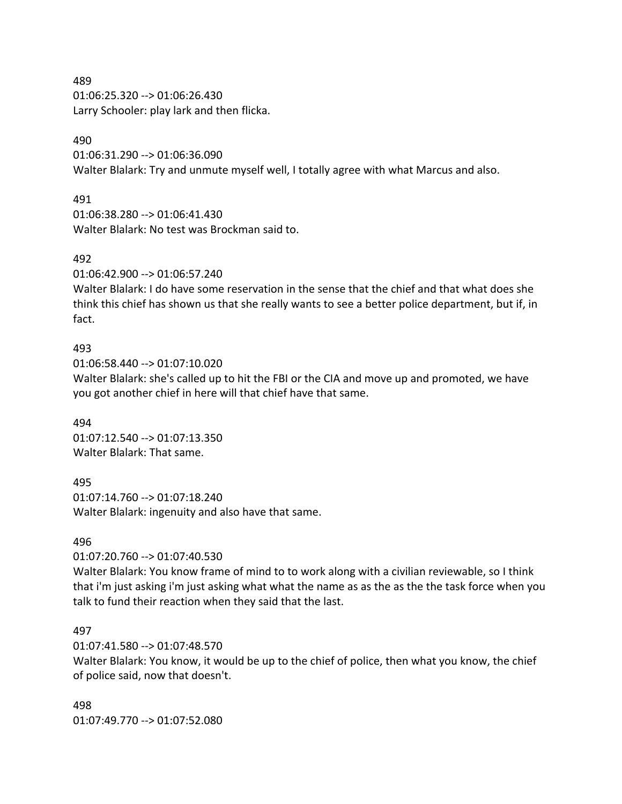489

01:06:25.320 --> 01:06:26.430 Larry Schooler: play lark and then flicka.

#### 490

01:06:31.290 --> 01:06:36.090 Walter Blalark: Try and unmute myself well, I totally agree with what Marcus and also.

## 491

01:06:38.280 --> 01:06:41.430 Walter Blalark: No test was Brockman said to.

#### 492

01:06:42.900 --> 01:06:57.240

Walter Blalark: I do have some reservation in the sense that the chief and that what does she think this chief has shown us that she really wants to see a better police department, but if, in fact.

#### 493

01:06:58.440 --> 01:07:10.020

Walter Blalark: she's called up to hit the FBI or the CIA and move up and promoted, we have you got another chief in here will that chief have that same.

494 01:07:12.540 --> 01:07:13.350 Walter Blalark: That same.

495

01:07:14.760 --> 01:07:18.240 Walter Blalark: ingenuity and also have that same.

#### 496

01:07:20.760 --> 01:07:40.530

Walter Blalark: You know frame of mind to to work along with a civilian reviewable, so I think that i'm just asking i'm just asking what what the name as as the as the the task force when you talk to fund their reaction when they said that the last.

#### 497

01:07:41.580 --> 01:07:48.570

Walter Blalark: You know, it would be up to the chief of police, then what you know, the chief of police said, now that doesn't.

498 01:07:49.770 --> 01:07:52.080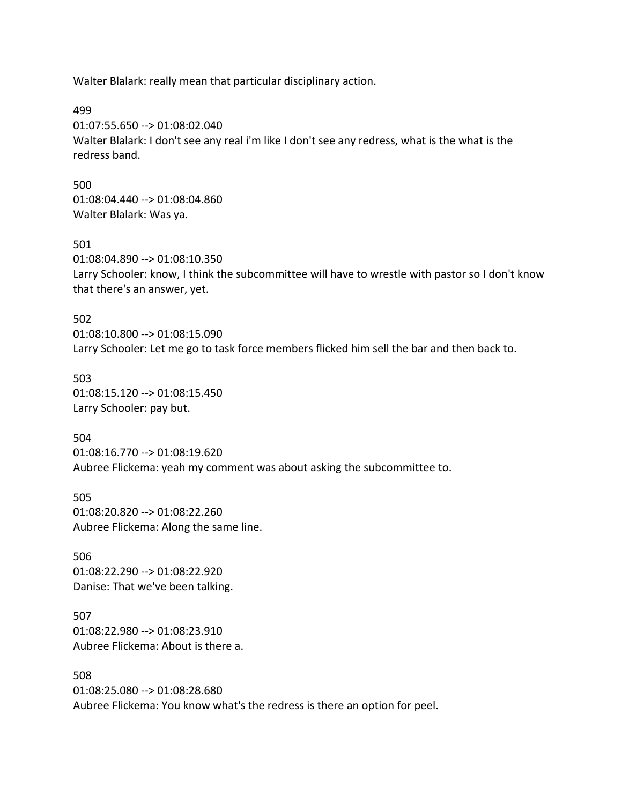Walter Blalark: really mean that particular disciplinary action.

499

01:07:55.650 --> 01:08:02.040 Walter Blalark: I don't see any real i'm like I don't see any redress, what is the what is the redress band.

500 01:08:04.440 --> 01:08:04.860 Walter Blalark: Was ya.

501 01:08:04.890 --> 01:08:10.350 Larry Schooler: know, I think the subcommittee will have to wrestle with pastor so I don't know that there's an answer, yet.

502 01:08:10.800 --> 01:08:15.090 Larry Schooler: Let me go to task force members flicked him sell the bar and then back to.

503 01:08:15.120 --> 01:08:15.450 Larry Schooler: pay but.

504 01:08:16.770 --> 01:08:19.620 Aubree Flickema: yeah my comment was about asking the subcommittee to.

505 01:08:20.820 --> 01:08:22.260 Aubree Flickema: Along the same line.

506 01:08:22.290 --> 01:08:22.920 Danise: That we've been talking.

507 01:08:22.980 --> 01:08:23.910 Aubree Flickema: About is there a.

508 01:08:25.080 --> 01:08:28.680 Aubree Flickema: You know what's the redress is there an option for peel.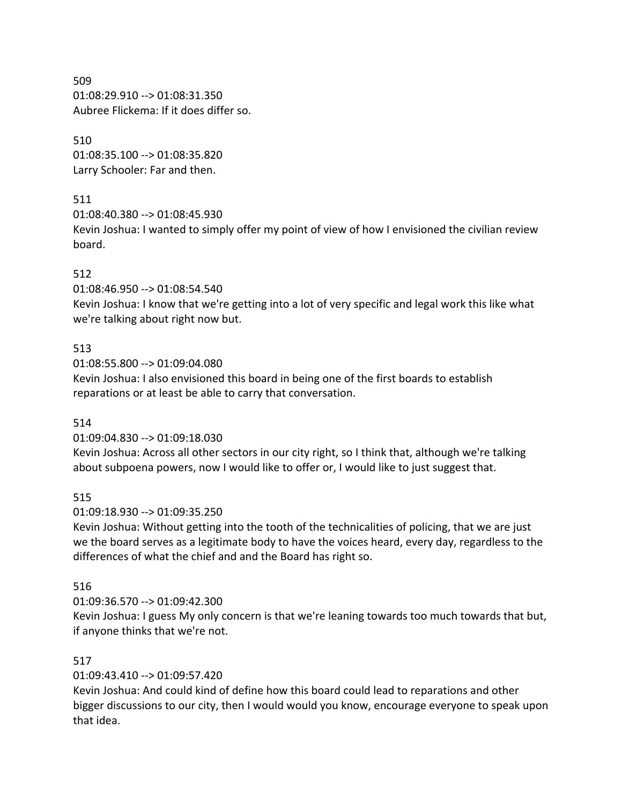509 01:08:29.910 --> 01:08:31.350 Aubree Flickema: If it does differ so.

## 510

01:08:35.100 --> 01:08:35.820 Larry Schooler: Far and then.

## 511

01:08:40.380 --> 01:08:45.930

Kevin Joshua: I wanted to simply offer my point of view of how I envisioned the civilian review board.

# 512

01:08:46.950 --> 01:08:54.540

Kevin Joshua: I know that we're getting into a lot of very specific and legal work this like what we're talking about right now but.

# 513

01:08:55.800 --> 01:09:04.080

Kevin Joshua: I also envisioned this board in being one of the first boards to establish reparations or at least be able to carry that conversation.

## 514

01:09:04.830 --> 01:09:18.030

Kevin Joshua: Across all other sectors in our city right, so I think that, although we're talking about subpoena powers, now I would like to offer or, I would like to just suggest that.

# 515

01:09:18.930 --> 01:09:35.250

Kevin Joshua: Without getting into the tooth of the technicalities of policing, that we are just we the board serves as a legitimate body to have the voices heard, every day, regardless to the differences of what the chief and and the Board has right so.

## 516

## 01:09:36.570 --> 01:09:42.300

Kevin Joshua: I guess My only concern is that we're leaning towards too much towards that but, if anyone thinks that we're not.

# 517

01:09:43.410 --> 01:09:57.420

Kevin Joshua: And could kind of define how this board could lead to reparations and other bigger discussions to our city, then I would would you know, encourage everyone to speak upon that idea.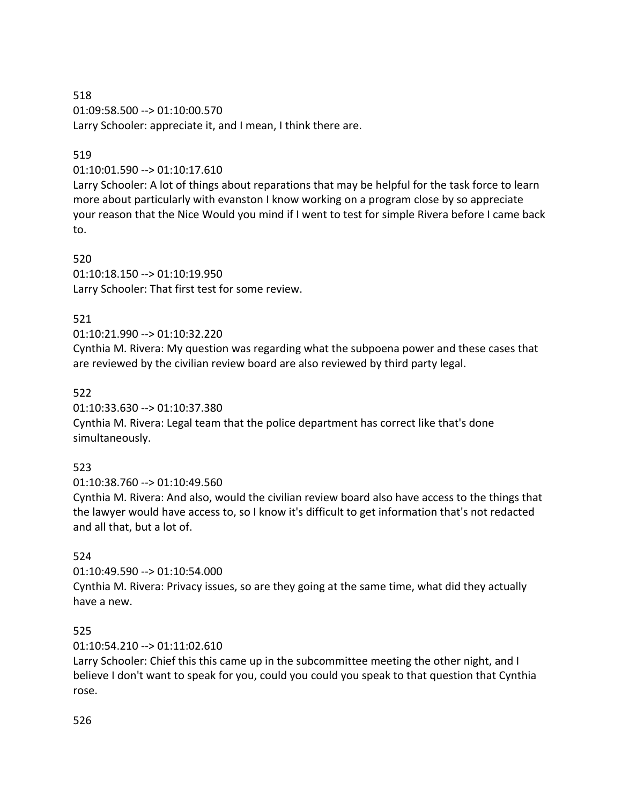518 01:09:58.500 --> 01:10:00.570 Larry Schooler: appreciate it, and I mean, I think there are.

## 519

01:10:01.590 --> 01:10:17.610

Larry Schooler: A lot of things about reparations that may be helpful for the task force to learn more about particularly with evanston I know working on a program close by so appreciate your reason that the Nice Would you mind if I went to test for simple Rivera before I came back to.

520 01:10:18.150 --> 01:10:19.950 Larry Schooler: That first test for some review.

## 521

## 01:10:21.990 --> 01:10:32.220

Cynthia M. Rivera: My question was regarding what the subpoena power and these cases that are reviewed by the civilian review board are also reviewed by third party legal.

## 522

01:10:33.630 --> 01:10:37.380

Cynthia M. Rivera: Legal team that the police department has correct like that's done simultaneously.

## 523

01:10:38.760 --> 01:10:49.560

Cynthia M. Rivera: And also, would the civilian review board also have access to the things that the lawyer would have access to, so I know it's difficult to get information that's not redacted and all that, but a lot of.

## 524

01:10:49.590 --> 01:10:54.000

Cynthia M. Rivera: Privacy issues, so are they going at the same time, what did they actually have a new.

## 525

01:10:54.210 --> 01:11:02.610

Larry Schooler: Chief this this came up in the subcommittee meeting the other night, and I believe I don't want to speak for you, could you could you speak to that question that Cynthia rose.

## 526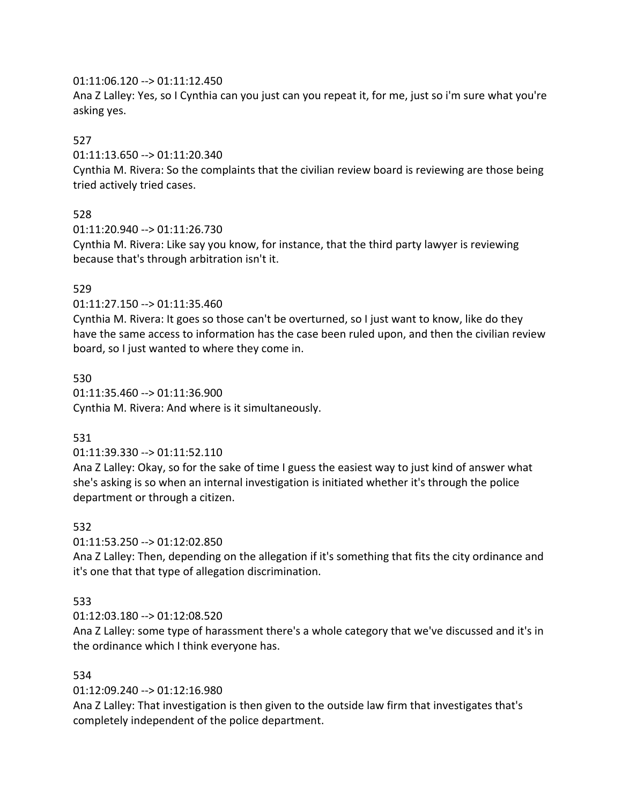## $01:11:06.120 \rightarrow 01:11:12.450$

Ana Z Lalley: Yes, so I Cynthia can you just can you repeat it, for me, just so i'm sure what you're asking yes.

## 527

01:11:13.650 --> 01:11:20.340

Cynthia M. Rivera: So the complaints that the civilian review board is reviewing are those being tried actively tried cases.

## 528

01:11:20.940 --> 01:11:26.730

Cynthia M. Rivera: Like say you know, for instance, that the third party lawyer is reviewing because that's through arbitration isn't it.

## 529

01:11:27.150 --> 01:11:35.460

Cynthia M. Rivera: It goes so those can't be overturned, so I just want to know, like do they have the same access to information has the case been ruled upon, and then the civilian review board, so I just wanted to where they come in.

530 01:11:35.460 --> 01:11:36.900 Cynthia M. Rivera: And where is it simultaneously.

## 531

01:11:39.330 --> 01:11:52.110

Ana Z Lalley: Okay, so for the sake of time I guess the easiest way to just kind of answer what she's asking is so when an internal investigation is initiated whether it's through the police department or through a citizen.

#### 532

01:11:53.250 --> 01:12:02.850

Ana Z Lalley: Then, depending on the allegation if it's something that fits the city ordinance and it's one that that type of allegation discrimination.

## 533

01:12:03.180 --> 01:12:08.520

Ana Z Lalley: some type of harassment there's a whole category that we've discussed and it's in the ordinance which I think everyone has.

## 534

01:12:09.240 --> 01:12:16.980

Ana Z Lalley: That investigation is then given to the outside law firm that investigates that's completely independent of the police department.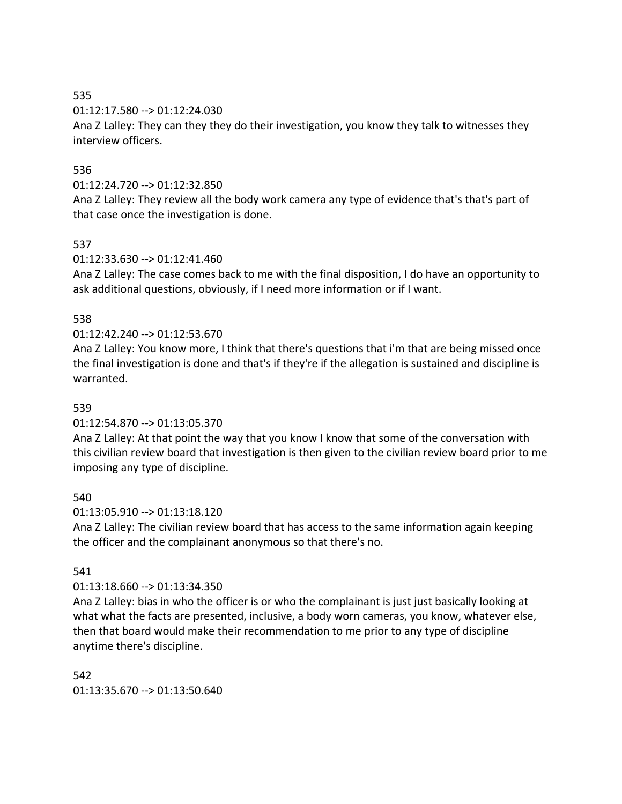535

01:12:17.580 --> 01:12:24.030

Ana Z Lalley: They can they they do their investigation, you know they talk to witnesses they interview officers.

## 536

#### 01:12:24.720 --> 01:12:32.850

Ana Z Lalley: They review all the body work camera any type of evidence that's that's part of that case once the investigation is done.

## 537

## 01:12:33.630 --> 01:12:41.460

Ana Z Lalley: The case comes back to me with the final disposition, I do have an opportunity to ask additional questions, obviously, if I need more information or if I want.

## 538

## 01:12:42.240 --> 01:12:53.670

Ana Z Lalley: You know more, I think that there's questions that i'm that are being missed once the final investigation is done and that's if they're if the allegation is sustained and discipline is warranted.

#### 539

#### 01:12:54.870 --> 01:13:05.370

Ana Z Lalley: At that point the way that you know I know that some of the conversation with this civilian review board that investigation is then given to the civilian review board prior to me imposing any type of discipline.

## 540

#### 01:13:05.910 --> 01:13:18.120

Ana Z Lalley: The civilian review board that has access to the same information again keeping the officer and the complainant anonymous so that there's no.

## 541

#### 01:13:18.660 --> 01:13:34.350

Ana Z Lalley: bias in who the officer is or who the complainant is just just basically looking at what what the facts are presented, inclusive, a body worn cameras, you know, whatever else, then that board would make their recommendation to me prior to any type of discipline anytime there's discipline.

## 542 01:13:35.670 --> 01:13:50.640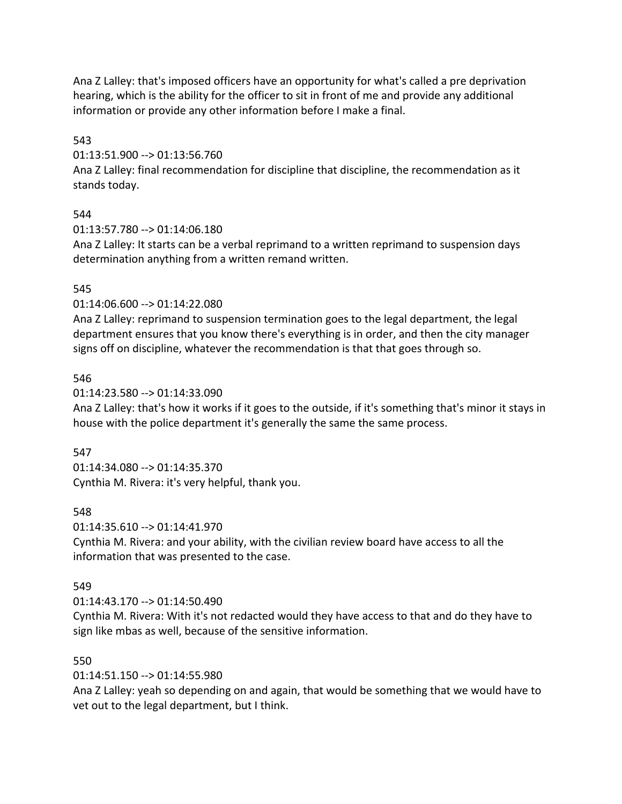Ana Z Lalley: that's imposed officers have an opportunity for what's called a pre deprivation hearing, which is the ability for the officer to sit in front of me and provide any additional information or provide any other information before I make a final.

543

01:13:51.900 --> 01:13:56.760

Ana Z Lalley: final recommendation for discipline that discipline, the recommendation as it stands today.

## 544

01:13:57.780 --> 01:14:06.180

Ana Z Lalley: It starts can be a verbal reprimand to a written reprimand to suspension days determination anything from a written remand written.

## 545

01:14:06.600 --> 01:14:22.080

Ana Z Lalley: reprimand to suspension termination goes to the legal department, the legal department ensures that you know there's everything is in order, and then the city manager signs off on discipline, whatever the recommendation is that that goes through so.

## 546

01:14:23.580 --> 01:14:33.090

Ana Z Lalley: that's how it works if it goes to the outside, if it's something that's minor it stays in house with the police department it's generally the same the same process.

## 547

01:14:34.080 --> 01:14:35.370 Cynthia M. Rivera: it's very helpful, thank you.

## 548

01:14:35.610 --> 01:14:41.970

Cynthia M. Rivera: and your ability, with the civilian review board have access to all the information that was presented to the case.

## 549

01:14:43.170 --> 01:14:50.490

Cynthia M. Rivera: With it's not redacted would they have access to that and do they have to sign like mbas as well, because of the sensitive information.

## 550

01:14:51.150 --> 01:14:55.980

Ana Z Lalley: yeah so depending on and again, that would be something that we would have to vet out to the legal department, but I think.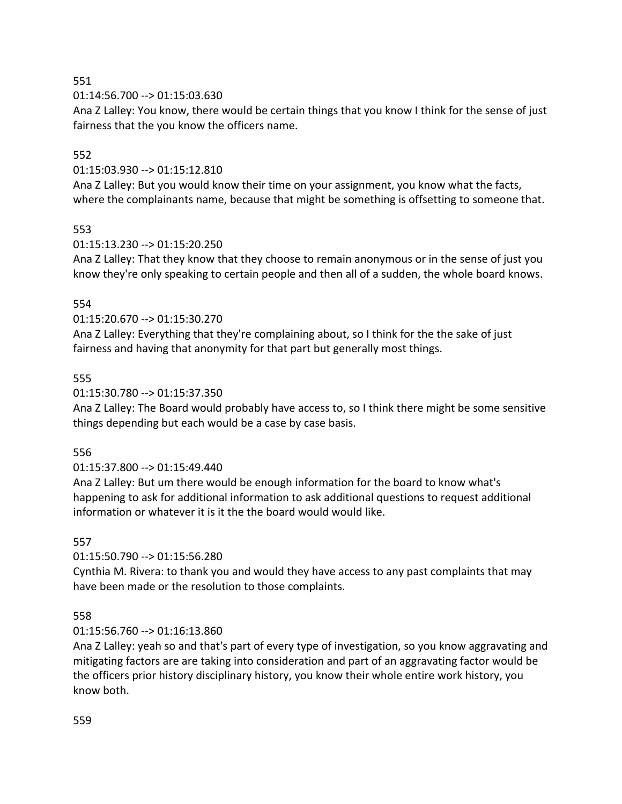551

01:14:56.700 --> 01:15:03.630

Ana Z Lalley: You know, there would be certain things that you know I think for the sense of just fairness that the you know the officers name.

## 552

01:15:03.930 --> 01:15:12.810

Ana Z Lalley: But you would know their time on your assignment, you know what the facts, where the complainants name, because that might be something is offsetting to someone that.

## 553

01:15:13.230 --> 01:15:20.250

Ana Z Lalley: That they know that they choose to remain anonymous or in the sense of just you know they're only speaking to certain people and then all of a sudden, the whole board knows.

## 554

01:15:20.670 --> 01:15:30.270

Ana Z Lalley: Everything that they're complaining about, so I think for the the sake of just fairness and having that anonymity for that part but generally most things.

## 555

01:15:30.780 --> 01:15:37.350

Ana Z Lalley: The Board would probably have access to, so I think there might be some sensitive things depending but each would be a case by case basis.

#### 556

## 01:15:37.800 --> 01:15:49.440

Ana Z Lalley: But um there would be enough information for the board to know what's happening to ask for additional information to ask additional questions to request additional information or whatever it is it the the board would would like.

## 557

01:15:50.790 --> 01:15:56.280

Cynthia M. Rivera: to thank you and would they have access to any past complaints that may have been made or the resolution to those complaints.

## 558

## 01:15:56.760 --> 01:16:13.860

Ana Z Lalley: yeah so and that's part of every type of investigation, so you know aggravating and mitigating factors are are taking into consideration and part of an aggravating factor would be the officers prior history disciplinary history, you know their whole entire work history, you know both.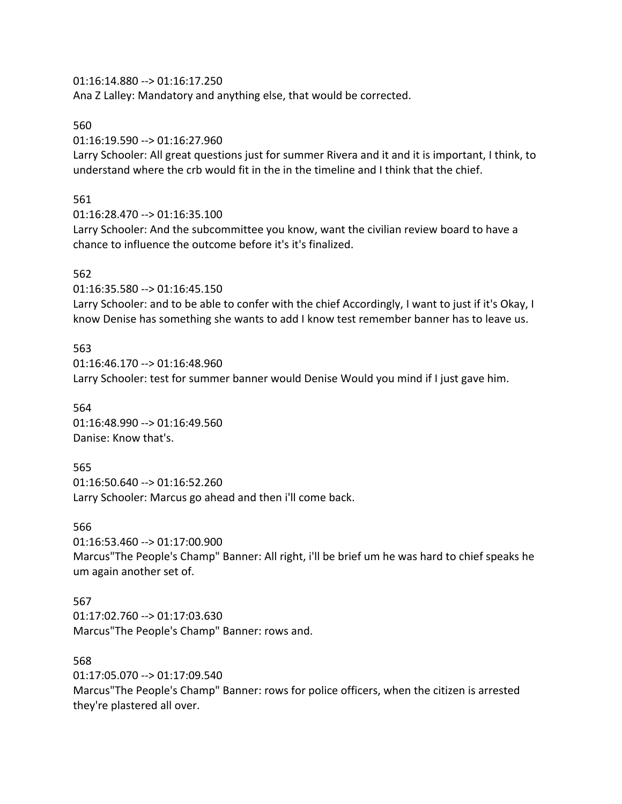01:16:14.880 --> 01:16:17.250

Ana Z Lalley: Mandatory and anything else, that would be corrected.

## 560

01:16:19.590 --> 01:16:27.960

Larry Schooler: All great questions just for summer Rivera and it and it is important, I think, to understand where the crb would fit in the in the timeline and I think that the chief.

## 561

01:16:28.470 --> 01:16:35.100

Larry Schooler: And the subcommittee you know, want the civilian review board to have a chance to influence the outcome before it's it's finalized.

# 562

01:16:35.580 --> 01:16:45.150 Larry Schooler: and to be able to confer with the chief Accordingly, I want to just if it's Okay, I know Denise has something she wants to add I know test remember banner has to leave us.

## 563 01:16:46.170 --> 01:16:48.960 Larry Schooler: test for summer banner would Denise Would you mind if I just gave him.

564 01:16:48.990 --> 01:16:49.560 Danise: Know that's.

um again another set of.

565 01:16:50.640 --> 01:16:52.260 Larry Schooler: Marcus go ahead and then i'll come back.

566 01:16:53.460 --> 01:17:00.900 Marcus"The People's Champ" Banner: All right, i'll be brief um he was hard to chief speaks he

567 01:17:02.760 --> 01:17:03.630 Marcus"The People's Champ" Banner: rows and.

568 01:17:05.070 --> 01:17:09.540 Marcus"The People's Champ" Banner: rows for police officers, when the citizen is arrested they're plastered all over.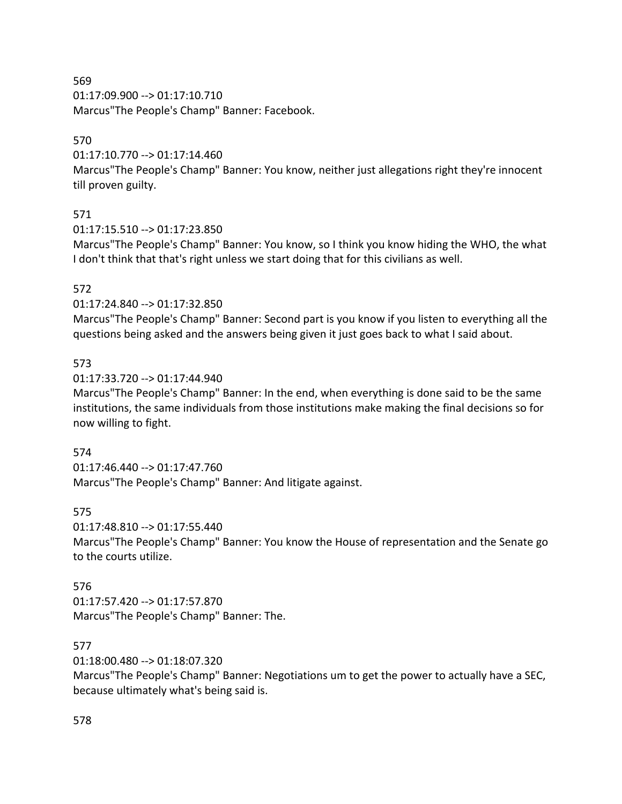569 01:17:09.900 --> 01:17:10.710 Marcus"The People's Champ" Banner: Facebook.

## 570

01:17:10.770 --> 01:17:14.460

Marcus"The People's Champ" Banner: You know, neither just allegations right they're innocent till proven guilty.

# 571

01:17:15.510 --> 01:17:23.850

Marcus"The People's Champ" Banner: You know, so I think you know hiding the WHO, the what I don't think that that's right unless we start doing that for this civilians as well.

# 572

01:17:24.840 --> 01:17:32.850

Marcus"The People's Champ" Banner: Second part is you know if you listen to everything all the questions being asked and the answers being given it just goes back to what I said about.

# 573

01:17:33.720 --> 01:17:44.940

Marcus"The People's Champ" Banner: In the end, when everything is done said to be the same institutions, the same individuals from those institutions make making the final decisions so for now willing to fight.

## 574

01:17:46.440 --> 01:17:47.760 Marcus"The People's Champ" Banner: And litigate against.

# 575

01:17:48.810 --> 01:17:55.440

Marcus"The People's Champ" Banner: You know the House of representation and the Senate go to the courts utilize.

## 576

01:17:57.420 --> 01:17:57.870 Marcus"The People's Champ" Banner: The.

# 577

01:18:00.480 --> 01:18:07.320

Marcus"The People's Champ" Banner: Negotiations um to get the power to actually have a SEC, because ultimately what's being said is.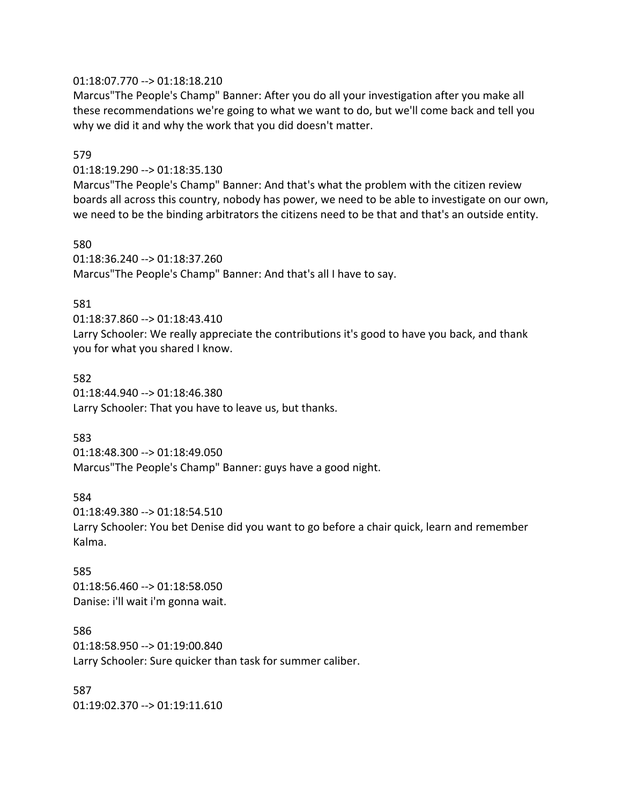#### 01:18:07.770 --> 01:18:18.210

Marcus"The People's Champ" Banner: After you do all your investigation after you make all these recommendations we're going to what we want to do, but we'll come back and tell you why we did it and why the work that you did doesn't matter.

#### 579

01:18:19.290 --> 01:18:35.130

Marcus"The People's Champ" Banner: And that's what the problem with the citizen review boards all across this country, nobody has power, we need to be able to investigate on our own, we need to be the binding arbitrators the citizens need to be that and that's an outside entity.

#### 580

01:18:36.240 --> 01:18:37.260 Marcus"The People's Champ" Banner: And that's all I have to say.

#### 581

01:18:37.860 --> 01:18:43.410 Larry Schooler: We really appreciate the contributions it's good to have you back, and thank you for what you shared I know.

#### 582

01:18:44.940 --> 01:18:46.380 Larry Schooler: That you have to leave us, but thanks.

#### 583

01:18:48.300 --> 01:18:49.050 Marcus"The People's Champ" Banner: guys have a good night.

#### 584

01:18:49.380 --> 01:18:54.510 Larry Schooler: You bet Denise did you want to go before a chair quick, learn and remember Kalma.

#### 585

01:18:56.460 --> 01:18:58.050 Danise: i'll wait i'm gonna wait.

#### 586

01:18:58.950 --> 01:19:00.840 Larry Schooler: Sure quicker than task for summer caliber.

587 01:19:02.370 --> 01:19:11.610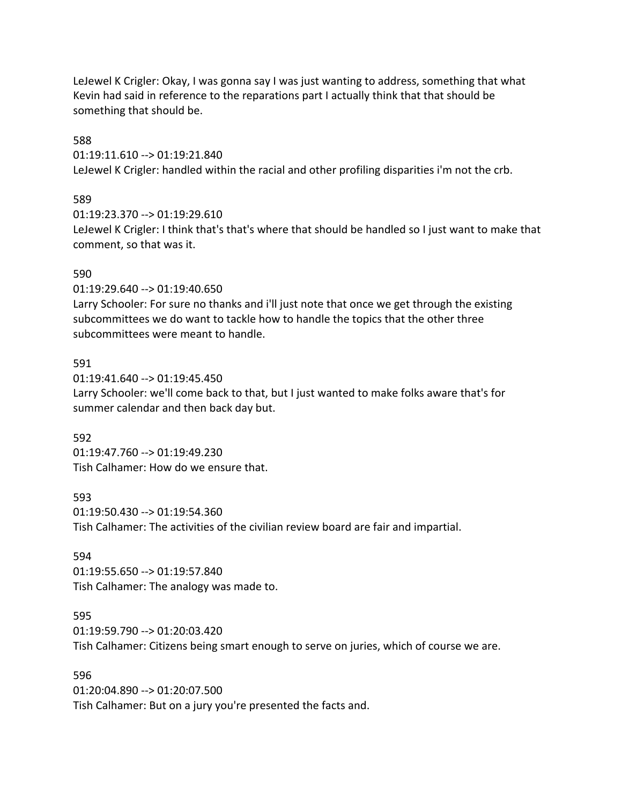LeJewel K Crigler: Okay, I was gonna say I was just wanting to address, something that what Kevin had said in reference to the reparations part I actually think that that should be something that should be.

#### 588

01:19:11.610 --> 01:19:21.840 LeJewel K Crigler: handled within the racial and other profiling disparities i'm not the crb.

## 589

01:19:23.370 --> 01:19:29.610

LeJewel K Crigler: I think that's that's where that should be handled so I just want to make that comment, so that was it.

#### 590

01:19:29.640 --> 01:19:40.650 Larry Schooler: For sure no thanks and i'll just note that once we get through the existing subcommittees we do want to tackle how to handle the topics that the other three subcommittees were meant to handle.

## 591

01:19:41.640 --> 01:19:45.450 Larry Schooler: we'll come back to that, but I just wanted to make folks aware that's for summer calendar and then back day but.

#### 592

01:19:47.760 --> 01:19:49.230 Tish Calhamer: How do we ensure that.

#### 593

01:19:50.430 --> 01:19:54.360 Tish Calhamer: The activities of the civilian review board are fair and impartial.

#### 594

01:19:55.650 --> 01:19:57.840 Tish Calhamer: The analogy was made to.

## 595

01:19:59.790 --> 01:20:03.420 Tish Calhamer: Citizens being smart enough to serve on juries, which of course we are.

#### 596

01:20:04.890 --> 01:20:07.500 Tish Calhamer: But on a jury you're presented the facts and.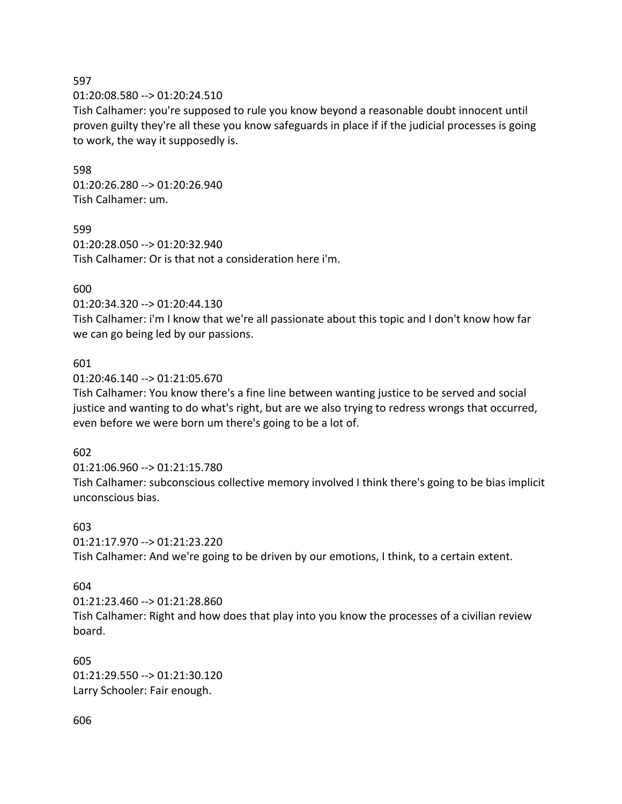597

01:20:08.580 --> 01:20:24.510

Tish Calhamer: you're supposed to rule you know beyond a reasonable doubt innocent until proven guilty they're all these you know safeguards in place if if the judicial processes is going to work, the way it supposedly is.

598 01:20:26.280 --> 01:20:26.940 Tish Calhamer: um.

599 01:20:28.050 --> 01:20:32.940 Tish Calhamer: Or is that not a consideration here i'm.

600

01:20:34.320 --> 01:20:44.130

Tish Calhamer: i'm I know that we're all passionate about this topic and I don't know how far we can go being led by our passions.

#### 601

01:20:46.140 --> 01:21:05.670

Tish Calhamer: You know there's a fine line between wanting justice to be served and social justice and wanting to do what's right, but are we also trying to redress wrongs that occurred, even before we were born um there's going to be a lot of.

602

01:21:06.960 --> 01:21:15.780 Tish Calhamer: subconscious collective memory involved I think there's going to be bias implicit unconscious bias.

#### 603

01:21:17.970 --> 01:21:23.220 Tish Calhamer: And we're going to be driven by our emotions, I think, to a certain extent.

## 604

01:21:23.460 --> 01:21:28.860 Tish Calhamer: Right and how does that play into you know the processes of a civilian review board.

605 01:21:29.550 --> 01:21:30.120 Larry Schooler: Fair enough.

606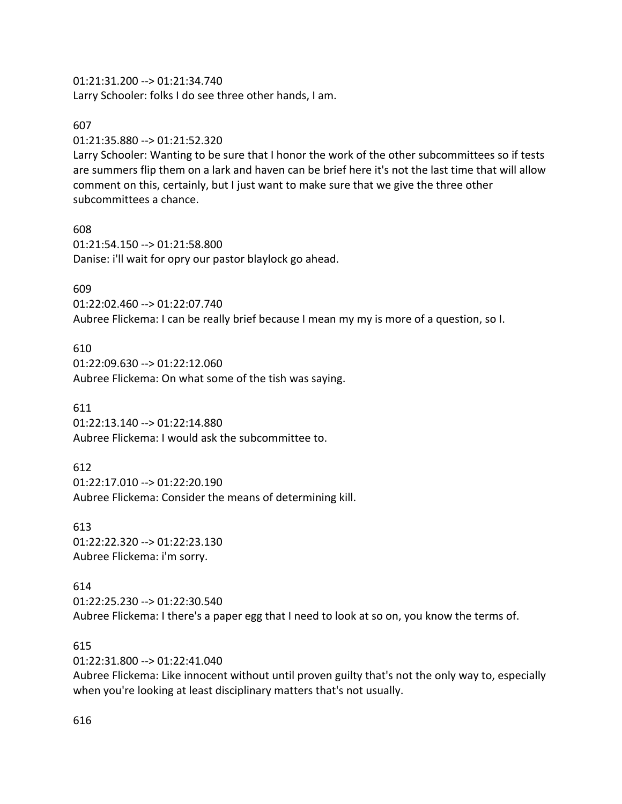#### 01:21:31.200 --> 01:21:34.740

Larry Schooler: folks I do see three other hands, I am.

#### 607

01:21:35.880 --> 01:21:52.320

Larry Schooler: Wanting to be sure that I honor the work of the other subcommittees so if tests are summers flip them on a lark and haven can be brief here it's not the last time that will allow comment on this, certainly, but I just want to make sure that we give the three other subcommittees a chance.

608 01:21:54.150 --> 01:21:58.800 Danise: i'll wait for opry our pastor blaylock go ahead.

#### 609

01:22:02.460 --> 01:22:07.740 Aubree Flickema: I can be really brief because I mean my my is more of a question, so I.

#### 610

01:22:09.630 --> 01:22:12.060 Aubree Flickema: On what some of the tish was saying.

#### 611

01:22:13.140 --> 01:22:14.880 Aubree Flickema: I would ask the subcommittee to.

#### 612

01:22:17.010 --> 01:22:20.190 Aubree Flickema: Consider the means of determining kill.

#### 613

01:22:22.320 --> 01:22:23.130 Aubree Flickema: i'm sorry.

#### 614

01:22:25.230 --> 01:22:30.540

Aubree Flickema: I there's a paper egg that I need to look at so on, you know the terms of.

#### 615

01:22:31.800 --> 01:22:41.040

Aubree Flickema: Like innocent without until proven guilty that's not the only way to, especially when you're looking at least disciplinary matters that's not usually.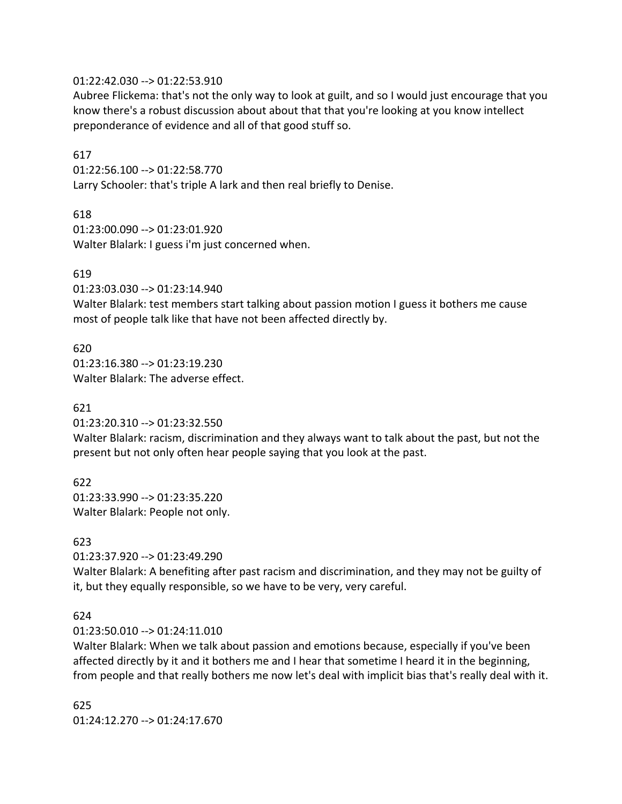#### 01:22:42.030 --> 01:22:53.910

Aubree Flickema: that's not the only way to look at guilt, and so I would just encourage that you know there's a robust discussion about about that that you're looking at you know intellect preponderance of evidence and all of that good stuff so.

#### 617

01:22:56.100 --> 01:22:58.770 Larry Schooler: that's triple A lark and then real briefly to Denise.

#### 618

01:23:00.090 --> 01:23:01.920 Walter Blalark: I guess i'm just concerned when.

#### 619

01:23:03.030 --> 01:23:14.940

Walter Blalark: test members start talking about passion motion I guess it bothers me cause most of people talk like that have not been affected directly by.

#### 620

01:23:16.380 --> 01:23:19.230 Walter Blalark: The adverse effect.

#### 621

01:23:20.310 --> 01:23:32.550

Walter Blalark: racism, discrimination and they always want to talk about the past, but not the present but not only often hear people saying that you look at the past.

622 01:23:33.990 --> 01:23:35.220 Walter Blalark: People not only.

#### 623

01:23:37.920 --> 01:23:49.290

Walter Blalark: A benefiting after past racism and discrimination, and they may not be guilty of it, but they equally responsible, so we have to be very, very careful.

#### 624

01:23:50.010 --> 01:24:11.010

Walter Blalark: When we talk about passion and emotions because, especially if you've been affected directly by it and it bothers me and I hear that sometime I heard it in the beginning, from people and that really bothers me now let's deal with implicit bias that's really deal with it.

625 01:24:12.270 --> 01:24:17.670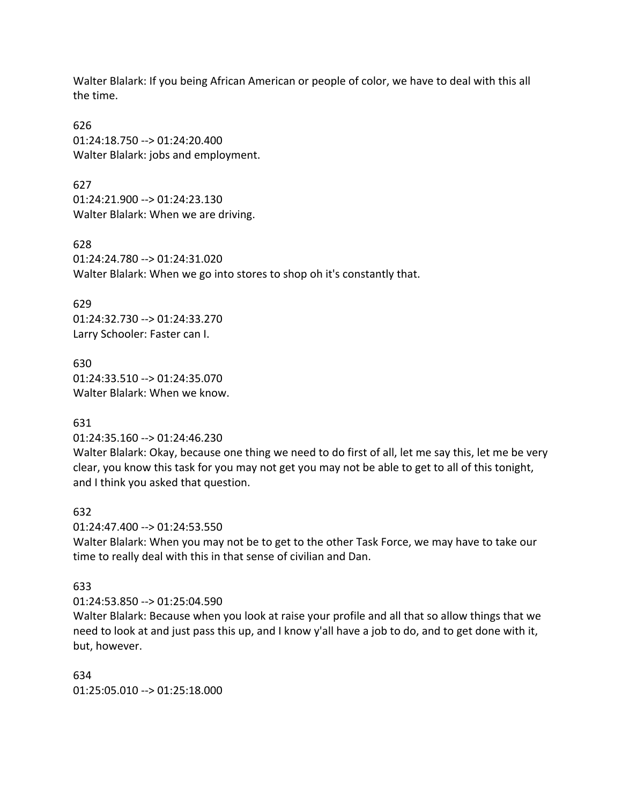Walter Blalark: If you being African American or people of color, we have to deal with this all the time.

626 01:24:18.750 --> 01:24:20.400 Walter Blalark: jobs and employment.

627 01:24:21.900 --> 01:24:23.130 Walter Blalark: When we are driving.

628 01:24:24.780 --> 01:24:31.020 Walter Blalark: When we go into stores to shop oh it's constantly that.

629 01:24:32.730 --> 01:24:33.270 Larry Schooler: Faster can I.

630 01:24:33.510 --> 01:24:35.070 Walter Blalark: When we know.

631

01:24:35.160 --> 01:24:46.230

Walter Blalark: Okay, because one thing we need to do first of all, let me say this, let me be very clear, you know this task for you may not get you may not be able to get to all of this tonight, and I think you asked that question.

632

01:24:47.400 --> 01:24:53.550

Walter Blalark: When you may not be to get to the other Task Force, we may have to take our time to really deal with this in that sense of civilian and Dan.

633

01:24:53.850 --> 01:25:04.590

Walter Blalark: Because when you look at raise your profile and all that so allow things that we need to look at and just pass this up, and I know y'all have a job to do, and to get done with it, but, however.

634 01:25:05.010 --> 01:25:18.000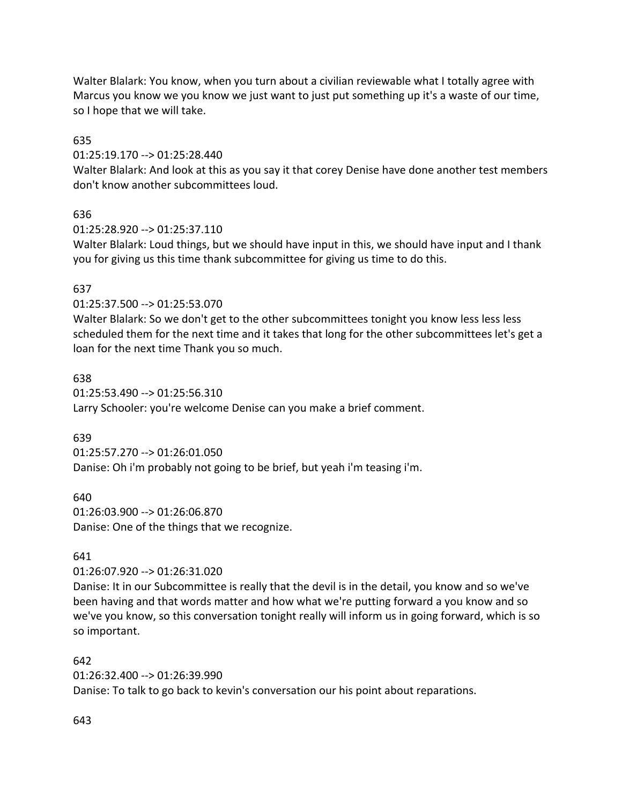Walter Blalark: You know, when you turn about a civilian reviewable what I totally agree with Marcus you know we you know we just want to just put something up it's a waste of our time, so I hope that we will take.

## 635

01:25:19.170 --> 01:25:28.440

Walter Blalark: And look at this as you say it that corey Denise have done another test members don't know another subcommittees loud.

## 636

01:25:28.920 --> 01:25:37.110

Walter Blalark: Loud things, but we should have input in this, we should have input and I thank you for giving us this time thank subcommittee for giving us time to do this.

## 637

01:25:37.500 --> 01:25:53.070

Walter Blalark: So we don't get to the other subcommittees tonight you know less less less scheduled them for the next time and it takes that long for the other subcommittees let's get a loan for the next time Thank you so much.

## 638

01:25:53.490 --> 01:25:56.310 Larry Schooler: you're welcome Denise can you make a brief comment.

## 639

01:25:57.270 --> 01:26:01.050 Danise: Oh i'm probably not going to be brief, but yeah i'm teasing i'm.

640 01:26:03.900 --> 01:26:06.870 Danise: One of the things that we recognize.

## 641

01:26:07.920 --> 01:26:31.020

Danise: It in our Subcommittee is really that the devil is in the detail, you know and so we've been having and that words matter and how what we're putting forward a you know and so we've you know, so this conversation tonight really will inform us in going forward, which is so so important.

#### 642

01:26:32.400 --> 01:26:39.990

Danise: To talk to go back to kevin's conversation our his point about reparations.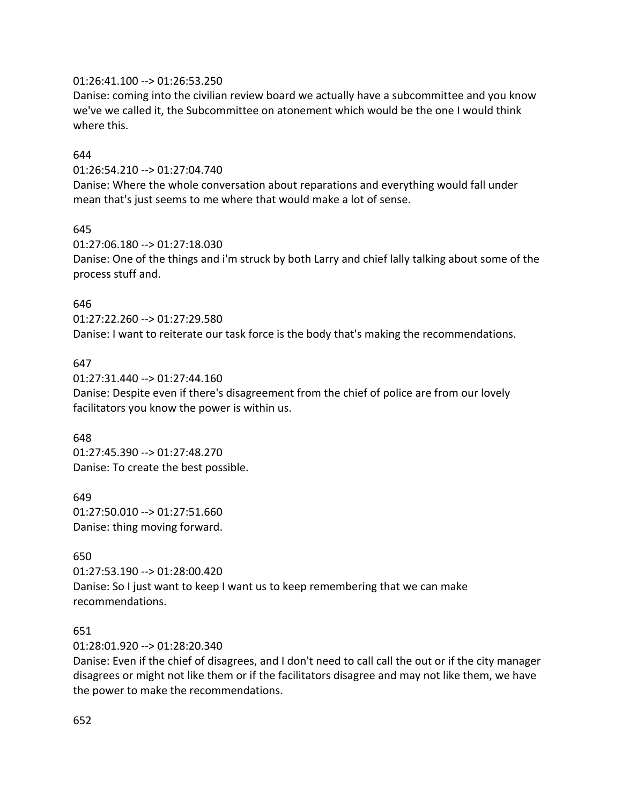#### 01:26:41.100 --> 01:26:53.250

Danise: coming into the civilian review board we actually have a subcommittee and you know we've we called it, the Subcommittee on atonement which would be the one I would think where this.

#### 644

01:26:54.210 --> 01:27:04.740

Danise: Where the whole conversation about reparations and everything would fall under mean that's just seems to me where that would make a lot of sense.

#### 645

01:27:06.180 --> 01:27:18.030 Danise: One of the things and i'm struck by both Larry and chief lally talking about some of the process stuff and.

#### 646

01:27:22.260 --> 01:27:29.580 Danise: I want to reiterate our task force is the body that's making the recommendations.

#### 647

01:27:31.440 --> 01:27:44.160 Danise: Despite even if there's disagreement from the chief of police are from our lovely facilitators you know the power is within us.

#### 648

01:27:45.390 --> 01:27:48.270 Danise: To create the best possible.

649 01:27:50.010 --> 01:27:51.660 Danise: thing moving forward.

#### 650

01:27:53.190 --> 01:28:00.420 Danise: So I just want to keep I want us to keep remembering that we can make recommendations.

#### 651

01:28:01.920 --> 01:28:20.340

Danise: Even if the chief of disagrees, and I don't need to call call the out or if the city manager disagrees or might not like them or if the facilitators disagree and may not like them, we have the power to make the recommendations.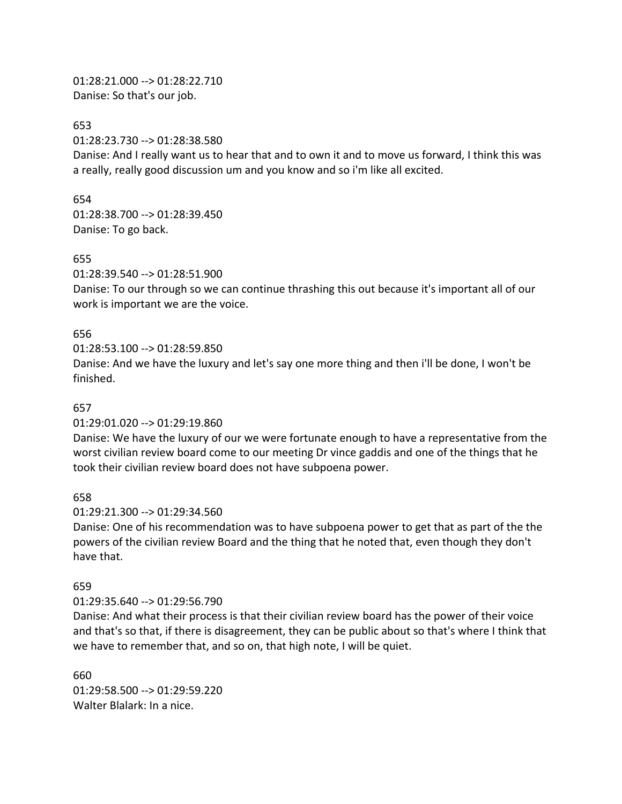01:28:21.000 --> 01:28:22.710 Danise: So that's our job.

653

01:28:23.730 --> 01:28:38.580

Danise: And I really want us to hear that and to own it and to move us forward, I think this was a really, really good discussion um and you know and so i'm like all excited.

654 01:28:38.700 --> 01:28:39.450 Danise: To go back.

#### 655

01:28:39.540 --> 01:28:51.900

Danise: To our through so we can continue thrashing this out because it's important all of our work is important we are the voice.

## 656

01:28:53.100 --> 01:28:59.850

Danise: And we have the luxury and let's say one more thing and then i'll be done, I won't be finished.

#### 657

01:29:01.020 --> 01:29:19.860

Danise: We have the luxury of our we were fortunate enough to have a representative from the worst civilian review board come to our meeting Dr vince gaddis and one of the things that he took their civilian review board does not have subpoena power.

658

01:29:21.300 --> 01:29:34.560

Danise: One of his recommendation was to have subpoena power to get that as part of the the powers of the civilian review Board and the thing that he noted that, even though they don't have that.

#### 659

#### 01:29:35.640 --> 01:29:56.790

Danise: And what their process is that their civilian review board has the power of their voice and that's so that, if there is disagreement, they can be public about so that's where I think that we have to remember that, and so on, that high note, I will be quiet.

660 01:29:58.500 --> 01:29:59.220 Walter Blalark: In a nice.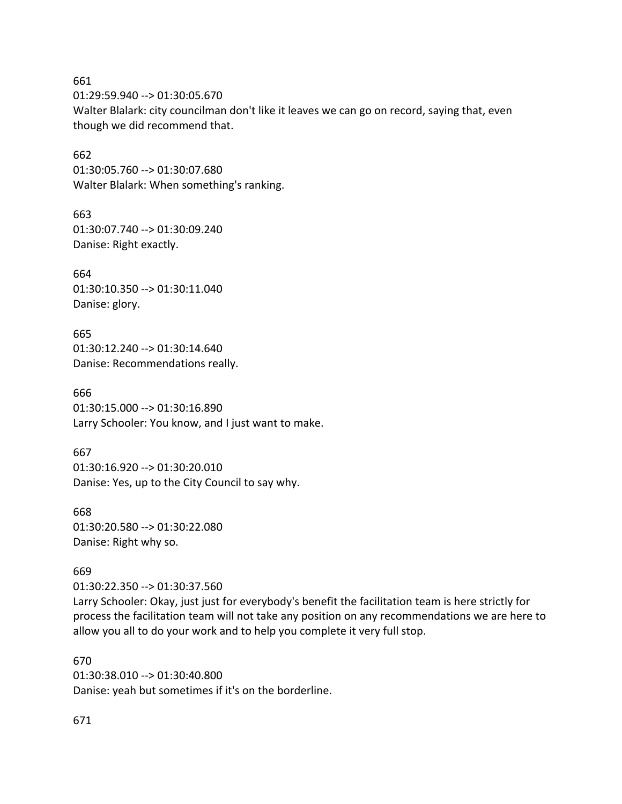661 01:29:59.940 --> 01:30:05.670 Walter Blalark: city councilman don't like it leaves we can go on record, saying that, even though we did recommend that.

662 01:30:05.760 --> 01:30:07.680 Walter Blalark: When something's ranking.

663 01:30:07.740 --> 01:30:09.240 Danise: Right exactly.

664 01:30:10.350 --> 01:30:11.040 Danise: glory.

665 01:30:12.240 --> 01:30:14.640 Danise: Recommendations really.

666 01:30:15.000 --> 01:30:16.890 Larry Schooler: You know, and I just want to make.

667 01:30:16.920 --> 01:30:20.010 Danise: Yes, up to the City Council to say why.

668 01:30:20.580 --> 01:30:22.080 Danise: Right why so.

669

01:30:22.350 --> 01:30:37.560

Larry Schooler: Okay, just just for everybody's benefit the facilitation team is here strictly for process the facilitation team will not take any position on any recommendations we are here to allow you all to do your work and to help you complete it very full stop.

670 01:30:38.010 --> 01:30:40.800 Danise: yeah but sometimes if it's on the borderline.

671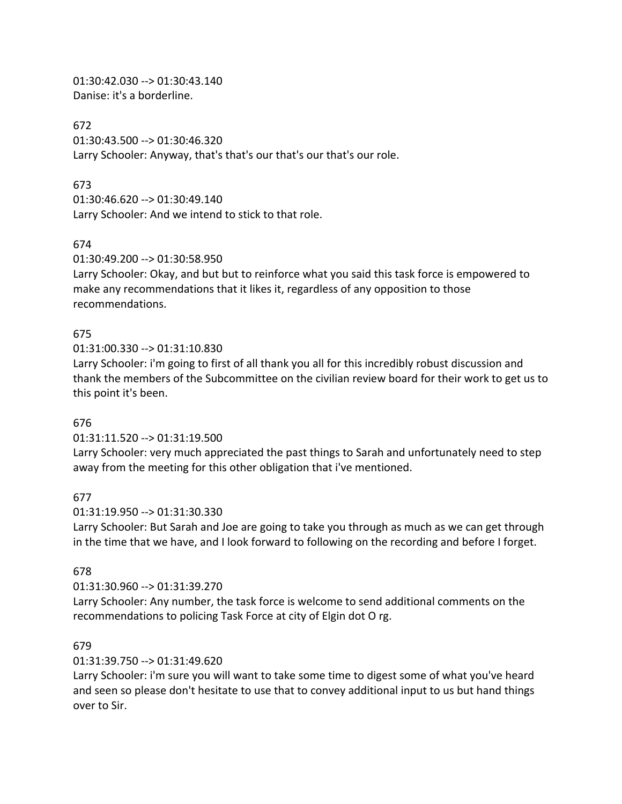01:30:42.030 --> 01:30:43.140 Danise: it's a borderline.

672 01:30:43.500 --> 01:30:46.320 Larry Schooler: Anyway, that's that's our that's our that's our role.

### 673

01:30:46.620 --> 01:30:49.140 Larry Schooler: And we intend to stick to that role.

### 674

01:30:49.200 --> 01:30:58.950

Larry Schooler: Okay, and but but to reinforce what you said this task force is empowered to make any recommendations that it likes it, regardless of any opposition to those recommendations.

# 675

01:31:00.330 --> 01:31:10.830

Larry Schooler: i'm going to first of all thank you all for this incredibly robust discussion and thank the members of the Subcommittee on the civilian review board for their work to get us to this point it's been.

### 676

01:31:11.520 --> 01:31:19.500

Larry Schooler: very much appreciated the past things to Sarah and unfortunately need to step away from the meeting for this other obligation that i've mentioned.

### 677

01:31:19.950 --> 01:31:30.330

Larry Schooler: But Sarah and Joe are going to take you through as much as we can get through in the time that we have, and I look forward to following on the recording and before I forget.

### 678

01:31:30.960 --> 01:31:39.270

Larry Schooler: Any number, the task force is welcome to send additional comments on the recommendations to policing Task Force at city of Elgin dot O rg.

### 679

### 01:31:39.750 --> 01:31:49.620

Larry Schooler: i'm sure you will want to take some time to digest some of what you've heard and seen so please don't hesitate to use that to convey additional input to us but hand things over to Sir.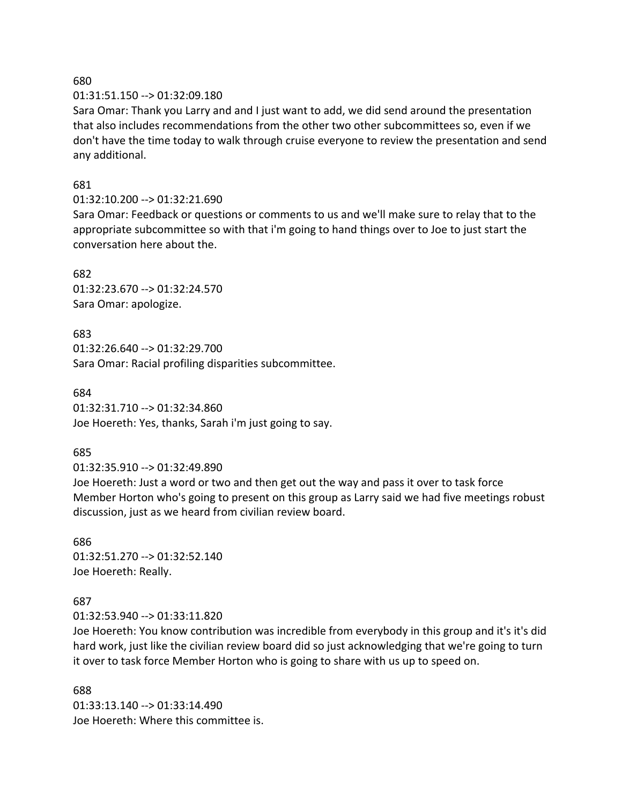01:31:51.150 --> 01:32:09.180

Sara Omar: Thank you Larry and and I just want to add, we did send around the presentation that also includes recommendations from the other two other subcommittees so, even if we don't have the time today to walk through cruise everyone to review the presentation and send any additional.

### 681

### 01:32:10.200 --> 01:32:21.690

Sara Omar: Feedback or questions or comments to us and we'll make sure to relay that to the appropriate subcommittee so with that i'm going to hand things over to Joe to just start the conversation here about the.

### 682

01:32:23.670 --> 01:32:24.570 Sara Omar: apologize.

# 683

01:32:26.640 --> 01:32:29.700 Sara Omar: Racial profiling disparities subcommittee.

# 684 01:32:31.710 --> 01:32:34.860

Joe Hoereth: Yes, thanks, Sarah i'm just going to say.

# 685

# 01:32:35.910 --> 01:32:49.890

Joe Hoereth: Just a word or two and then get out the way and pass it over to task force Member Horton who's going to present on this group as Larry said we had five meetings robust discussion, just as we heard from civilian review board.

### 686 01:32:51.270 --> 01:32:52.140 Joe Hoereth: Really.

# 687

01:32:53.940 --> 01:33:11.820

Joe Hoereth: You know contribution was incredible from everybody in this group and it's it's did hard work, just like the civilian review board did so just acknowledging that we're going to turn it over to task force Member Horton who is going to share with us up to speed on.

# 688

01:33:13.140 --> 01:33:14.490 Joe Hoereth: Where this committee is.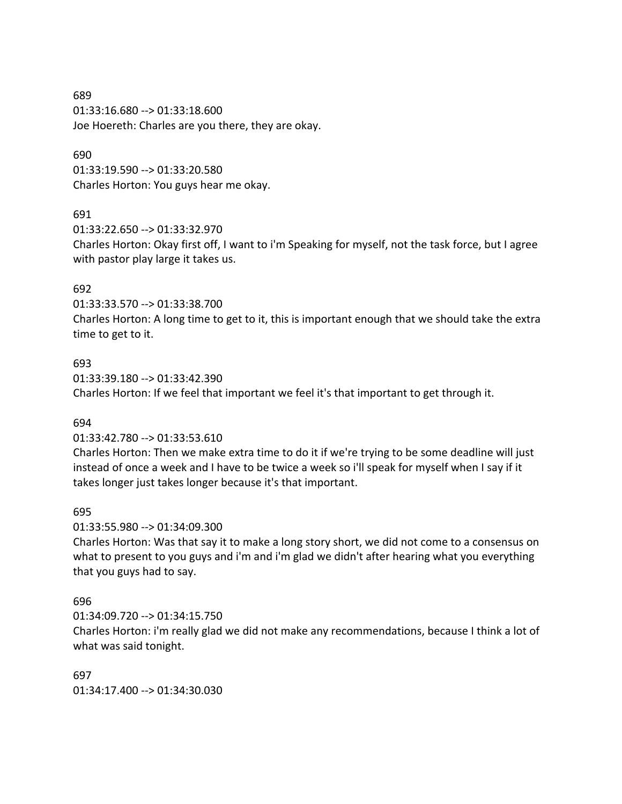689 01:33:16.680 --> 01:33:18.600 Joe Hoereth: Charles are you there, they are okay.

#### 690

01:33:19.590 --> 01:33:20.580 Charles Horton: You guys hear me okay.

### 691

01:33:22.650 --> 01:33:32.970

Charles Horton: Okay first off, I want to i'm Speaking for myself, not the task force, but I agree with pastor play large it takes us.

### 692

01:33:33.570 --> 01:33:38.700

Charles Horton: A long time to get to it, this is important enough that we should take the extra time to get to it.

### 693

01:33:39.180 --> 01:33:42.390 Charles Horton: If we feel that important we feel it's that important to get through it.

### 694

### 01:33:42.780 --> 01:33:53.610

Charles Horton: Then we make extra time to do it if we're trying to be some deadline will just instead of once a week and I have to be twice a week so i'll speak for myself when I say if it takes longer just takes longer because it's that important.

### 695

01:33:55.980 --> 01:34:09.300

Charles Horton: Was that say it to make a long story short, we did not come to a consensus on what to present to you guys and i'm and i'm glad we didn't after hearing what you everything that you guys had to say.

### 696

01:34:09.720 --> 01:34:15.750

Charles Horton: i'm really glad we did not make any recommendations, because I think a lot of what was said tonight.

# 697

01:34:17.400 --> 01:34:30.030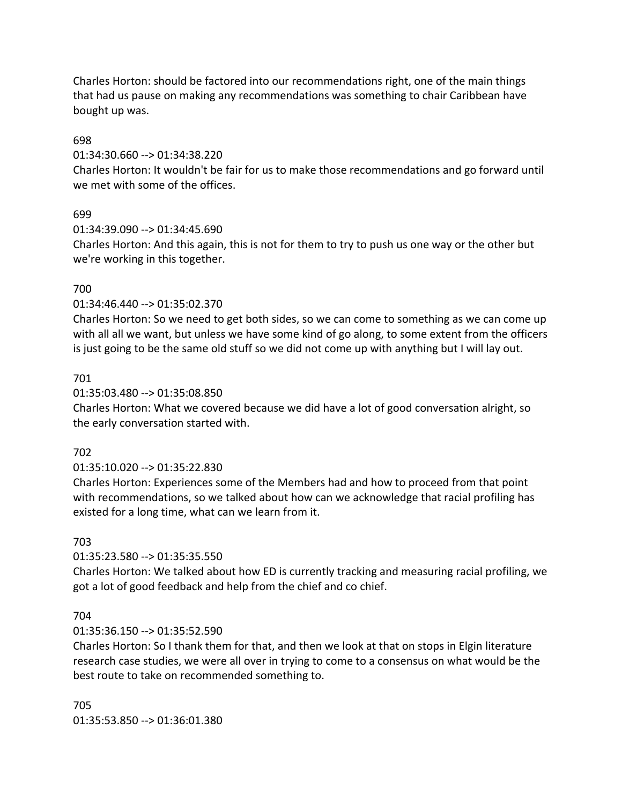Charles Horton: should be factored into our recommendations right, one of the main things that had us pause on making any recommendations was something to chair Caribbean have bought up was.

### 698

01:34:30.660 --> 01:34:38.220

Charles Horton: It wouldn't be fair for us to make those recommendations and go forward until we met with some of the offices.

# 699

01:34:39.090 --> 01:34:45.690

Charles Horton: And this again, this is not for them to try to push us one way or the other but we're working in this together.

# 700

### 01:34:46.440 --> 01:35:02.370

Charles Horton: So we need to get both sides, so we can come to something as we can come up with all all we want, but unless we have some kind of go along, to some extent from the officers is just going to be the same old stuff so we did not come up with anything but I will lay out.

### 701

### 01:35:03.480 --> 01:35:08.850

Charles Horton: What we covered because we did have a lot of good conversation alright, so the early conversation started with.

### 702

# 01:35:10.020 --> 01:35:22.830

Charles Horton: Experiences some of the Members had and how to proceed from that point with recommendations, so we talked about how can we acknowledge that racial profiling has existed for a long time, what can we learn from it.

### 703

# 01:35:23.580 --> 01:35:35.550

Charles Horton: We talked about how ED is currently tracking and measuring racial profiling, we got a lot of good feedback and help from the chief and co chief.

### 704

# 01:35:36.150 --> 01:35:52.590

Charles Horton: So I thank them for that, and then we look at that on stops in Elgin literature research case studies, we were all over in trying to come to a consensus on what would be the best route to take on recommended something to.

705 01:35:53.850 --> 01:36:01.380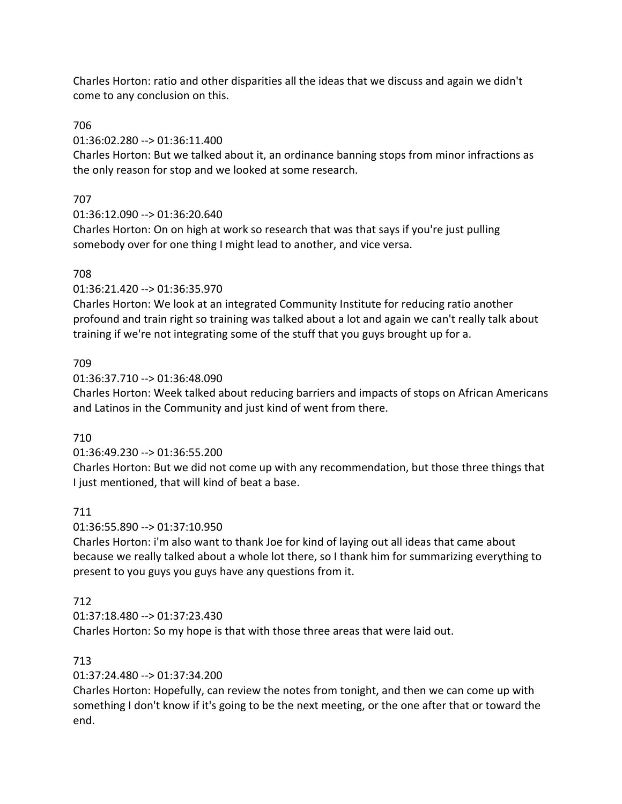Charles Horton: ratio and other disparities all the ideas that we discuss and again we didn't come to any conclusion on this.

# 706

01:36:02.280 --> 01:36:11.400

Charles Horton: But we talked about it, an ordinance banning stops from minor infractions as the only reason for stop and we looked at some research.

# 707

01:36:12.090 --> 01:36:20.640

Charles Horton: On on high at work so research that was that says if you're just pulling somebody over for one thing I might lead to another, and vice versa.

# 708

01:36:21.420 --> 01:36:35.970

Charles Horton: We look at an integrated Community Institute for reducing ratio another profound and train right so training was talked about a lot and again we can't really talk about training if we're not integrating some of the stuff that you guys brought up for a.

# 709

01:36:37.710 --> 01:36:48.090

Charles Horton: Week talked about reducing barriers and impacts of stops on African Americans and Latinos in the Community and just kind of went from there.

# 710

01:36:49.230 --> 01:36:55.200

Charles Horton: But we did not come up with any recommendation, but those three things that I just mentioned, that will kind of beat a base.

# 711

01:36:55.890 --> 01:37:10.950

Charles Horton: i'm also want to thank Joe for kind of laying out all ideas that came about because we really talked about a whole lot there, so I thank him for summarizing everything to present to you guys you guys have any questions from it.

# 712

01:37:18.480 --> 01:37:23.430

Charles Horton: So my hope is that with those three areas that were laid out.

# 713

01:37:24.480 --> 01:37:34.200

Charles Horton: Hopefully, can review the notes from tonight, and then we can come up with something I don't know if it's going to be the next meeting, or the one after that or toward the end.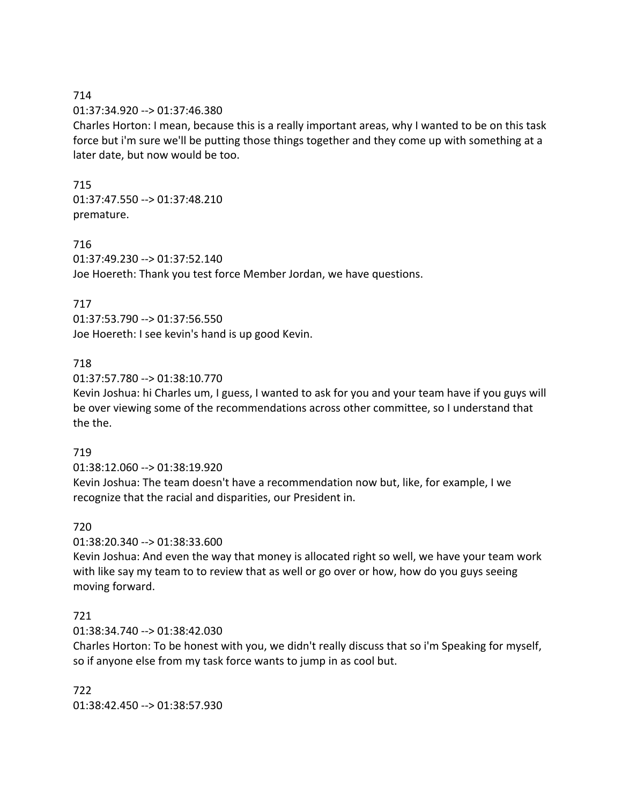### 01:37:34.920 --> 01:37:46.380

Charles Horton: I mean, because this is a really important areas, why I wanted to be on this task force but i'm sure we'll be putting those things together and they come up with something at a later date, but now would be too.

### 715

01:37:47.550 --> 01:37:48.210 premature.

### 716

01:37:49.230 --> 01:37:52.140 Joe Hoereth: Thank you test force Member Jordan, we have questions.

### 717

01:37:53.790 --> 01:37:56.550 Joe Hoereth: I see kevin's hand is up good Kevin.

### 718

01:37:57.780 --> 01:38:10.770

Kevin Joshua: hi Charles um, I guess, I wanted to ask for you and your team have if you guys will be over viewing some of the recommendations across other committee, so I understand that the the.

### 719

01:38:12.060 --> 01:38:19.920

Kevin Joshua: The team doesn't have a recommendation now but, like, for example, I we recognize that the racial and disparities, our President in.

### 720

01:38:20.340 --> 01:38:33.600

Kevin Joshua: And even the way that money is allocated right so well, we have your team work with like say my team to to review that as well or go over or how, how do you guys seeing moving forward.

# 721

01:38:34.740 --> 01:38:42.030

Charles Horton: To be honest with you, we didn't really discuss that so i'm Speaking for myself, so if anyone else from my task force wants to jump in as cool but.

722 01:38:42.450 --> 01:38:57.930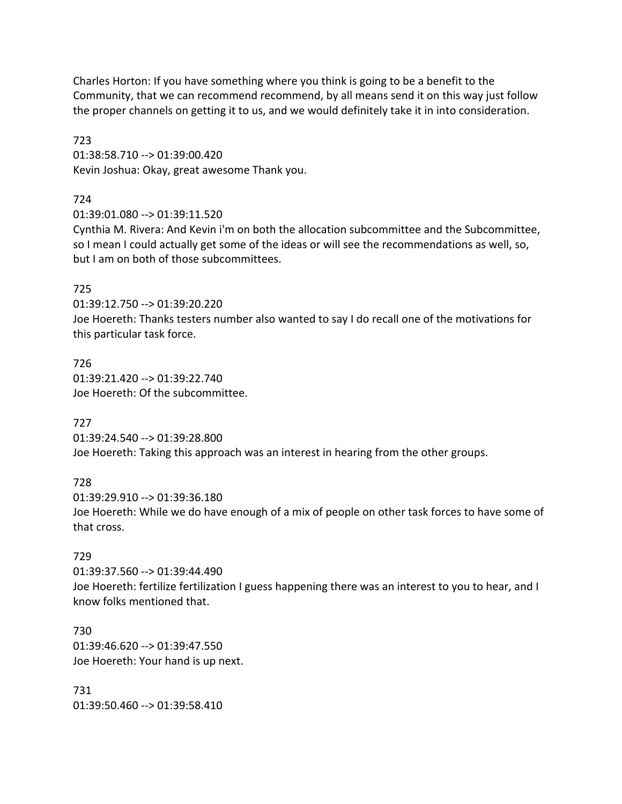Charles Horton: If you have something where you think is going to be a benefit to the Community, that we can recommend recommend, by all means send it on this way just follow the proper channels on getting it to us, and we would definitely take it in into consideration.

723 01:38:58.710 --> 01:39:00.420 Kevin Joshua: Okay, great awesome Thank you.

724

01:39:01.080 --> 01:39:11.520

Cynthia M. Rivera: And Kevin i'm on both the allocation subcommittee and the Subcommittee, so I mean I could actually get some of the ideas or will see the recommendations as well, so, but I am on both of those subcommittees.

# 725

01:39:12.750 --> 01:39:20.220 Joe Hoereth: Thanks testers number also wanted to say I do recall one of the motivations for this particular task force.

726 01:39:21.420 --> 01:39:22.740 Joe Hoereth: Of the subcommittee.

727

01:39:24.540 --> 01:39:28.800 Joe Hoereth: Taking this approach was an interest in hearing from the other groups.

728

01:39:29.910 --> 01:39:36.180 Joe Hoereth: While we do have enough of a mix of people on other task forces to have some of that cross.

# 729

01:39:37.560 --> 01:39:44.490 Joe Hoereth: fertilize fertilization I guess happening there was an interest to you to hear, and I know folks mentioned that.

730 01:39:46.620 --> 01:39:47.550 Joe Hoereth: Your hand is up next.

731 01:39:50.460 --> 01:39:58.410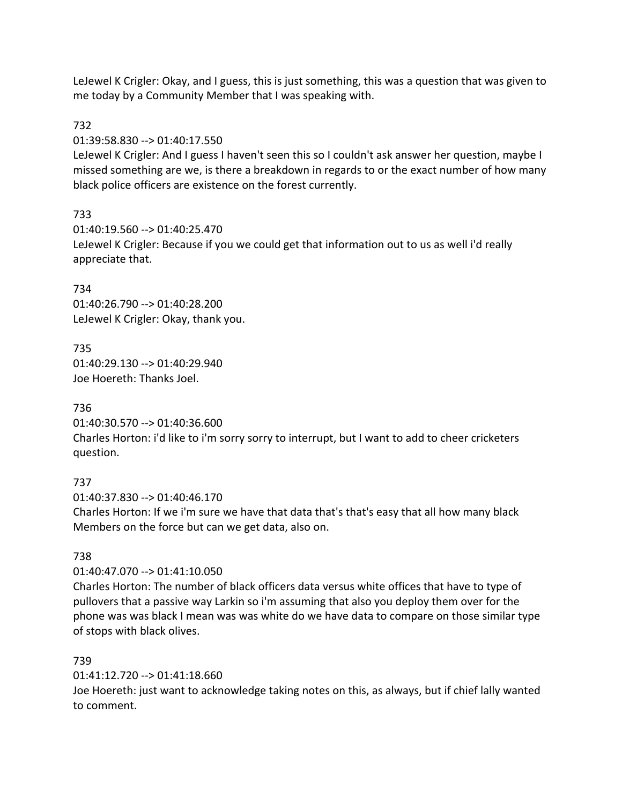LeJewel K Crigler: Okay, and I guess, this is just something, this was a question that was given to me today by a Community Member that I was speaking with.

# 732

01:39:58.830 --> 01:40:17.550

LeJewel K Crigler: And I guess I haven't seen this so I couldn't ask answer her question, maybe I missed something are we, is there a breakdown in regards to or the exact number of how many black police officers are existence on the forest currently.

# 733

01:40:19.560 --> 01:40:25.470 LeJewel K Crigler: Because if you we could get that information out to us as well i'd really appreciate that.

# 734

01:40:26.790 --> 01:40:28.200 LeJewel K Crigler: Okay, thank you.

# 735

01:40:29.130 --> 01:40:29.940 Joe Hoereth: Thanks Joel.

# 736

01:40:30.570 --> 01:40:36.600 Charles Horton: i'd like to i'm sorry sorry to interrupt, but I want to add to cheer cricketers question.

# 737

01:40:37.830 --> 01:40:46.170

Charles Horton: If we i'm sure we have that data that's that's easy that all how many black Members on the force but can we get data, also on.

# 738

01:40:47.070 --> 01:41:10.050

Charles Horton: The number of black officers data versus white offices that have to type of pullovers that a passive way Larkin so i'm assuming that also you deploy them over for the phone was was black I mean was was white do we have data to compare on those similar type of stops with black olives.

# 739

01:41:12.720 --> 01:41:18.660

Joe Hoereth: just want to acknowledge taking notes on this, as always, but if chief lally wanted to comment.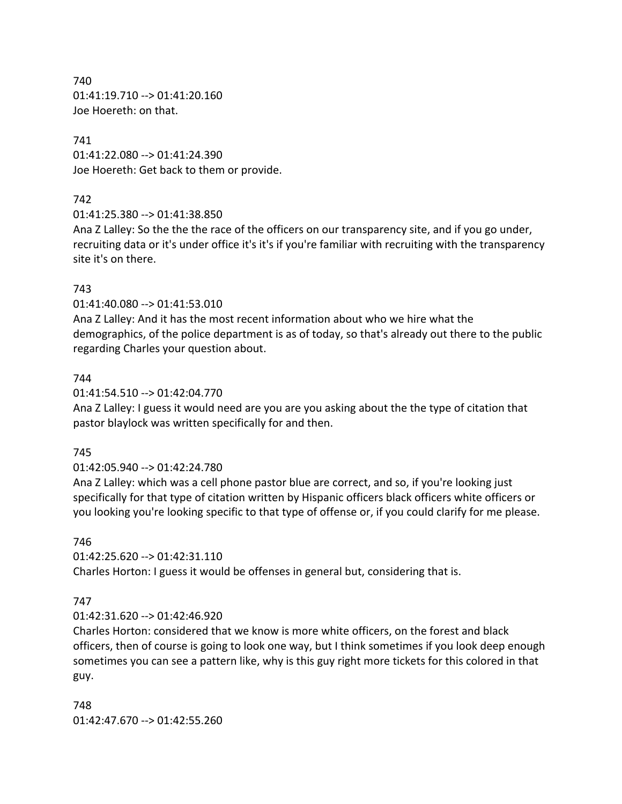740 01:41:19.710 --> 01:41:20.160 Joe Hoereth: on that.

### 741

01:41:22.080 --> 01:41:24.390 Joe Hoereth: Get back to them or provide.

# 742

01:41:25.380 --> 01:41:38.850

Ana Z Lalley: So the the the race of the officers on our transparency site, and if you go under, recruiting data or it's under office it's it's if you're familiar with recruiting with the transparency site it's on there.

# 743

01:41:40.080 --> 01:41:53.010

Ana Z Lalley: And it has the most recent information about who we hire what the demographics, of the police department is as of today, so that's already out there to the public regarding Charles your question about.

# 744

01:41:54.510 --> 01:42:04.770

Ana Z Lalley: I guess it would need are you are you asking about the the type of citation that pastor blaylock was written specifically for and then.

# 745

# 01:42:05.940 --> 01:42:24.780

Ana Z Lalley: which was a cell phone pastor blue are correct, and so, if you're looking just specifically for that type of citation written by Hispanic officers black officers white officers or you looking you're looking specific to that type of offense or, if you could clarify for me please.

# 746

01:42:25.620 --> 01:42:31.110

Charles Horton: I guess it would be offenses in general but, considering that is.

# 747

### 01:42:31.620 --> 01:42:46.920

Charles Horton: considered that we know is more white officers, on the forest and black officers, then of course is going to look one way, but I think sometimes if you look deep enough sometimes you can see a pattern like, why is this guy right more tickets for this colored in that guy.

748 01:42:47.670 --> 01:42:55.260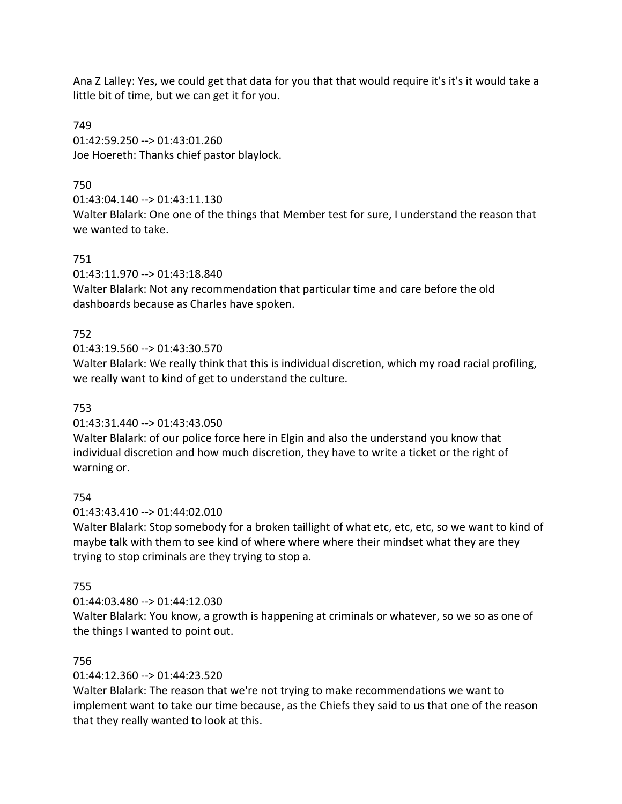Ana Z Lalley: Yes, we could get that data for you that that would require it's it's it would take a little bit of time, but we can get it for you.

749 01:42:59.250 --> 01:43:01.260 Joe Hoereth: Thanks chief pastor blaylock.

# 750

01:43:04.140 --> 01:43:11.130

Walter Blalark: One one of the things that Member test for sure, I understand the reason that we wanted to take.

# 751

01:43:11.970 --> 01:43:18.840

Walter Blalark: Not any recommendation that particular time and care before the old dashboards because as Charles have spoken.

# 752

01:43:19.560 --> 01:43:30.570

Walter Blalark: We really think that this is individual discretion, which my road racial profiling, we really want to kind of get to understand the culture.

# 753

01:43:31.440 --> 01:43:43.050

Walter Blalark: of our police force here in Elgin and also the understand you know that individual discretion and how much discretion, they have to write a ticket or the right of warning or.

# 754

01:43:43.410 --> 01:44:02.010

Walter Blalark: Stop somebody for a broken taillight of what etc, etc, etc, so we want to kind of maybe talk with them to see kind of where where where their mindset what they are they trying to stop criminals are they trying to stop a.

# 755

01:44:03.480 --> 01:44:12.030

Walter Blalark: You know, a growth is happening at criminals or whatever, so we so as one of the things I wanted to point out.

# 756

01:44:12.360 --> 01:44:23.520

Walter Blalark: The reason that we're not trying to make recommendations we want to implement want to take our time because, as the Chiefs they said to us that one of the reason that they really wanted to look at this.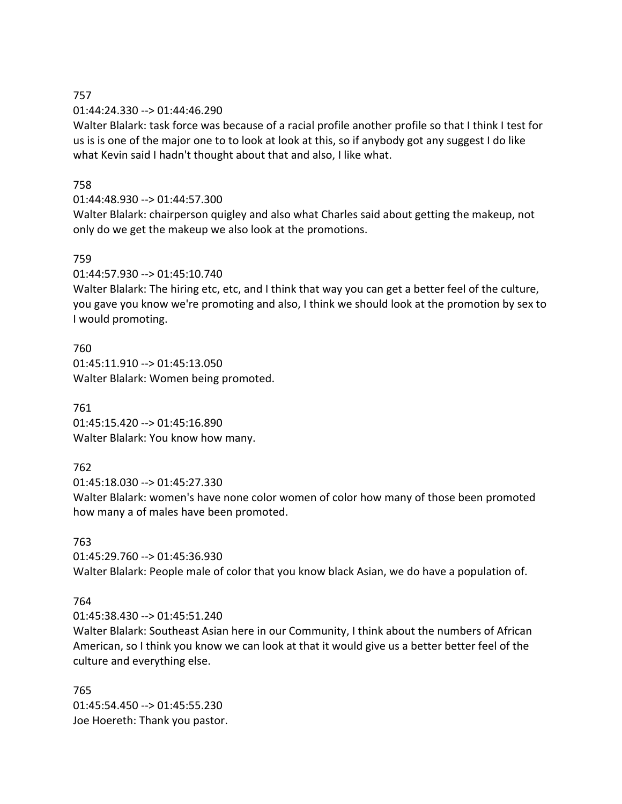#### 757 01:44:24.330 --> 01:44:46.290

Walter Blalark: task force was because of a racial profile another profile so that I think I test for us is is one of the major one to to look at look at this, so if anybody got any suggest I do like what Kevin said I hadn't thought about that and also, I like what.

# 758

# 01:44:48.930 --> 01:44:57.300

Walter Blalark: chairperson quigley and also what Charles said about getting the makeup, not only do we get the makeup we also look at the promotions.

### 759

01:44:57.930 --> 01:45:10.740

Walter Blalark: The hiring etc, etc, and I think that way you can get a better feel of the culture, you gave you know we're promoting and also, I think we should look at the promotion by sex to I would promoting.

760 01:45:11.910 --> 01:45:13.050 Walter Blalark: Women being promoted.

761 01:45:15.420 --> 01:45:16.890 Walter Blalark: You know how many.

# 762

01:45:18.030 --> 01:45:27.330

Walter Blalark: women's have none color women of color how many of those been promoted how many a of males have been promoted.

# 763

01:45:29.760 --> 01:45:36.930 Walter Blalark: People male of color that you know black Asian, we do have a population of.

# 764

01:45:38.430 --> 01:45:51.240

Walter Blalark: Southeast Asian here in our Community, I think about the numbers of African American, so I think you know we can look at that it would give us a better better feel of the culture and everything else.

765 01:45:54.450 --> 01:45:55.230 Joe Hoereth: Thank you pastor.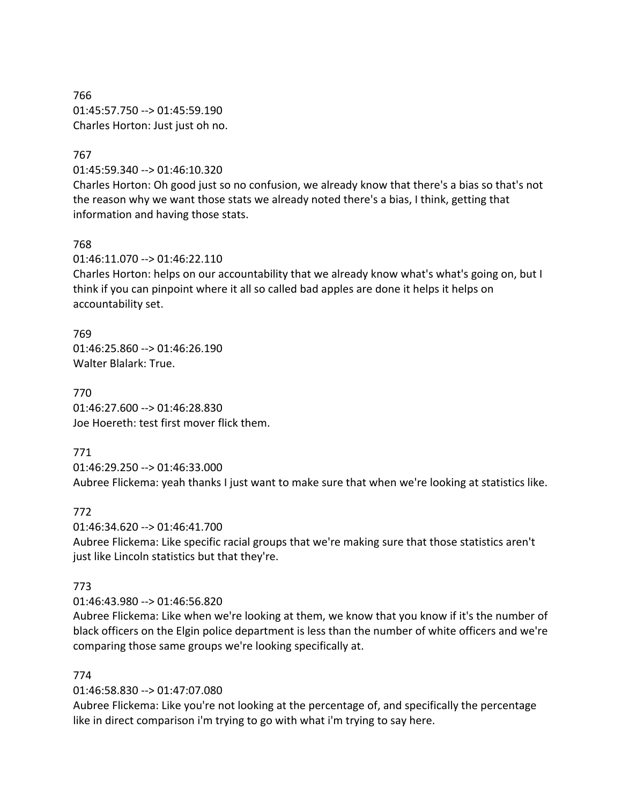766 01:45:57.750 --> 01:45:59.190 Charles Horton: Just just oh no.

### 767

01:45:59.340 --> 01:46:10.320

Charles Horton: Oh good just so no confusion, we already know that there's a bias so that's not the reason why we want those stats we already noted there's a bias, I think, getting that information and having those stats.

#### 768

01:46:11.070 --> 01:46:22.110

Charles Horton: helps on our accountability that we already know what's what's going on, but I think if you can pinpoint where it all so called bad apples are done it helps it helps on accountability set.

769 01:46:25.860 --> 01:46:26.190 Walter Blalark: True.

770 01:46:27.600 --> 01:46:28.830 Joe Hoereth: test first mover flick them.

771

01:46:29.250 --> 01:46:33.000

Aubree Flickema: yeah thanks I just want to make sure that when we're looking at statistics like.

772

01:46:34.620 --> 01:46:41.700

Aubree Flickema: Like specific racial groups that we're making sure that those statistics aren't just like Lincoln statistics but that they're.

### 773

01:46:43.980 --> 01:46:56.820

Aubree Flickema: Like when we're looking at them, we know that you know if it's the number of black officers on the Elgin police department is less than the number of white officers and we're comparing those same groups we're looking specifically at.

#### 774

01:46:58.830 --> 01:47:07.080

Aubree Flickema: Like you're not looking at the percentage of, and specifically the percentage like in direct comparison i'm trying to go with what i'm trying to say here.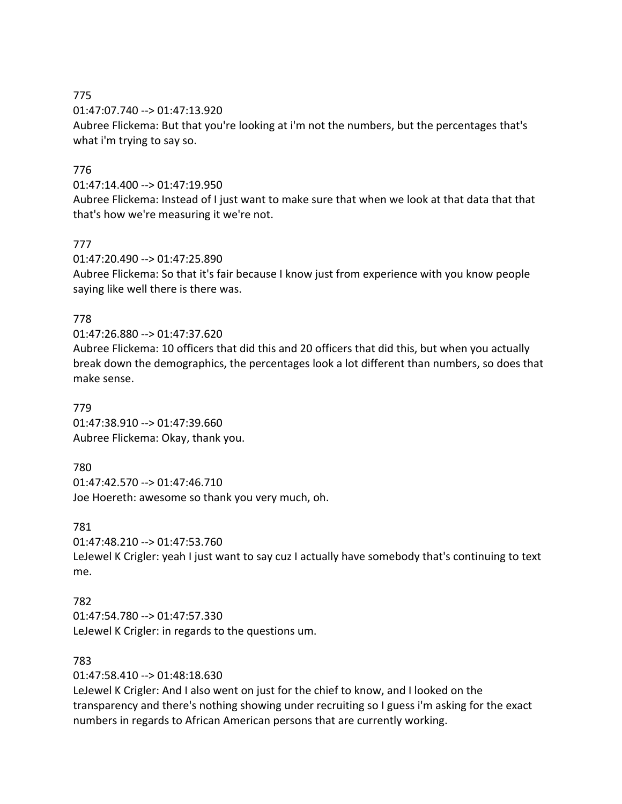01:47:07.740 --> 01:47:13.920

Aubree Flickema: But that you're looking at i'm not the numbers, but the percentages that's what i'm trying to say so.

# 776

# 01:47:14.400 --> 01:47:19.950

Aubree Flickema: Instead of I just want to make sure that when we look at that data that that that's how we're measuring it we're not.

# 777

01:47:20.490 --> 01:47:25.890

Aubree Flickema: So that it's fair because I know just from experience with you know people saying like well there is there was.

# 778

# 01:47:26.880 --> 01:47:37.620

Aubree Flickema: 10 officers that did this and 20 officers that did this, but when you actually break down the demographics, the percentages look a lot different than numbers, so does that make sense.

### 779

01:47:38.910 --> 01:47:39.660 Aubree Flickema: Okay, thank you.

# 780

01:47:42.570 --> 01:47:46.710 Joe Hoereth: awesome so thank you very much, oh.

# 781

```
01:47:48.210 --> 01:47:53.760
```
LeJewel K Crigler: yeah I just want to say cuz I actually have somebody that's continuing to text me.

# 782

01:47:54.780 --> 01:47:57.330 LeJewel K Crigler: in regards to the questions um.

# 783

01:47:58.410 --> 01:48:18.630

LeJewel K Crigler: And I also went on just for the chief to know, and I looked on the transparency and there's nothing showing under recruiting so I guess i'm asking for the exact numbers in regards to African American persons that are currently working.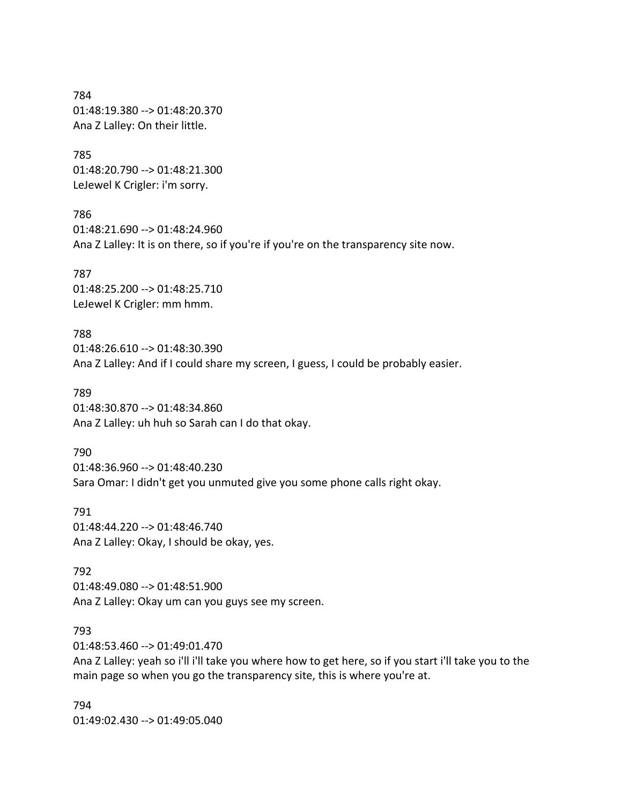784 01:48:19.380 --> 01:48:20.370 Ana Z Lalley: On their little.

785 01:48:20.790 --> 01:48:21.300 LeJewel K Crigler: i'm sorry.

786 01:48:21.690 --> 01:48:24.960 Ana Z Lalley: It is on there, so if you're if you're on the transparency site now.

787 01:48:25.200 --> 01:48:25.710 LeJewel K Crigler: mm hmm.

788 01:48:26.610 --> 01:48:30.390 Ana Z Lalley: And if I could share my screen, I guess, I could be probably easier.

789 01:48:30.870 --> 01:48:34.860 Ana Z Lalley: uh huh so Sarah can I do that okay.

790 01:48:36.960 --> 01:48:40.230 Sara Omar: I didn't get you unmuted give you some phone calls right okay.

791 01:48:44.220 --> 01:48:46.740 Ana Z Lalley: Okay, I should be okay, yes.

792 01:48:49.080 --> 01:48:51.900 Ana Z Lalley: Okay um can you guys see my screen.

793

01:48:53.460 --> 01:49:01.470

Ana Z Lalley: yeah so i'll i'll take you where how to get here, so if you start i'll take you to the main page so when you go the transparency site, this is where you're at.

794 01:49:02.430 --> 01:49:05.040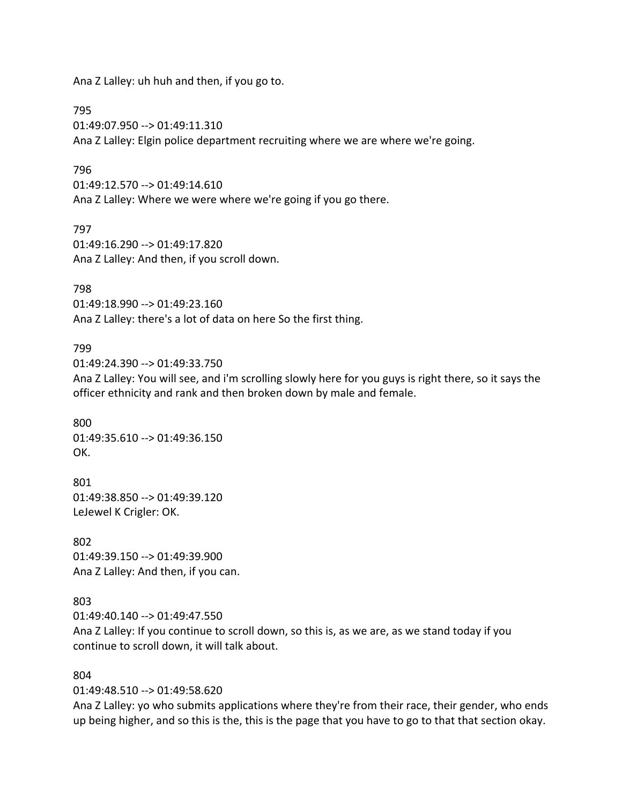Ana Z Lalley: uh huh and then, if you go to.

795

01:49:07.950 --> 01:49:11.310 Ana Z Lalley: Elgin police department recruiting where we are where we're going.

### 796

01:49:12.570 --> 01:49:14.610 Ana Z Lalley: Where we were where we're going if you go there.

797 01:49:16.290 --> 01:49:17.820 Ana Z Lalley: And then, if you scroll down.

#### 798

01:49:18.990 --> 01:49:23.160 Ana Z Lalley: there's a lot of data on here So the first thing.

#### 799

01:49:24.390 --> 01:49:33.750

Ana Z Lalley: You will see, and i'm scrolling slowly here for you guys is right there, so it says the officer ethnicity and rank and then broken down by male and female.

800 01:49:35.610 --> 01:49:36.150 OK.

801 01:49:38.850 --> 01:49:39.120 LeJewel K Crigler: OK.

802 01:49:39.150 --> 01:49:39.900 Ana Z Lalley: And then, if you can.

#### 803

01:49:40.140 --> 01:49:47.550

Ana Z Lalley: If you continue to scroll down, so this is, as we are, as we stand today if you continue to scroll down, it will talk about.

#### 804

01:49:48.510 --> 01:49:58.620

Ana Z Lalley: yo who submits applications where they're from their race, their gender, who ends up being higher, and so this is the, this is the page that you have to go to that that section okay.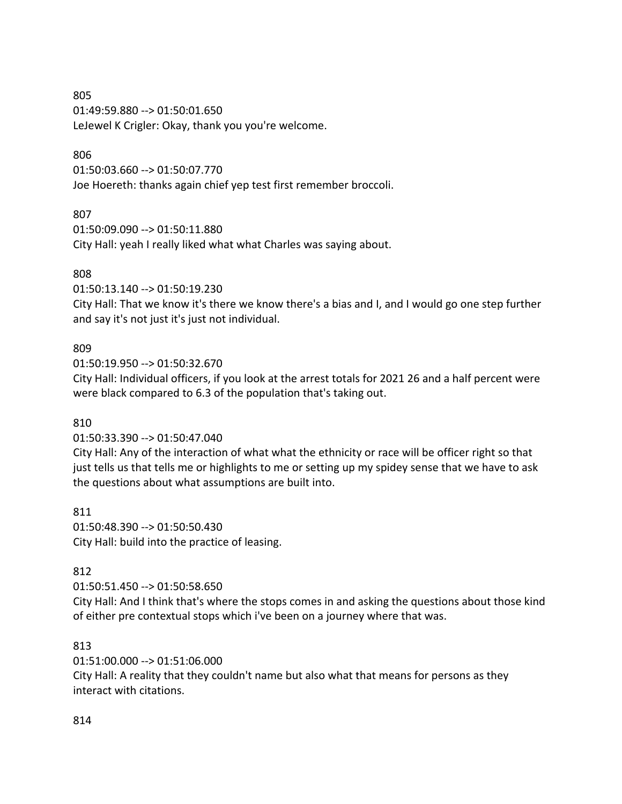805 01:49:59.880 --> 01:50:01.650 LeJewel K Crigler: Okay, thank you you're welcome.

# 806

01:50:03.660 --> 01:50:07.770 Joe Hoereth: thanks again chief yep test first remember broccoli.

# 807

01:50:09.090 --> 01:50:11.880 City Hall: yeah I really liked what what Charles was saying about.

# 808

01:50:13.140 --> 01:50:19.230

City Hall: That we know it's there we know there's a bias and I, and I would go one step further and say it's not just it's just not individual.

# 809

01:50:19.950 --> 01:50:32.670

City Hall: Individual officers, if you look at the arrest totals for 2021 26 and a half percent were were black compared to 6.3 of the population that's taking out.

# 810

01:50:33.390 --> 01:50:47.040

City Hall: Any of the interaction of what what the ethnicity or race will be officer right so that just tells us that tells me or highlights to me or setting up my spidey sense that we have to ask the questions about what assumptions are built into.

811 01:50:48.390 --> 01:50:50.430 City Hall: build into the practice of leasing.

# 812

01:50:51.450 --> 01:50:58.650

City Hall: And I think that's where the stops comes in and asking the questions about those kind of either pre contextual stops which i've been on a journey where that was.

# 813

01:51:00.000 --> 01:51:06.000

City Hall: A reality that they couldn't name but also what that means for persons as they interact with citations.

# 814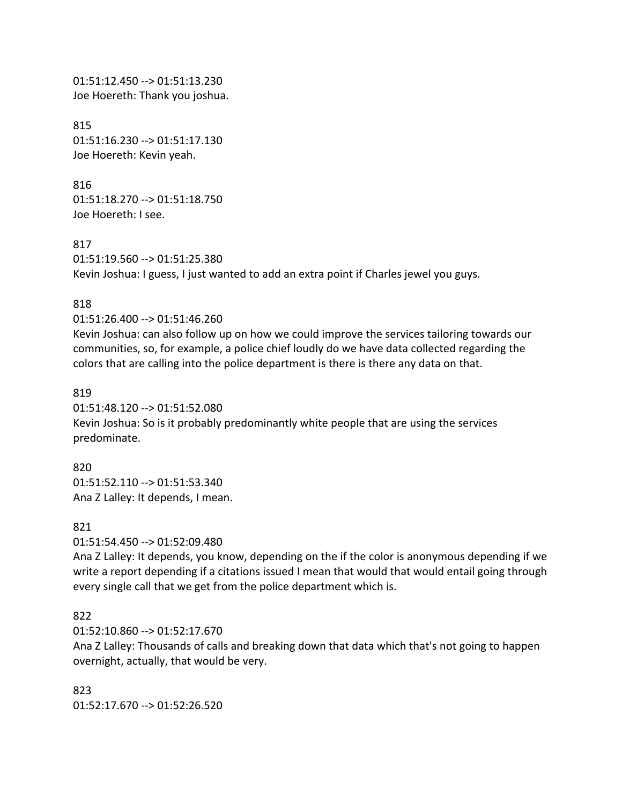01:51:12.450 --> 01:51:13.230 Joe Hoereth: Thank you joshua.

815 01:51:16.230 --> 01:51:17.130 Joe Hoereth: Kevin yeah.

816 01:51:18.270 --> 01:51:18.750 Joe Hoereth: I see.

817 01:51:19.560 --> 01:51:25.380 Kevin Joshua: I guess, I just wanted to add an extra point if Charles jewel you guys.

#### 818

01:51:26.400 --> 01:51:46.260

Kevin Joshua: can also follow up on how we could improve the services tailoring towards our communities, so, for example, a police chief loudly do we have data collected regarding the colors that are calling into the police department is there is there any data on that.

#### 819

01:51:48.120 --> 01:51:52.080 Kevin Joshua: So is it probably predominantly white people that are using the services predominate.

#### 820

01:51:52.110 --> 01:51:53.340 Ana Z Lalley: It depends, I mean.

#### 821

01:51:54.450 --> 01:52:09.480

Ana Z Lalley: It depends, you know, depending on the if the color is anonymous depending if we write a report depending if a citations issued I mean that would that would entail going through every single call that we get from the police department which is.

### 822

01:52:10.860 --> 01:52:17.670

Ana Z Lalley: Thousands of calls and breaking down that data which that's not going to happen overnight, actually, that would be very.

823 01:52:17.670 --> 01:52:26.520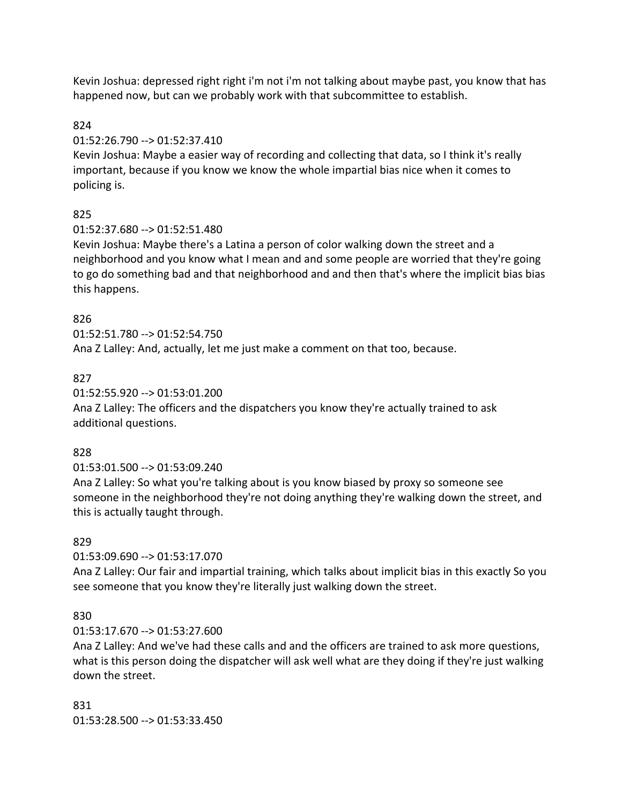Kevin Joshua: depressed right right i'm not i'm not talking about maybe past, you know that has happened now, but can we probably work with that subcommittee to establish.

# 824

# 01:52:26.790 --> 01:52:37.410

Kevin Joshua: Maybe a easier way of recording and collecting that data, so I think it's really important, because if you know we know the whole impartial bias nice when it comes to policing is.

# 825

# 01:52:37.680 --> 01:52:51.480

Kevin Joshua: Maybe there's a Latina a person of color walking down the street and a neighborhood and you know what I mean and and some people are worried that they're going to go do something bad and that neighborhood and and then that's where the implicit bias bias this happens.

# 826

01:52:51.780 --> 01:52:54.750

Ana Z Lalley: And, actually, let me just make a comment on that too, because.

# 827

# 01:52:55.920 --> 01:53:01.200

Ana Z Lalley: The officers and the dispatchers you know they're actually trained to ask additional questions.

# 828

# 01:53:01.500 --> 01:53:09.240

Ana Z Lalley: So what you're talking about is you know biased by proxy so someone see someone in the neighborhood they're not doing anything they're walking down the street, and this is actually taught through.

# 829

# 01:53:09.690 --> 01:53:17.070

Ana Z Lalley: Our fair and impartial training, which talks about implicit bias in this exactly So you see someone that you know they're literally just walking down the street.

# 830

# 01:53:17.670 --> 01:53:27.600

Ana Z Lalley: And we've had these calls and and the officers are trained to ask more questions, what is this person doing the dispatcher will ask well what are they doing if they're just walking down the street.

831 01:53:28.500 --> 01:53:33.450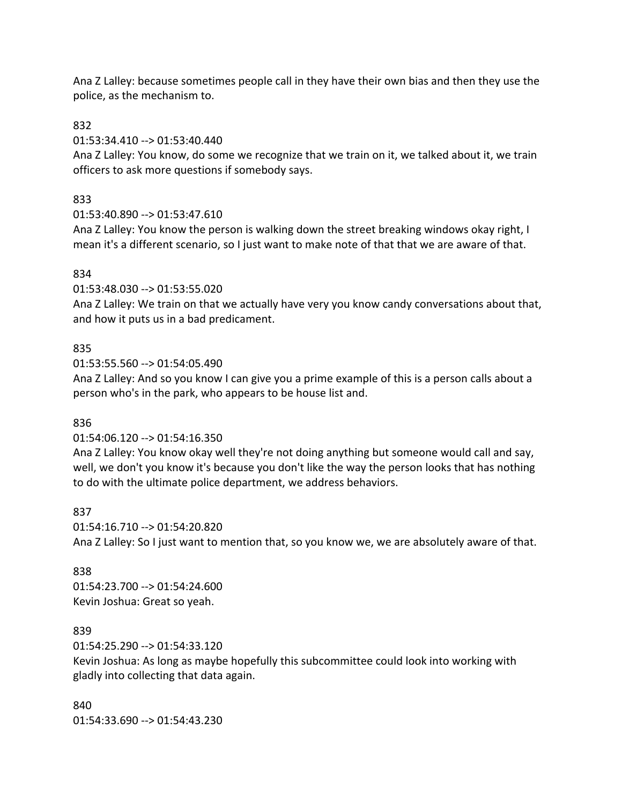Ana Z Lalley: because sometimes people call in they have their own bias and then they use the police, as the mechanism to.

832

01:53:34.410 --> 01:53:40.440

Ana Z Lalley: You know, do some we recognize that we train on it, we talked about it, we train officers to ask more questions if somebody says.

# 833

01:53:40.890 --> 01:53:47.610

Ana Z Lalley: You know the person is walking down the street breaking windows okay right, I mean it's a different scenario, so I just want to make note of that that we are aware of that.

# 834

01:53:48.030 --> 01:53:55.020

Ana Z Lalley: We train on that we actually have very you know candy conversations about that, and how it puts us in a bad predicament.

# 835

01:53:55.560 --> 01:54:05.490

Ana Z Lalley: And so you know I can give you a prime example of this is a person calls about a person who's in the park, who appears to be house list and.

### 836

### 01:54:06.120 --> 01:54:16.350

Ana Z Lalley: You know okay well they're not doing anything but someone would call and say, well, we don't you know it's because you don't like the way the person looks that has nothing to do with the ultimate police department, we address behaviors.

### 837

01:54:16.710 --> 01:54:20.820 Ana Z Lalley: So I just want to mention that, so you know we, we are absolutely aware of that.

# 838

01:54:23.700 --> 01:54:24.600 Kevin Joshua: Great so yeah.

# 839

01:54:25.290 --> 01:54:33.120

Kevin Joshua: As long as maybe hopefully this subcommittee could look into working with gladly into collecting that data again.

840 01:54:33.690 --> 01:54:43.230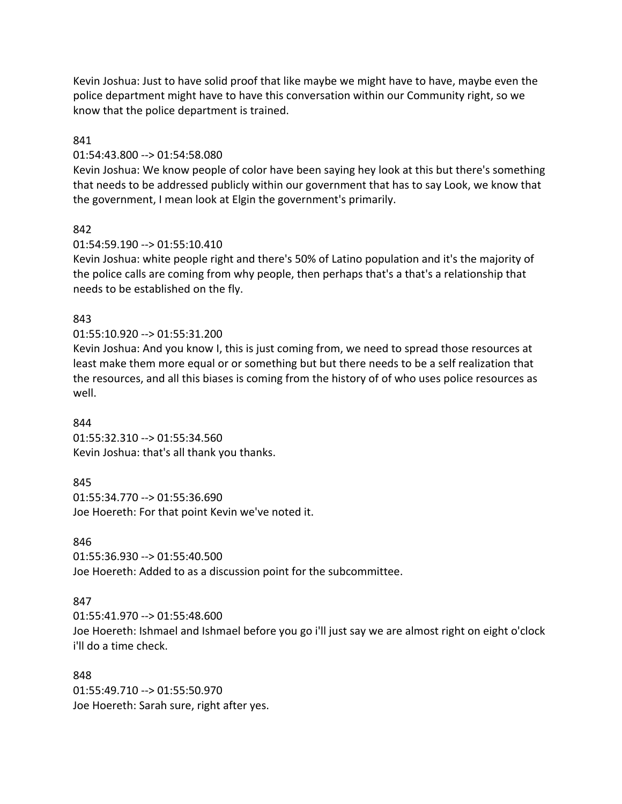Kevin Joshua: Just to have solid proof that like maybe we might have to have, maybe even the police department might have to have this conversation within our Community right, so we know that the police department is trained.

### 841

#### 01:54:43.800 --> 01:54:58.080

Kevin Joshua: We know people of color have been saying hey look at this but there's something that needs to be addressed publicly within our government that has to say Look, we know that the government, I mean look at Elgin the government's primarily.

#### 842

#### 01:54:59.190 --> 01:55:10.410

Kevin Joshua: white people right and there's 50% of Latino population and it's the majority of the police calls are coming from why people, then perhaps that's a that's a relationship that needs to be established on the fly.

#### 843

### 01:55:10.920 --> 01:55:31.200

Kevin Joshua: And you know I, this is just coming from, we need to spread those resources at least make them more equal or or something but but there needs to be a self realization that the resources, and all this biases is coming from the history of of who uses police resources as well.

#### 844

01:55:32.310 --> 01:55:34.560 Kevin Joshua: that's all thank you thanks.

#### 845

01:55:34.770 --> 01:55:36.690 Joe Hoereth: For that point Kevin we've noted it.

### 846

01:55:36.930 --> 01:55:40.500 Joe Hoereth: Added to as a discussion point for the subcommittee.

### 847

01:55:41.970 --> 01:55:48.600 Joe Hoereth: Ishmael and Ishmael before you go i'll just say we are almost right on eight o'clock i'll do a time check.

#### 848

01:55:49.710 --> 01:55:50.970 Joe Hoereth: Sarah sure, right after yes.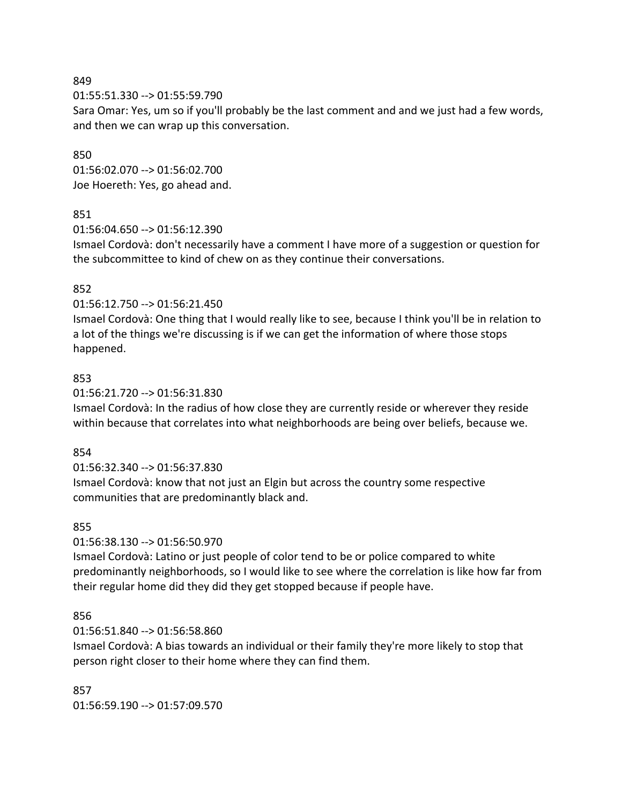01:55:51.330 --> 01:55:59.790

Sara Omar: Yes, um so if you'll probably be the last comment and and we just had a few words, and then we can wrap up this conversation.

### 850

01:56:02.070 --> 01:56:02.700 Joe Hoereth: Yes, go ahead and.

### 851

01:56:04.650 --> 01:56:12.390

Ismael Cordovà: don't necessarily have a comment I have more of a suggestion or question for the subcommittee to kind of chew on as they continue their conversations.

### 852

### 01:56:12.750 --> 01:56:21.450

Ismael Cordovà: One thing that I would really like to see, because I think you'll be in relation to a lot of the things we're discussing is if we can get the information of where those stops happened.

### 853

### 01:56:21.720 --> 01:56:31.830

Ismael Cordovà: In the radius of how close they are currently reside or wherever they reside within because that correlates into what neighborhoods are being over beliefs, because we.

### 854

# 01:56:32.340 --> 01:56:37.830

Ismael Cordovà: know that not just an Elgin but across the country some respective communities that are predominantly black and.

# 855

# 01:56:38.130 --> 01:56:50.970

Ismael Cordovà: Latino or just people of color tend to be or police compared to white predominantly neighborhoods, so I would like to see where the correlation is like how far from their regular home did they did they get stopped because if people have.

# 856

# 01:56:51.840 --> 01:56:58.860

Ismael Cordovà: A bias towards an individual or their family they're more likely to stop that person right closer to their home where they can find them.

857 01:56:59.190 --> 01:57:09.570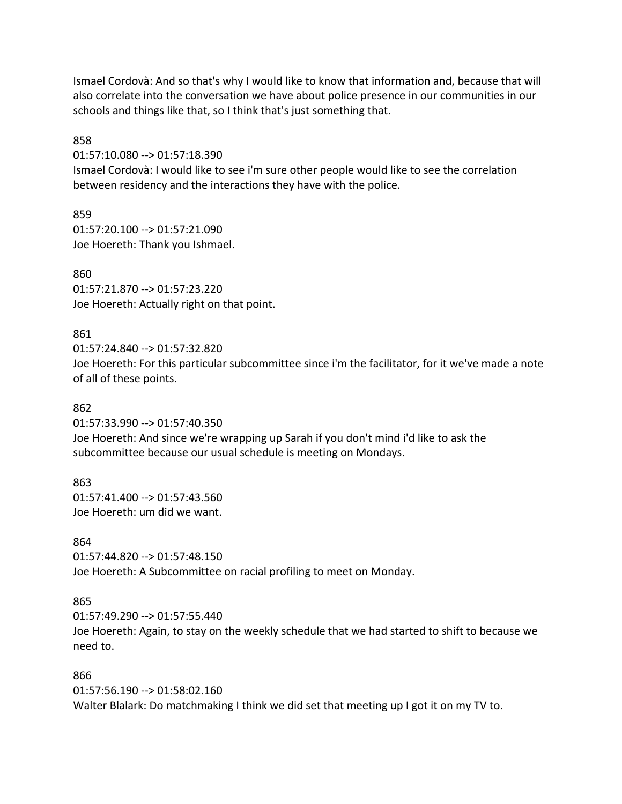Ismael Cordovà: And so that's why I would like to know that information and, because that will also correlate into the conversation we have about police presence in our communities in our schools and things like that, so I think that's just something that.

858

01:57:10.080 --> 01:57:18.390 Ismael Cordovà: I would like to see i'm sure other people would like to see the correlation between residency and the interactions they have with the police.

859 01:57:20.100 --> 01:57:21.090 Joe Hoereth: Thank you Ishmael.

860

01:57:21.870 --> 01:57:23.220 Joe Hoereth: Actually right on that point.

# 861

01:57:24.840 --> 01:57:32.820 Joe Hoereth: For this particular subcommittee since i'm the facilitator, for it we've made a note of all of these points.

862

01:57:33.990 --> 01:57:40.350 Joe Hoereth: And since we're wrapping up Sarah if you don't mind i'd like to ask the subcommittee because our usual schedule is meeting on Mondays.

863 01:57:41.400 --> 01:57:43.560

Joe Hoereth: um did we want.

864

01:57:44.820 --> 01:57:48.150 Joe Hoereth: A Subcommittee on racial profiling to meet on Monday.

# 865

01:57:49.290 --> 01:57:55.440 Joe Hoereth: Again, to stay on the weekly schedule that we had started to shift to because we need to.

# 866

01:57:56.190 --> 01:58:02.160 Walter Blalark: Do matchmaking I think we did set that meeting up I got it on my TV to.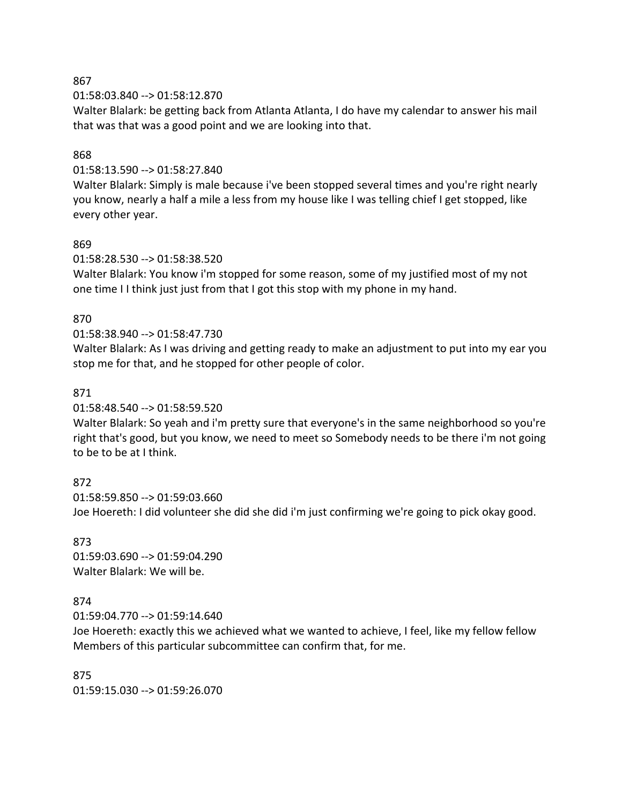01:58:03.840 --> 01:58:12.870

Walter Blalark: be getting back from Atlanta Atlanta, I do have my calendar to answer his mail that was that was a good point and we are looking into that.

### 868

#### 01:58:13.590 --> 01:58:27.840

Walter Blalark: Simply is male because i've been stopped several times and you're right nearly you know, nearly a half a mile a less from my house like I was telling chief I get stopped, like every other year.

#### 869

01:58:28.530 --> 01:58:38.520

Walter Blalark: You know i'm stopped for some reason, some of my justified most of my not one time I I think just just from that I got this stop with my phone in my hand.

#### 870

### 01:58:38.940 --> 01:58:47.730

Walter Blalark: As I was driving and getting ready to make an adjustment to put into my ear you stop me for that, and he stopped for other people of color.

#### 871

01:58:48.540 --> 01:58:59.520

Walter Blalark: So yeah and i'm pretty sure that everyone's in the same neighborhood so you're right that's good, but you know, we need to meet so Somebody needs to be there i'm not going to be to be at I think.

#### 872

01:58:59.850 --> 01:59:03.660 Joe Hoereth: I did volunteer she did she did i'm just confirming we're going to pick okay good.

873 01:59:03.690 --> 01:59:04.290 Walter Blalark: We will be.

### 874

01:59:04.770 --> 01:59:14.640

Joe Hoereth: exactly this we achieved what we wanted to achieve, I feel, like my fellow fellow Members of this particular subcommittee can confirm that, for me.

875 01:59:15.030 --> 01:59:26.070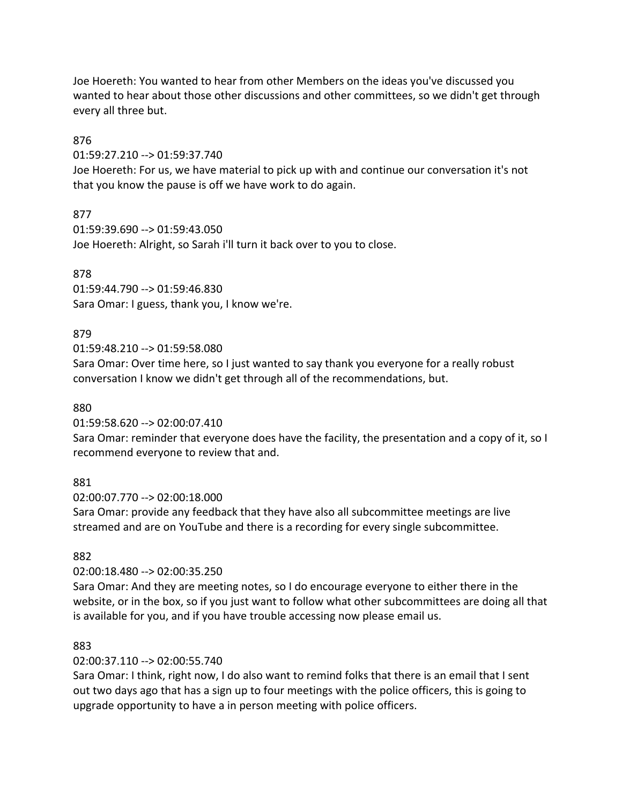Joe Hoereth: You wanted to hear from other Members on the ideas you've discussed you wanted to hear about those other discussions and other committees, so we didn't get through every all three but.

### 876

01:59:27.210 --> 01:59:37.740

Joe Hoereth: For us, we have material to pick up with and continue our conversation it's not that you know the pause is off we have work to do again.

# 877

01:59:39.690 --> 01:59:43.050 Joe Hoereth: Alright, so Sarah i'll turn it back over to you to close.

# 878

01:59:44.790 --> 01:59:46.830 Sara Omar: I guess, thank you, I know we're.

# 879

01:59:48.210 --> 01:59:58.080

Sara Omar: Over time here, so I just wanted to say thank you everyone for a really robust conversation I know we didn't get through all of the recommendations, but.

### 880

01:59:58.620 --> 02:00:07.410

Sara Omar: reminder that everyone does have the facility, the presentation and a copy of it, so I recommend everyone to review that and.

# 881

02:00:07.770 --> 02:00:18.000

Sara Omar: provide any feedback that they have also all subcommittee meetings are live streamed and are on YouTube and there is a recording for every single subcommittee.

# 882

# 02:00:18.480 --> 02:00:35.250

Sara Omar: And they are meeting notes, so I do encourage everyone to either there in the website, or in the box, so if you just want to follow what other subcommittees are doing all that is available for you, and if you have trouble accessing now please email us.

# 883

# 02:00:37.110 --> 02:00:55.740

Sara Omar: I think, right now, I do also want to remind folks that there is an email that I sent out two days ago that has a sign up to four meetings with the police officers, this is going to upgrade opportunity to have a in person meeting with police officers.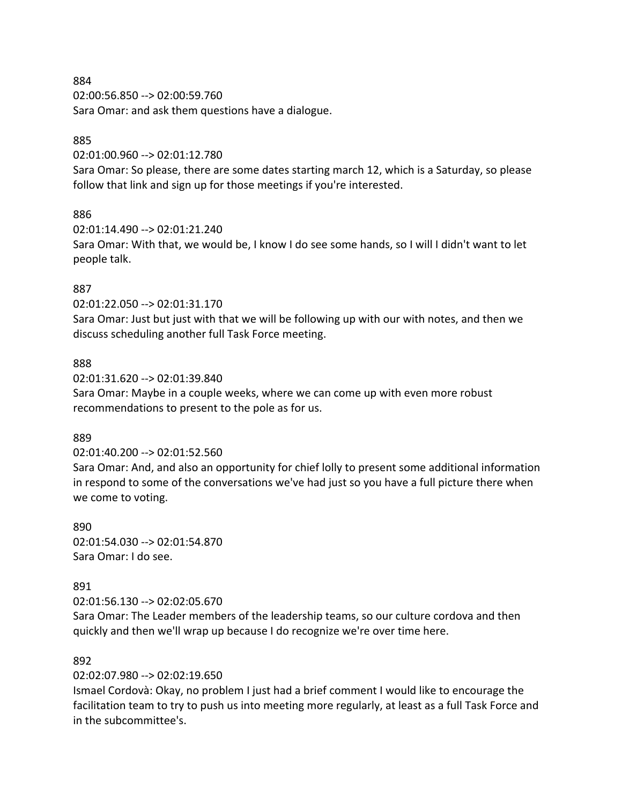02:00:56.850 --> 02:00:59.760 Sara Omar: and ask them questions have a dialogue.

### 885

02:01:00.960 --> 02:01:12.780

Sara Omar: So please, there are some dates starting march 12, which is a Saturday, so please follow that link and sign up for those meetings if you're interested.

### 886

02:01:14.490 --> 02:01:21.240

Sara Omar: With that, we would be, I know I do see some hands, so I will I didn't want to let people talk.

### 887

02:01:22.050 --> 02:01:31.170

Sara Omar: Just but just with that we will be following up with our with notes, and then we discuss scheduling another full Task Force meeting.

### 888

02:01:31.620 --> 02:01:39.840

Sara Omar: Maybe in a couple weeks, where we can come up with even more robust recommendations to present to the pole as for us.

### 889

02:01:40.200 --> 02:01:52.560

Sara Omar: And, and also an opportunity for chief lolly to present some additional information in respond to some of the conversations we've had just so you have a full picture there when we come to voting.

890 02:01:54.030 --> 02:01:54.870 Sara Omar: I do see.

### 891

02:01:56.130 --> 02:02:05.670

Sara Omar: The Leader members of the leadership teams, so our culture cordova and then quickly and then we'll wrap up because I do recognize we're over time here.

### 892

02:02:07.980 --> 02:02:19.650

Ismael Cordovà: Okay, no problem I just had a brief comment I would like to encourage the facilitation team to try to push us into meeting more regularly, at least as a full Task Force and in the subcommittee's.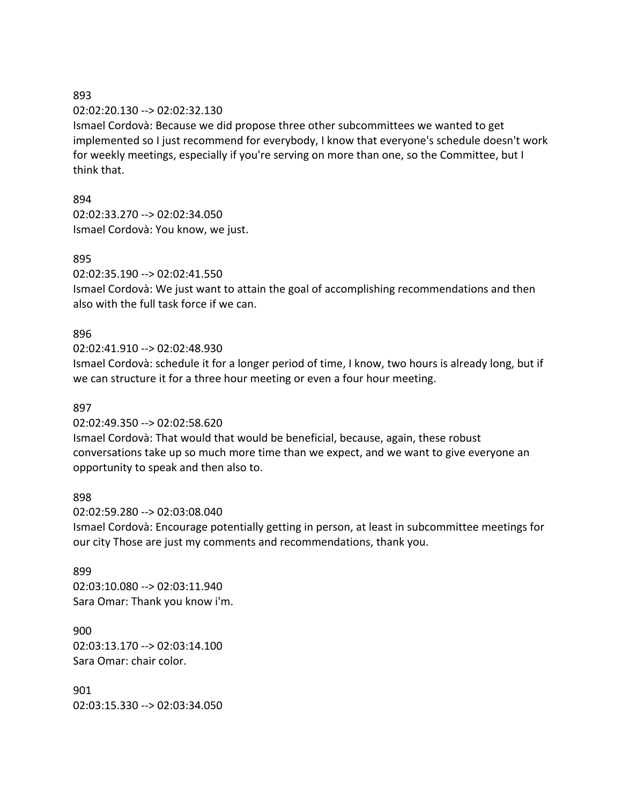02:02:20.130 --> 02:02:32.130

Ismael Cordovà: Because we did propose three other subcommittees we wanted to get implemented so I just recommend for everybody, I know that everyone's schedule doesn't work for weekly meetings, especially if you're serving on more than one, so the Committee, but I think that.

894

02:02:33.270 --> 02:02:34.050 Ismael Cordovà: You know, we just.

#### 895

02:02:35.190 --> 02:02:41.550

Ismael Cordovà: We just want to attain the goal of accomplishing recommendations and then also with the full task force if we can.

### 896

02:02:41.910 --> 02:02:48.930

Ismael Cordovà: schedule it for a longer period of time, I know, two hours is already long, but if we can structure it for a three hour meeting or even a four hour meeting.

#### 897

02:02:49.350 --> 02:02:58.620 Ismael Cordovà: That would that would be beneficial, because, again, these robust conversations take up so much more time than we expect, and we want to give everyone an opportunity to speak and then also to.

#### 898

02:02:59.280 --> 02:03:08.040 Ismael Cordovà: Encourage potentially getting in person, at least in subcommittee meetings for our city Those are just my comments and recommendations, thank you.

899 02:03:10.080 --> 02:03:11.940 Sara Omar: Thank you know i'm.

900 02:03:13.170 --> 02:03:14.100 Sara Omar: chair color.

901 02:03:15.330 --> 02:03:34.050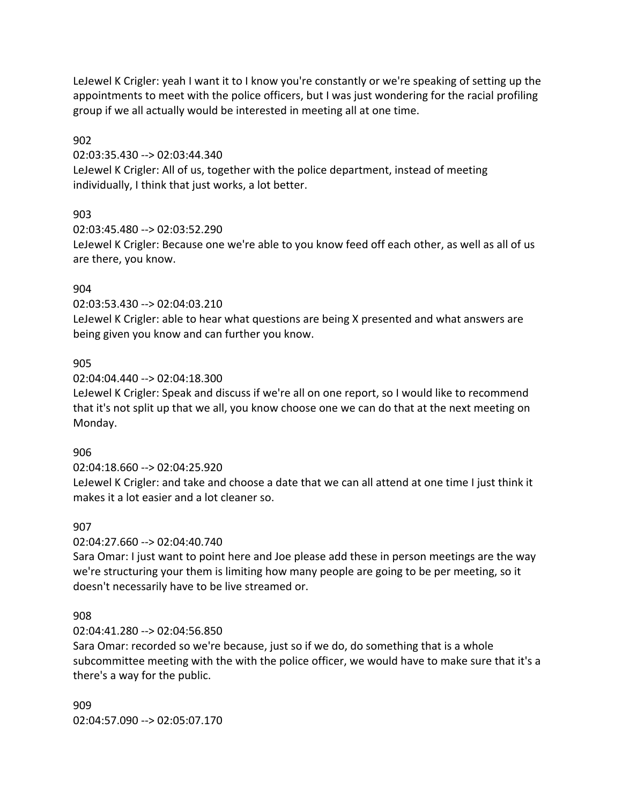LeJewel K Crigler: yeah I want it to I know you're constantly or we're speaking of setting up the appointments to meet with the police officers, but I was just wondering for the racial profiling group if we all actually would be interested in meeting all at one time.

### 902

02:03:35.430 --> 02:03:44.340

LeJewel K Crigler: All of us, together with the police department, instead of meeting individually, I think that just works, a lot better.

# 903

02:03:45.480 --> 02:03:52.290

LeJewel K Crigler: Because one we're able to you know feed off each other, as well as all of us are there, you know.

# 904

02:03:53.430 --> 02:04:03.210

LeJewel K Crigler: able to hear what questions are being X presented and what answers are being given you know and can further you know.

# 905

02:04:04.440 --> 02:04:18.300

LeJewel K Crigler: Speak and discuss if we're all on one report, so I would like to recommend that it's not split up that we all, you know choose one we can do that at the next meeting on Monday.

# 906

### 02:04:18.660 --> 02:04:25.920

LeJewel K Crigler: and take and choose a date that we can all attend at one time I just think it makes it a lot easier and a lot cleaner so.

# 907

02:04:27.660 --> 02:04:40.740

Sara Omar: I just want to point here and Joe please add these in person meetings are the way we're structuring your them is limiting how many people are going to be per meeting, so it doesn't necessarily have to be live streamed or.

# 908

### 02:04:41.280 --> 02:04:56.850

Sara Omar: recorded so we're because, just so if we do, do something that is a whole subcommittee meeting with the with the police officer, we would have to make sure that it's a there's a way for the public.

909 02:04:57.090 --> 02:05:07.170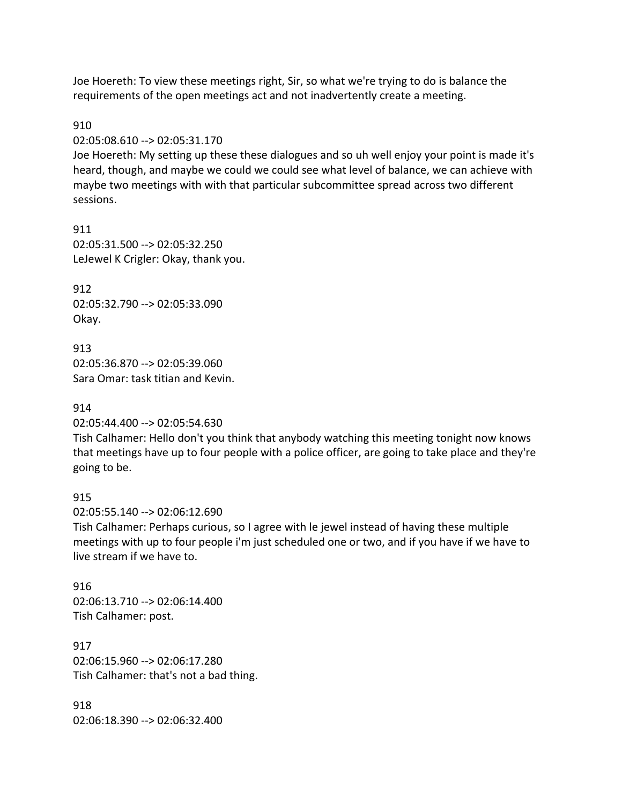Joe Hoereth: To view these meetings right, Sir, so what we're trying to do is balance the requirements of the open meetings act and not inadvertently create a meeting.

#### 910

02:05:08.610 --> 02:05:31.170

Joe Hoereth: My setting up these these dialogues and so uh well enjoy your point is made it's heard, though, and maybe we could we could see what level of balance, we can achieve with maybe two meetings with with that particular subcommittee spread across two different sessions.

911 02:05:31.500 --> 02:05:32.250 LeJewel K Crigler: Okay, thank you.

912 02:05:32.790 --> 02:05:33.090 Okay.

913 02:05:36.870 --> 02:05:39.060 Sara Omar: task titian and Kevin.

#### 914

02:05:44.400 --> 02:05:54.630

Tish Calhamer: Hello don't you think that anybody watching this meeting tonight now knows that meetings have up to four people with a police officer, are going to take place and they're going to be.

#### 915

02:05:55.140 --> 02:06:12.690 Tish Calhamer: Perhaps curious, so I agree with le jewel instead of having these multiple meetings with up to four people i'm just scheduled one or two, and if you have if we have to live stream if we have to.

916 02:06:13.710 --> 02:06:14.400 Tish Calhamer: post.

917 02:06:15.960 --> 02:06:17.280 Tish Calhamer: that's not a bad thing.

918 02:06:18.390 --> 02:06:32.400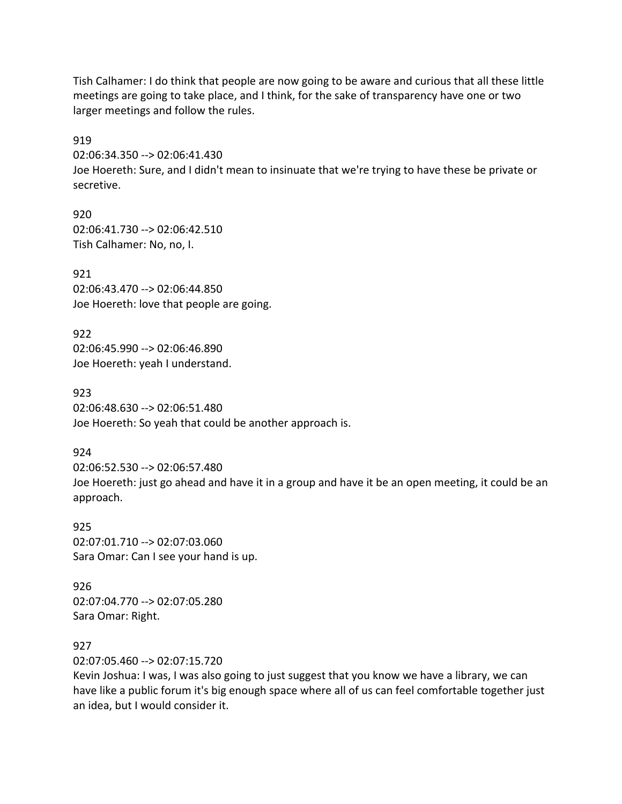Tish Calhamer: I do think that people are now going to be aware and curious that all these little meetings are going to take place, and I think, for the sake of transparency have one or two larger meetings and follow the rules.

919 02:06:34.350 --> 02:06:41.430 Joe Hoereth: Sure, and I didn't mean to insinuate that we're trying to have these be private or secretive.

920 02:06:41.730 --> 02:06:42.510 Tish Calhamer: No, no, I.

921 02:06:43.470 --> 02:06:44.850 Joe Hoereth: love that people are going.

922 02:06:45.990 --> 02:06:46.890 Joe Hoereth: yeah I understand.

923 02:06:48.630 --> 02:06:51.480 Joe Hoereth: So yeah that could be another approach is.

924

02:06:52.530 --> 02:06:57.480 Joe Hoereth: just go ahead and have it in a group and have it be an open meeting, it could be an approach.

925 02:07:01.710 --> 02:07:03.060 Sara Omar: Can I see your hand is up.

926 02:07:04.770 --> 02:07:05.280 Sara Omar: Right.

927

02:07:05.460 --> 02:07:15.720

Kevin Joshua: I was, I was also going to just suggest that you know we have a library, we can have like a public forum it's big enough space where all of us can feel comfortable together just an idea, but I would consider it.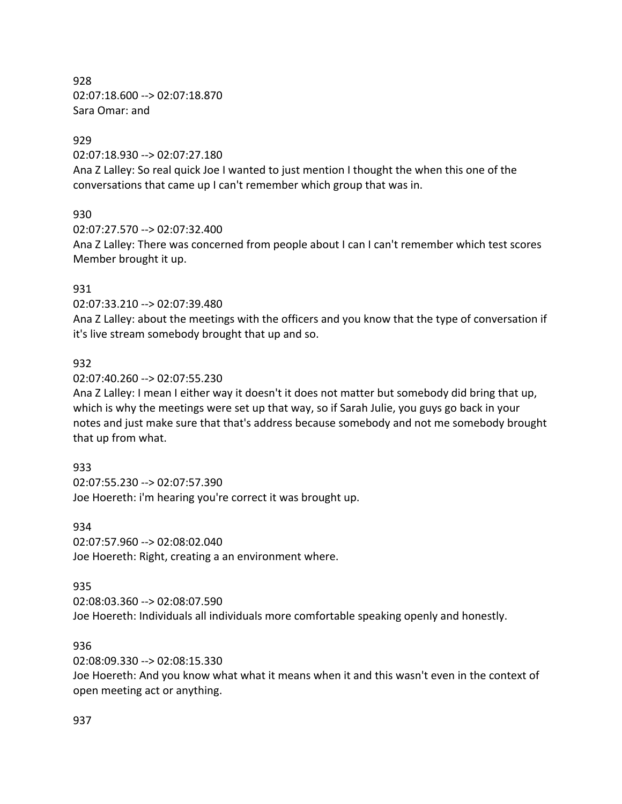928 02:07:18.600 --> 02:07:18.870 Sara Omar: and

### 929

02:07:18.930 --> 02:07:27.180 Ana Z Lalley: So real quick Joe I wanted to just mention I thought the when this one of the conversations that came up I can't remember which group that was in.

# 930

02:07:27.570 --> 02:07:32.400

Ana Z Lalley: There was concerned from people about I can I can't remember which test scores Member brought it up.

# 931

02:07:33.210 --> 02:07:39.480

Ana Z Lalley: about the meetings with the officers and you know that the type of conversation if it's live stream somebody brought that up and so.

# 932

02:07:40.260 --> 02:07:55.230

Ana Z Lalley: I mean I either way it doesn't it does not matter but somebody did bring that up, which is why the meetings were set up that way, so if Sarah Julie, you guys go back in your notes and just make sure that that's address because somebody and not me somebody brought that up from what.

# 933

02:07:55.230 --> 02:07:57.390 Joe Hoereth: i'm hearing you're correct it was brought up.

### 934

02:07:57.960 --> 02:08:02.040 Joe Hoereth: Right, creating a an environment where.

# 935

02:08:03.360 --> 02:08:07.590 Joe Hoereth: Individuals all individuals more comfortable speaking openly and honestly.

# 936

02:08:09.330 --> 02:08:15.330

Joe Hoereth: And you know what what it means when it and this wasn't even in the context of open meeting act or anything.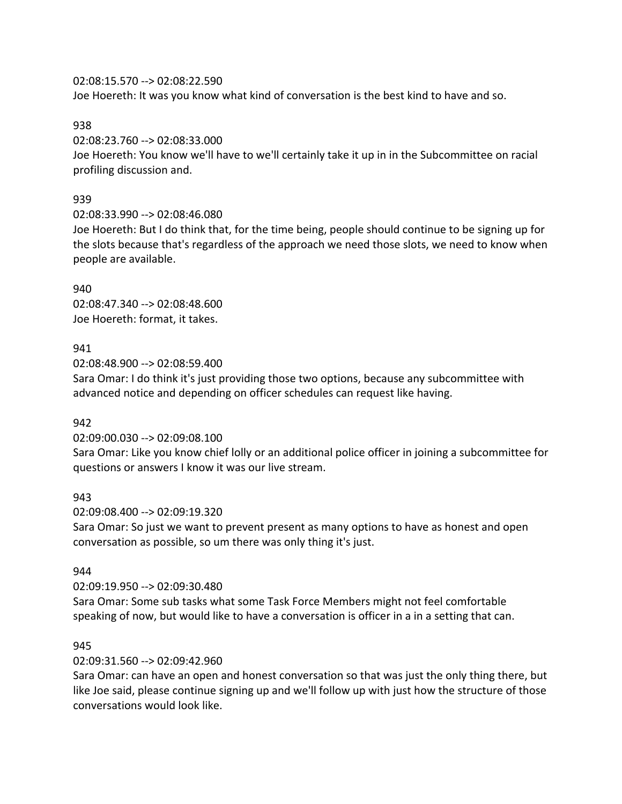02:08:15.570 --> 02:08:22.590

Joe Hoereth: It was you know what kind of conversation is the best kind to have and so.

### 938

02:08:23.760 --> 02:08:33.000

Joe Hoereth: You know we'll have to we'll certainly take it up in in the Subcommittee on racial profiling discussion and.

# 939

02:08:33.990 --> 02:08:46.080

Joe Hoereth: But I do think that, for the time being, people should continue to be signing up for the slots because that's regardless of the approach we need those slots, we need to know when people are available.

940 02:08:47.340 --> 02:08:48.600 Joe Hoereth: format, it takes.

# 941

02:08:48.900 --> 02:08:59.400 Sara Omar: I do think it's just providing those two options, because any subcommittee with advanced notice and depending on officer schedules can request like having.

# 942

02:09:00.030 --> 02:09:08.100

Sara Omar: Like you know chief lolly or an additional police officer in joining a subcommittee for questions or answers I know it was our live stream.

# 943

02:09:08.400 --> 02:09:19.320

Sara Omar: So just we want to prevent present as many options to have as honest and open conversation as possible, so um there was only thing it's just.

# 944

02:09:19.950 --> 02:09:30.480

Sara Omar: Some sub tasks what some Task Force Members might not feel comfortable speaking of now, but would like to have a conversation is officer in a in a setting that can.

# 945

# 02:09:31.560 --> 02:09:42.960

Sara Omar: can have an open and honest conversation so that was just the only thing there, but like Joe said, please continue signing up and we'll follow up with just how the structure of those conversations would look like.